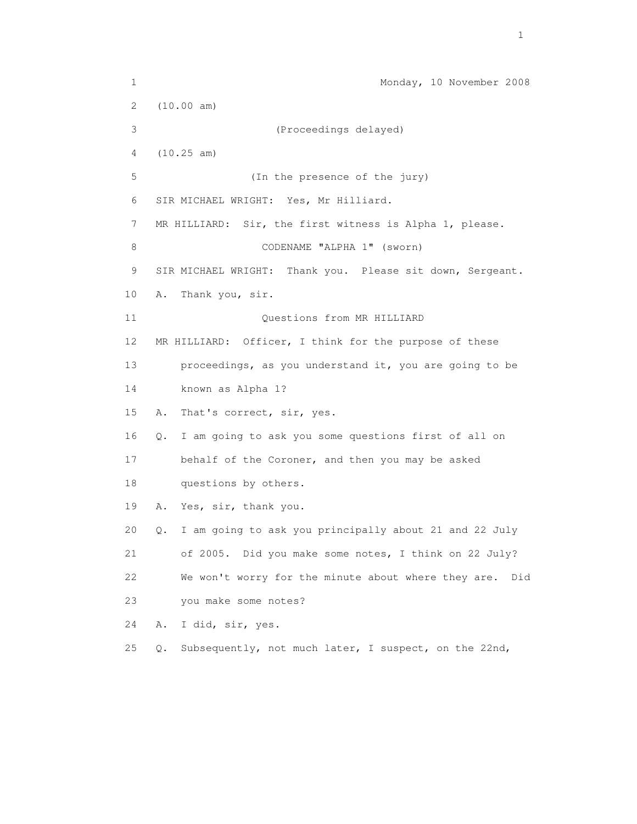1 Monday, 10 November 2008 2 (10.00 am) 3 (Proceedings delayed) 4 (10.25 am) 5 (In the presence of the jury) 6 SIR MICHAEL WRIGHT: Yes, Mr Hilliard. 7 MR HILLIARD: Sir, the first witness is Alpha 1, please. 8 CODENAME "ALPHA 1" (sworn) 9 SIR MICHAEL WRIGHT: Thank you. Please sit down, Sergeant. 10 A. Thank you, sir. 11 Questions from MR HILLIARD 12 MR HILLIARD: Officer, I think for the purpose of these 13 proceedings, as you understand it, you are going to be 14 known as Alpha 1? 15 A. That's correct, sir, yes. 16 Q. I am going to ask you some questions first of all on 17 behalf of the Coroner, and then you may be asked 18 questions by others. 19 A. Yes, sir, thank you. 20 Q. I am going to ask you principally about 21 and 22 July 21 of 2005. Did you make some notes, I think on 22 July? 22 We won't worry for the minute about where they are. Did 23 you make some notes? 24 A. I did, sir, yes. 25 Q. Subsequently, not much later, I suspect, on the 22nd,

the contract of the contract of the contract of the contract of the contract of the contract of the contract of the contract of the contract of the contract of the contract of the contract of the contract of the contract o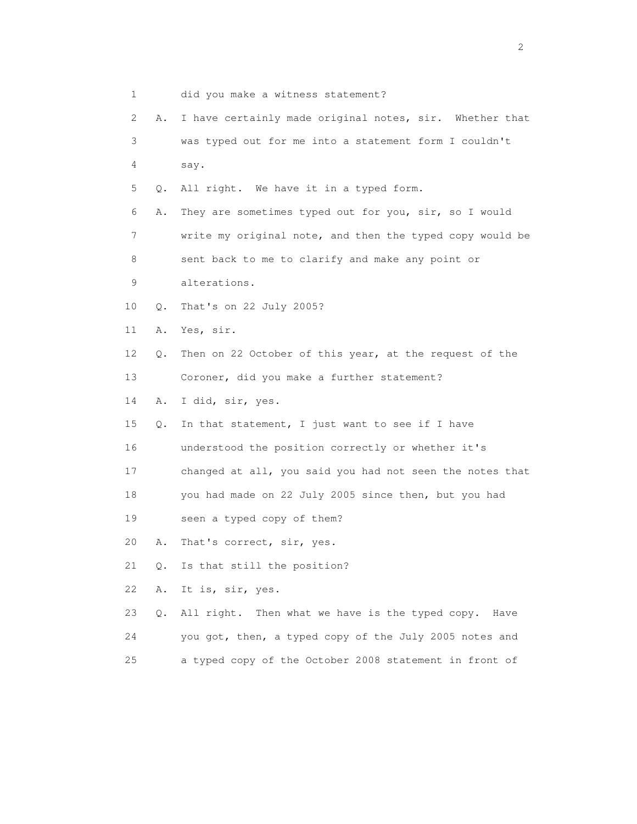| 1  |       | did you make a witness statement?                        |
|----|-------|----------------------------------------------------------|
| 2  | Α.    | I have certainly made original notes, sir. Whether that  |
| 3  |       | was typed out for me into a statement form I couldn't    |
| 4  |       | say.                                                     |
| 5  | Q.    | All right. We have it in a typed form.                   |
| 6  | Α.    | They are sometimes typed out for you, sir, so I would    |
| 7  |       | write my original note, and then the typed copy would be |
| 8  |       | sent back to me to clarify and make any point or         |
| 9  |       | alterations.                                             |
| 10 | Q.    | That's on 22 July 2005?                                  |
| 11 | Α.    | Yes, sir.                                                |
| 12 | Q.    | Then on 22 October of this year, at the request of the   |
| 13 |       | Coroner, did you make a further statement?               |
| 14 | Α.    | I did, sir, yes.                                         |
| 15 | Q.    | In that statement, I just want to see if I have          |
| 16 |       | understood the position correctly or whether it's        |
| 17 |       | changed at all, you said you had not seen the notes that |
| 18 |       | you had made on 22 July 2005 since then, but you had     |
| 19 |       | seen a typed copy of them?                               |
| 20 | Α.    | That's correct, sir, yes.                                |
| 21 | $Q$ . | Is that still the position?                              |
| 22 | Α.    | It is, sir, yes.                                         |
| 23 | Q.    | All right. Then what we have is the typed copy.<br>Have  |
| 24 |       | you got, then, a typed copy of the July 2005 notes and   |
| 25 |       | a typed copy of the October 2008 statement in front of   |

 $\overline{2}$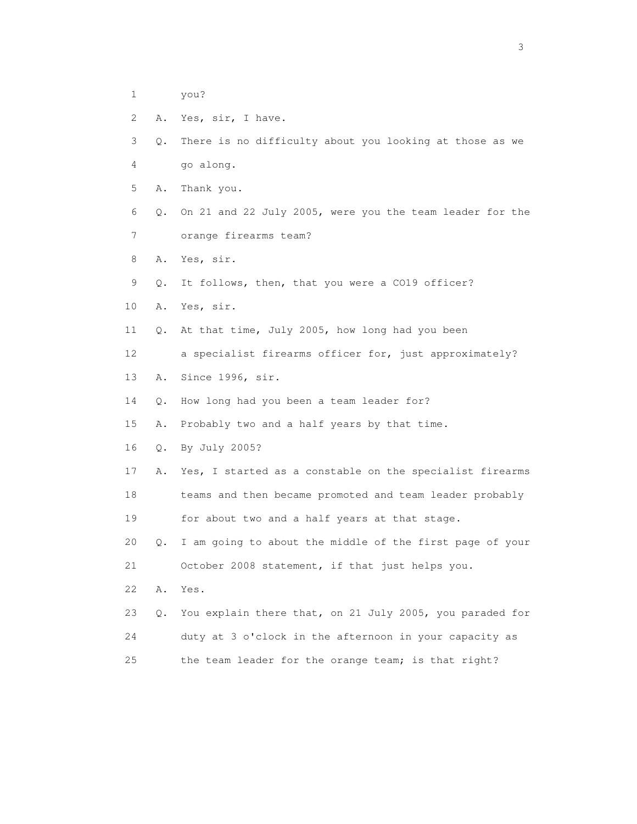- 1 you?
- 2 A. Yes, sir, I have.

3 Q. There is no difficulty about you looking at those as we

- 4 go along.
- 5 A. Thank you.

 6 Q. On 21 and 22 July 2005, were you the team leader for the 7 orange firearms team?

8 A. Yes, sir.

9 Q. It follows, then, that you were a CO19 officer?

10 A. Yes, sir.

11 Q. At that time, July 2005, how long had you been

12 a specialist firearms officer for, just approximately?

13 A. Since 1996, sir.

14 Q. How long had you been a team leader for?

15 A. Probably two and a half years by that time.

16 Q. By July 2005?

17 A. Yes, I started as a constable on the specialist firearms

 18 teams and then became promoted and team leader probably 19 for about two and a half years at that stage.

 20 Q. I am going to about the middle of the first page of your 21 October 2008 statement, if that just helps you.

22 A. Yes.

 23 Q. You explain there that, on 21 July 2005, you paraded for 24 duty at 3 o'clock in the afternoon in your capacity as 25 the team leader for the orange team; is that right?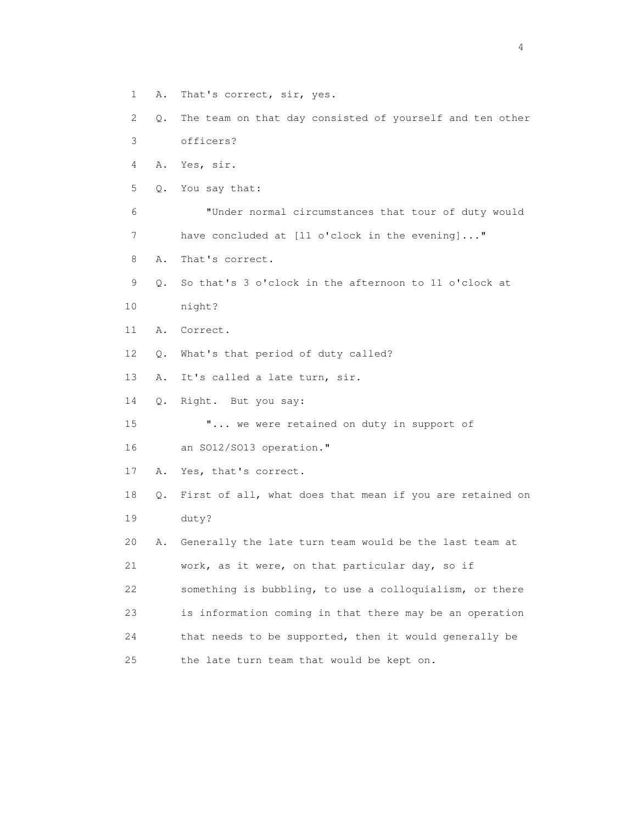- 1 A. That's correct, sir, yes.
- 2 Q. The team on that day consisted of yourself and ten other 3 officers?
- 4 A. Yes, sir.
- 5 Q. You say that:
- 6 "Under normal circumstances that tour of duty would 7 have concluded at [11 o'clock in the evening]..."
- 8 A. That's correct.
- 9 Q. So that's 3 o'clock in the afternoon to 11 o'clock at
- 10 night?
- 11 A. Correct.
- 12 Q. What's that period of duty called?
- 13 A. It's called a late turn, sir.
- 14 Q. Right. But you say:
- 15 "... we were retained on duty in support of
- 16 an SO12/SO13 operation."
- 17 A. Yes, that's correct.
- 18 Q. First of all, what does that mean if you are retained on 19 duty?
- 20 A. Generally the late turn team would be the last team at 21 work, as it were, on that particular day, so if 22 something is bubbling, to use a colloquialism, or there 23 is information coming in that there may be an operation 24 that needs to be supported, then it would generally be 25 the late turn team that would be kept on.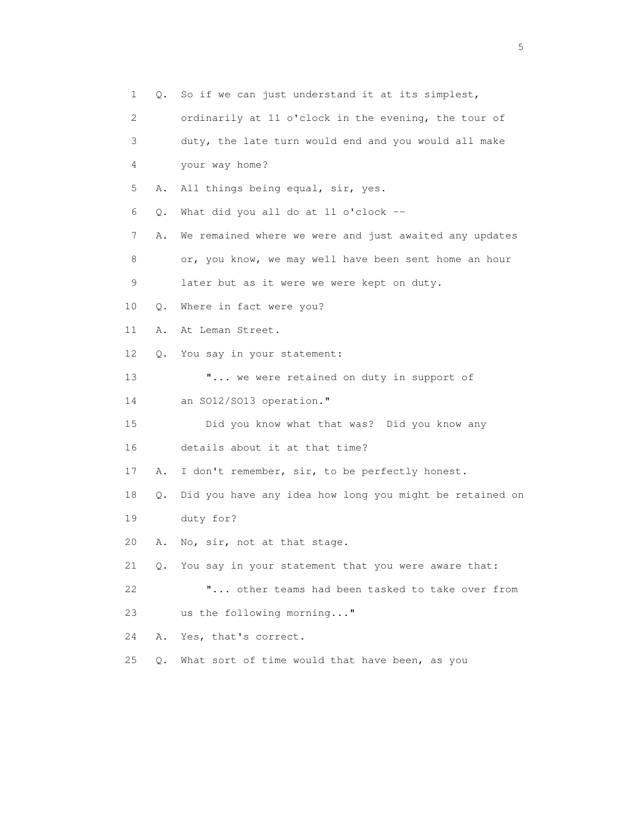1 Q. So if we can just understand it at its simplest, 2 ordinarily at 11 o'clock in the evening, the tour of 3 duty, the late turn would end and you would all make 4 your way home? 5 A. All things being equal, sir, yes. 6 Q. What did you all do at 11 o'clock -- 7 A. We remained where we were and just awaited any updates 8 or, you know, we may well have been sent home an hour 9 later but as it were we were kept on duty. 10 Q. Where in fact were you? 11 A. At Leman Street. 12 Q. You say in your statement: 13 **"...** we were retained on duty in support of 14 an SO12/SO13 operation." 15 Did you know what that was? Did you know any 16 details about it at that time? 17 A. I don't remember, sir, to be perfectly honest. 18 Q. Did you have any idea how long you might be retained on 19 duty for? 20 A. No, sir, not at that stage. 21 Q. You say in your statement that you were aware that: 22 "... other teams had been tasked to take over from 23 us the following morning..." 24 A. Yes, that's correct. 25 Q. What sort of time would that have been, as you

 $\sim$  5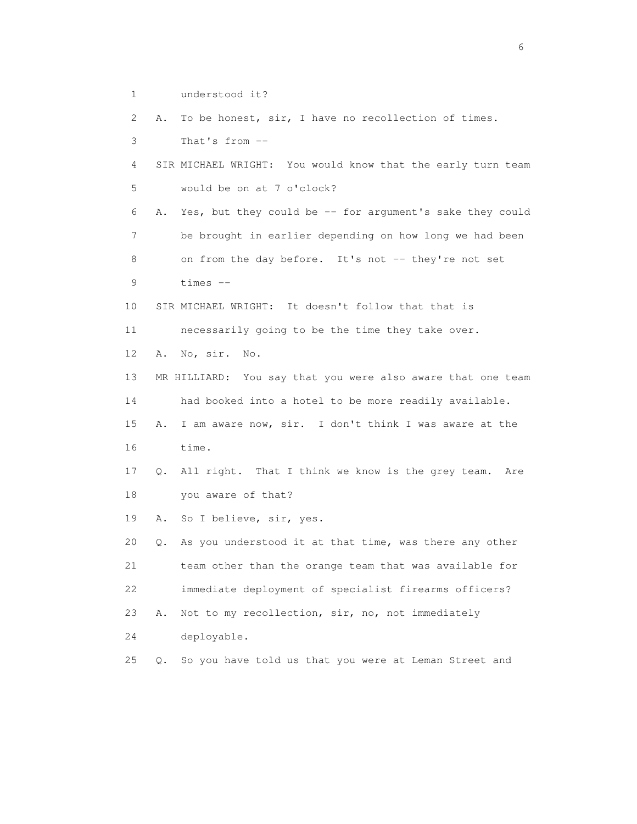1 understood it?

2 A. To be honest, sir, I have no recollection of times.

3 That's from --

```
 4 SIR MICHAEL WRIGHT: You would know that the early turn team 
5 would be on at 7 o'clock?
```
 6 A. Yes, but they could be -- for argument's sake they could 7 be brought in earlier depending on how long we had been 8 on from the day before. It's not -- they're not set 9 times --

10 SIR MICHAEL WRIGHT: It doesn't follow that that is

11 necessarily going to be the time they take over.

12 A. No, sir. No.

 13 MR HILLIARD: You say that you were also aware that one team 14 had booked into a hotel to be more readily available. 15 A. I am aware now, sir. I don't think I was aware at the 16 time.

 17 Q. All right. That I think we know is the grey team. Are 18 you aware of that?

19 A. So I believe, sir, yes.

 20 Q. As you understood it at that time, was there any other 21 team other than the orange team that was available for 22 immediate deployment of specialist firearms officers? 23 A. Not to my recollection, sir, no, not immediately

24 deployable.

25 Q. So you have told us that you were at Leman Street and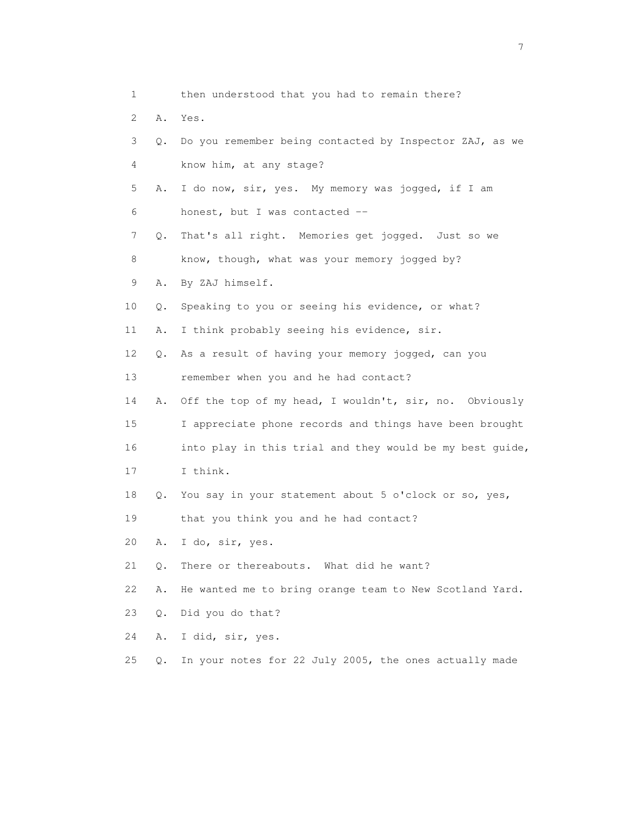| 1               |    | then understood that you had to remain there?            |
|-----------------|----|----------------------------------------------------------|
| 2               | Α. | Yes.                                                     |
| 3               | Q. | Do you remember being contacted by Inspector ZAJ, as we  |
| 4               |    | know him, at any stage?                                  |
| 5               | Α. | I do now, sir, yes. My memory was jogged, if I am        |
| 6               |    | honest, but I was contacted --                           |
| 7               | Q. | That's all right. Memories get jogged. Just so we        |
| 8               |    | know, though, what was your memory jogged by?            |
| 9               | Α. | By ZAJ himself.                                          |
| 10              | Q. | Speaking to you or seeing his evidence, or what?         |
| 11              | Α. | I think probably seeing his evidence, sir.               |
| 12 <sup>°</sup> | Q. | As a result of having your memory jogged, can you        |
| 13              |    | remember when you and he had contact?                    |
| 14              | Α. | Off the top of my head, I wouldn't, sir, no. Obviously   |
| 15              |    | I appreciate phone records and things have been brought  |
| 16              |    | into play in this trial and they would be my best guide, |
| 17              |    | I think.                                                 |
| 18              | Q. | You say in your statement about 5 o'clock or so, yes,    |
| 19              |    | that you think you and he had contact?                   |
| 20              | Α. | I do, sir, yes.                                          |
| 21              | Q. | There or thereabouts. What did he want?                  |
| 22              | Α. | He wanted me to bring orange team to New Scotland Yard.  |
| 23              | Q. | Did you do that?                                         |
| 24              | Α. | I did, sir, yes.                                         |

25 Q. In your notes for 22 July 2005, the ones actually made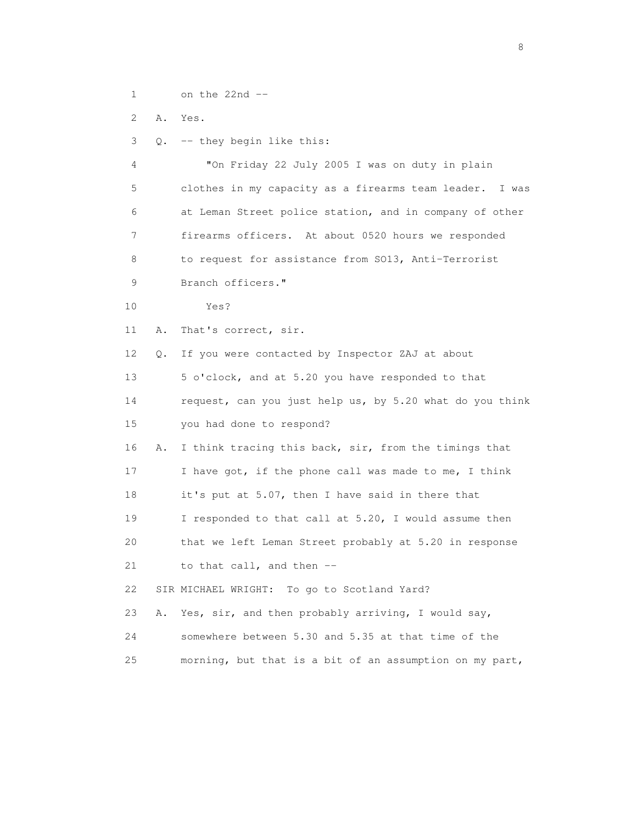1 on the 22nd --

2 A. Yes.

3 Q. -- they begin like this:

 4 "On Friday 22 July 2005 I was on duty in plain 5 clothes in my capacity as a firearms team leader. I was 6 at Leman Street police station, and in company of other 7 firearms officers. At about 0520 hours we responded 8 to request for assistance from SO13, Anti-Terrorist 9 Branch officers." 10 Yes? 11 A. That's correct, sir. 12 Q. If you were contacted by Inspector ZAJ at about 13 5 o'clock, and at 5.20 you have responded to that 14 request, can you just help us, by 5.20 what do you think 15 you had done to respond? 16 A. I think tracing this back, sir, from the timings that 17 I have got, if the phone call was made to me, I think 18 it's put at 5.07, then I have said in there that 19 I responded to that call at 5.20, I would assume then 20 that we left Leman Street probably at 5.20 in response 21 to that call, and then -- 22 SIR MICHAEL WRIGHT: To go to Scotland Yard? 23 A. Yes, sir, and then probably arriving, I would say, 24 somewhere between 5.30 and 5.35 at that time of the 25 morning, but that is a bit of an assumption on my part,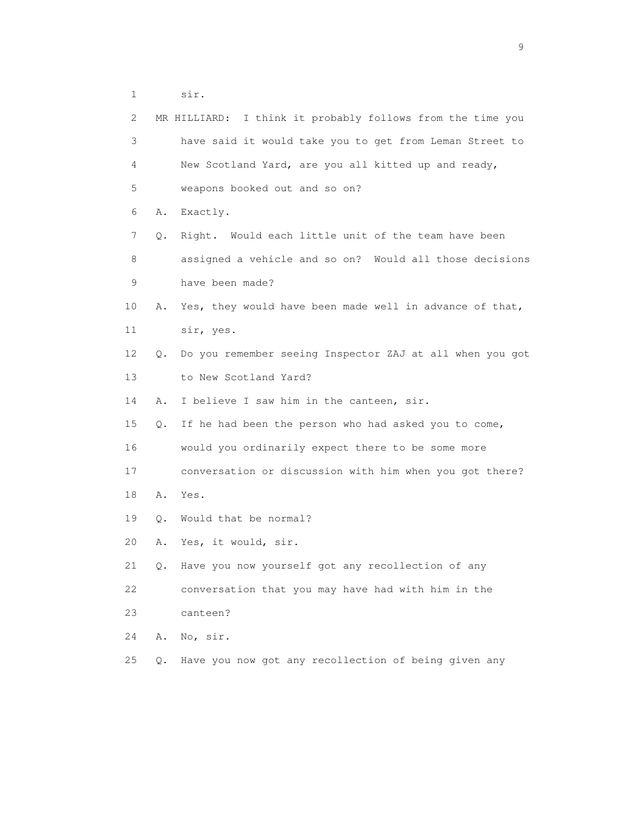1 sir.

| 2  |       | MR HILLIARD: I think it probably follows from the time you |
|----|-------|------------------------------------------------------------|
| 3  |       | have said it would take you to get from Leman Street to    |
| 4  |       | New Scotland Yard, are you all kitted up and ready,        |
| 5  |       | weapons booked out and so on?                              |
| 6  | Α.    | Exactly.                                                   |
| 7  | Q.    | Right. Would each little unit of the team have been        |
| 8  |       | assigned a vehicle and so on? Would all those decisions    |
| 9  |       | have been made?                                            |
| 10 | Α.    | Yes, they would have been made well in advance of that,    |
| 11 |       | sir, yes.                                                  |
| 12 | О.    | Do you remember seeing Inspector ZAJ at all when you got   |
| 13 |       | to New Scotland Yard?                                      |
| 14 | Α.    | I believe I saw him in the canteen, sir.                   |
| 15 | О.    | If he had been the person who had asked you to come,       |
| 16 |       | would you ordinarily expect there to be some more          |
| 17 |       | conversation or discussion with him when you got there?    |
| 18 | Α.    | Yes.                                                       |
| 19 | Q.    | Would that be normal?                                      |
| 20 | Α.    | Yes, it would, sir.                                        |
| 21 | Q.    | Have you now yourself got any recollection of any          |
| 22 |       | conversation that you may have had with him in the         |
| 23 |       | canteen?                                                   |
| 24 | Α.    | No, sir.                                                   |
| 25 | $Q$ . | Have you now got any recollection of being given any       |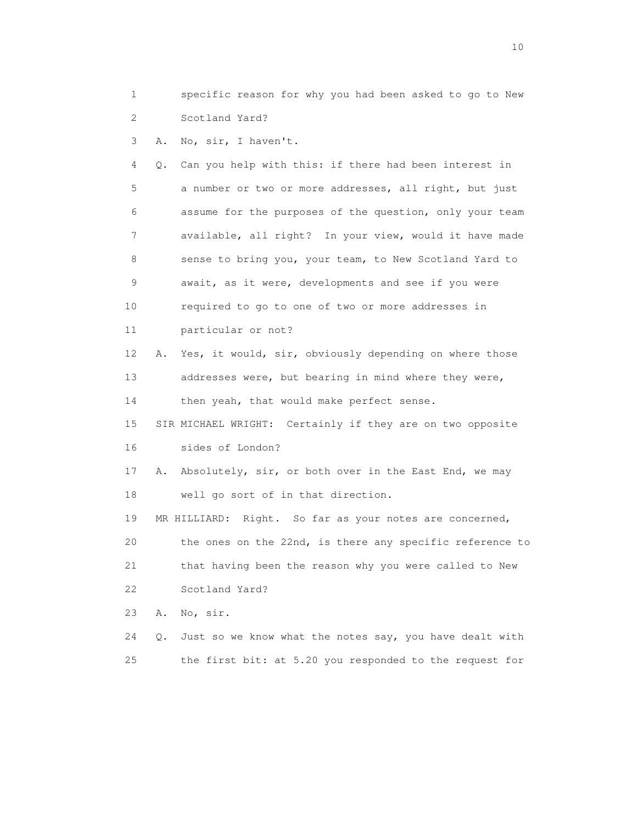1 specific reason for why you had been asked to go to New 2 Scotland Yard?

3 A. No, sir, I haven't.

 4 Q. Can you help with this: if there had been interest in 5 a number or two or more addresses, all right, but just 6 assume for the purposes of the question, only your team 7 available, all right? In your view, would it have made 8 sense to bring you, your team, to New Scotland Yard to 9 await, as it were, developments and see if you were 10 required to go to one of two or more addresses in 11 particular or not?

 12 A. Yes, it would, sir, obviously depending on where those 13 addresses were, but bearing in mind where they were, 14 then yeah, that would make perfect sense.

 15 SIR MICHAEL WRIGHT: Certainly if they are on two opposite 16 sides of London?

 17 A. Absolutely, sir, or both over in the East End, we may 18 well go sort of in that direction.

 19 MR HILLIARD: Right. So far as your notes are concerned, 20 the ones on the 22nd, is there any specific reference to 21 that having been the reason why you were called to New 22 Scotland Yard?

23 A. No, sir.

24 Q. Just so we know what the notes say, you have dealt with 25 the first bit: at 5.20 you responded to the request for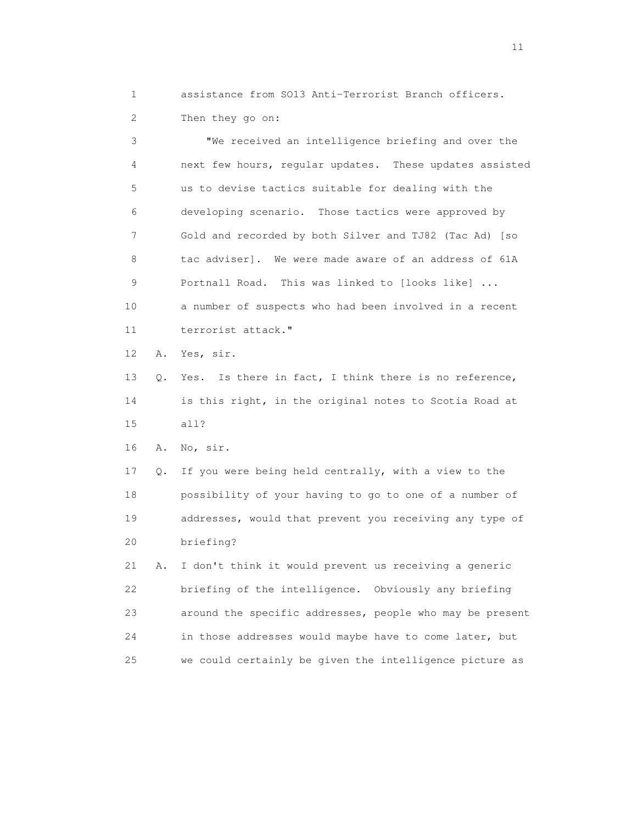1 assistance from SO13 Anti-Terrorist Branch officers. 2 Then they go on:

 3 "We received an intelligence briefing and over the 4 next few hours, regular updates. These updates assisted 5 us to devise tactics suitable for dealing with the 6 developing scenario. Those tactics were approved by 7 Gold and recorded by both Silver and TJ82 (Tac Ad) [so 8 tac adviser]. We were made aware of an address of 61A 9 Portnall Road. This was linked to [looks like] ... 10 a number of suspects who had been involved in a recent 11 terrorist attack." 12 A. Yes, sir. 13 Q. Yes. Is there in fact, I think there is no reference, 14 is this right, in the original notes to Scotia Road at 15 all? 16 A. No, sir. 17 Q. If you were being held centrally, with a view to the 18 possibility of your having to go to one of a number of 19 addresses, would that prevent you receiving any type of

20 briefing?

 21 A. I don't think it would prevent us receiving a generic 22 briefing of the intelligence. Obviously any briefing 23 around the specific addresses, people who may be present 24 in those addresses would maybe have to come later, but 25 we could certainly be given the intelligence picture as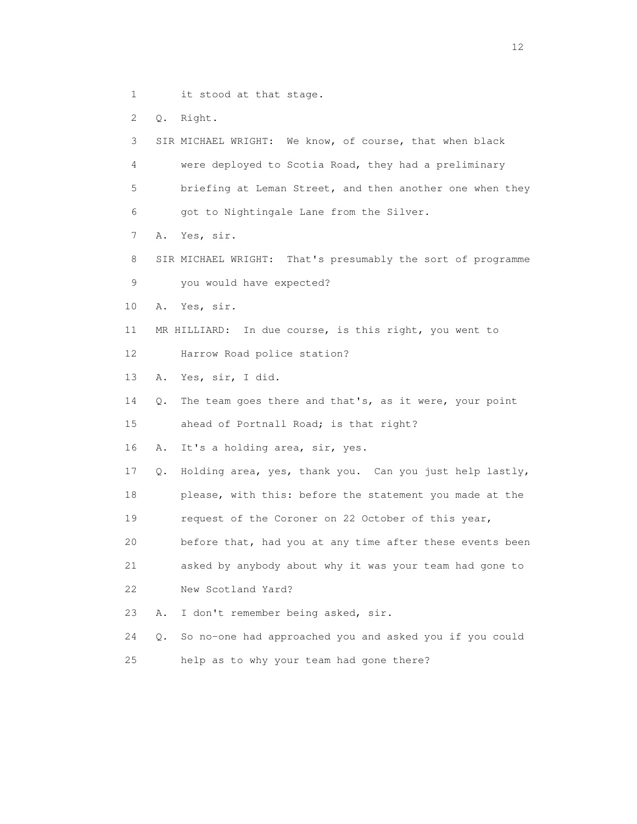- 1 it stood at that stage.
- 2 Q. Right.

3 SIR MICHAEL WRIGHT: We know, of course, that when black

- 4 were deployed to Scotia Road, they had a preliminary
- 5 briefing at Leman Street, and then another one when they
- 6 got to Nightingale Lane from the Silver.
- 7 A. Yes, sir.
- 8 SIR MICHAEL WRIGHT: That's presumably the sort of programme 9 you would have expected?
- 10 A. Yes, sir.
- 11 MR HILLIARD: In due course, is this right, you went to
- 12 Harrow Road police station?
- 13 A. Yes, sir, I did.
- 14 Q. The team goes there and that's, as it were, your point 15 ahead of Portnall Road; is that right?
- 
- 16 A. It's a holding area, sir, yes.
- 17 Q. Holding area, yes, thank you. Can you just help lastly,
- 18 please, with this: before the statement you made at the
- 19 request of the Coroner on 22 October of this year,
- 20 before that, had you at any time after these events been
- 21 asked by anybody about why it was your team had gone to 22 New Scotland Yard?
- 
- 23 A. I don't remember being asked, sir.
- 24 Q. So no-one had approached you and asked you if you could 25 help as to why your team had gone there?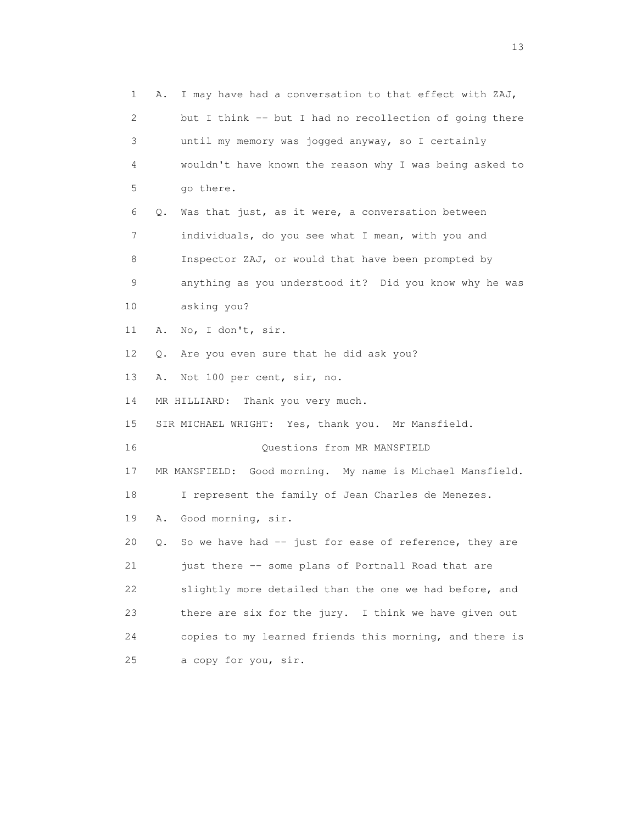1 A. I may have had a conversation to that effect with ZAJ, 2 but I think -- but I had no recollection of going there 3 until my memory was jogged anyway, so I certainly 4 wouldn't have known the reason why I was being asked to 5 go there. 6 Q. Was that just, as it were, a conversation between 7 individuals, do you see what I mean, with you and 8 Inspector ZAJ, or would that have been prompted by 9 anything as you understood it? Did you know why he was 10 asking you? 11 A. No, I don't, sir. 12 Q. Are you even sure that he did ask you? 13 A. Not 100 per cent, sir, no. 14 MR HILLIARD: Thank you very much. 15 SIR MICHAEL WRIGHT: Yes, thank you. Mr Mansfield. 16 Questions from MR MANSFIELD 17 MR MANSFIELD: Good morning. My name is Michael Mansfield. 18 I represent the family of Jean Charles de Menezes. 19 A. Good morning, sir. 20 Q. So we have had -- just for ease of reference, they are 21 just there -- some plans of Portnall Road that are 22 slightly more detailed than the one we had before, and 23 there are six for the jury. I think we have given out 24 copies to my learned friends this morning, and there is 25 a copy for you, sir.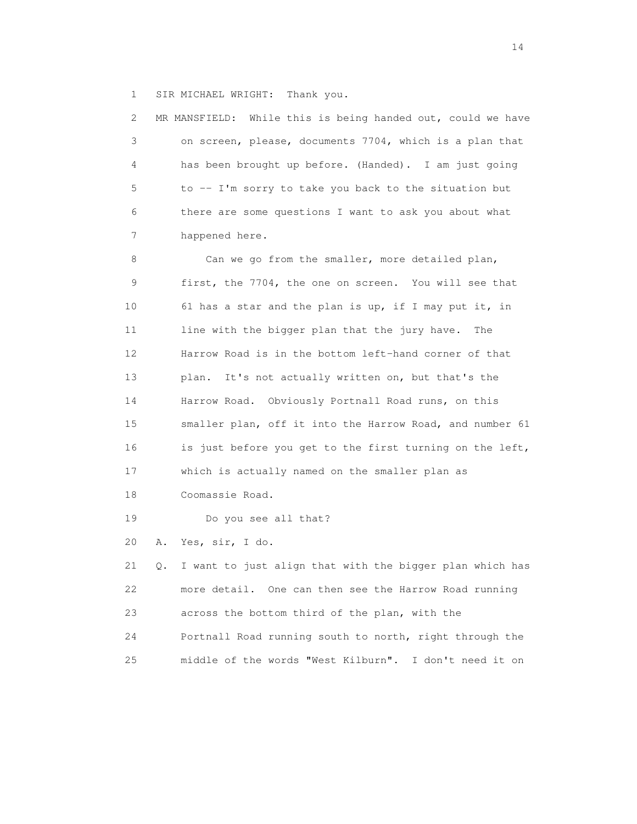1 SIR MICHAEL WRIGHT: Thank you.

 2 MR MANSFIELD: While this is being handed out, could we have 3 on screen, please, documents 7704, which is a plan that 4 has been brought up before. (Handed). I am just going 5 to -- I'm sorry to take you back to the situation but 6 there are some questions I want to ask you about what 7 happened here. 8 Can we go from the smaller, more detailed plan, 9 first, the 7704, the one on screen. You will see that 10 61 has a star and the plan is up, if I may put it, in 11 line with the bigger plan that the jury have. The 12 Harrow Road is in the bottom left-hand corner of that 13 plan. It's not actually written on, but that's the 14 Harrow Road. Obviously Portnall Road runs, on this 15 smaller plan, off it into the Harrow Road, and number 61 16 is just before you get to the first turning on the left, 17 which is actually named on the smaller plan as 18 Coomassie Road. 19 Do you see all that? 20 A. Yes, sir, I do. 21 Q. I want to just align that with the bigger plan which has 22 more detail. One can then see the Harrow Road running

 23 across the bottom third of the plan, with the 24 Portnall Road running south to north, right through the 25 middle of the words "West Kilburn". I don't need it on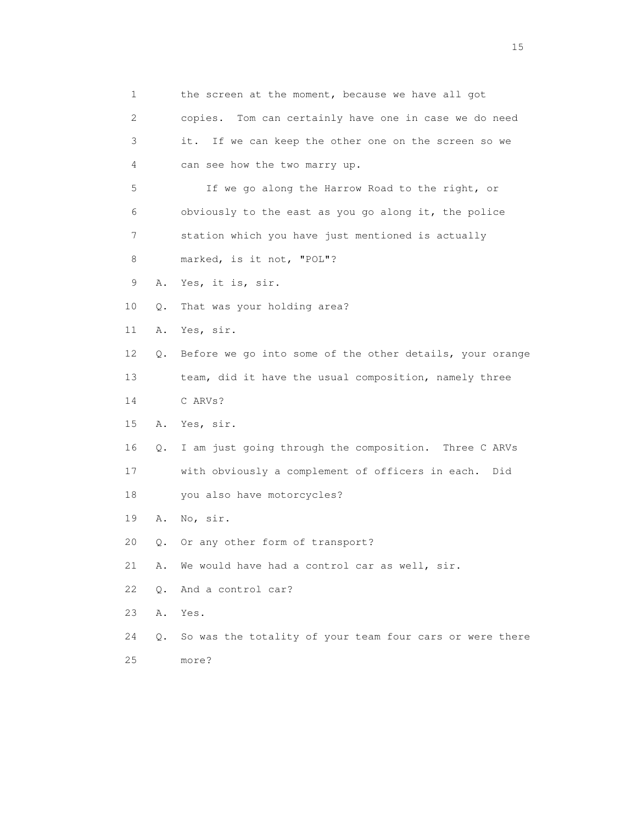| 1  |    | the screen at the moment, because we have all got        |
|----|----|----------------------------------------------------------|
| 2  |    | Tom can certainly have one in case we do need<br>copies. |
| 3  |    | If we can keep the other one on the screen so we<br>it.  |
| 4  |    | can see how the two marry up.                            |
| 5  |    | If we go along the Harrow Road to the right, or          |
| 6  |    | obviously to the east as you go along it, the police     |
| 7  |    | station which you have just mentioned is actually        |
| 8  |    | marked, is it not, "POL"?                                |
| 9  | Α. | Yes, it is, sir.                                         |
| 10 | Q. | That was your holding area?                              |
| 11 | Α. | Yes, sir.                                                |
| 12 | Q. | Before we go into some of the other details, your orange |
| 13 |    | team, did it have the usual composition, namely three    |
| 14 |    | C ARVs?                                                  |
| 15 | Α. | Yes, sir.                                                |
| 16 | Q. | I am just going through the composition. Three C ARVs    |
| 17 |    | with obviously a complement of officers in each. Did     |
| 18 |    | you also have motorcycles?                               |
| 19 | Α. | No, sir.                                                 |
| 20 | Q. | Or any other form of transport?                          |
| 21 | Α. | We would have had a control car as well, sir.            |
| 22 | Q. | And a control car?                                       |
| 23 | Α. | Yes.                                                     |
| 24 | Q. | So was the totality of your team four cars or were there |
| 25 |    | more?                                                    |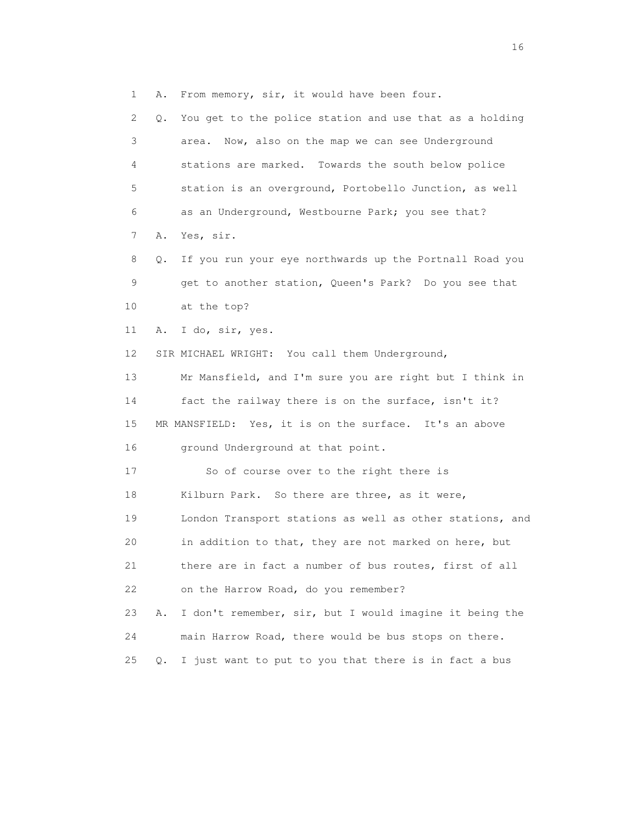1 A. From memory, sir, it would have been four. 2 Q. You get to the police station and use that as a holding 3 area. Now, also on the map we can see Underground 4 stations are marked. Towards the south below police 5 station is an overground, Portobello Junction, as well 6 as an Underground, Westbourne Park; you see that? 7 A. Yes, sir. 8 Q. If you run your eye northwards up the Portnall Road you 9 get to another station, Queen's Park? Do you see that 10 at the top? 11 A. I do, sir, yes. 12 SIR MICHAEL WRIGHT: You call them Underground, 13 Mr Mansfield, and I'm sure you are right but I think in 14 fact the railway there is on the surface, isn't it? 15 MR MANSFIELD: Yes, it is on the surface. It's an above 16 ground Underground at that point. 17 So of course over to the right there is 18 Kilburn Park. So there are three, as it were, 19 London Transport stations as well as other stations, and 20 in addition to that, they are not marked on here, but 21 there are in fact a number of bus routes, first of all 22 on the Harrow Road, do you remember? 23 A. I don't remember, sir, but I would imagine it being the 24 main Harrow Road, there would be bus stops on there. 25 Q. I just want to put to you that there is in fact a bus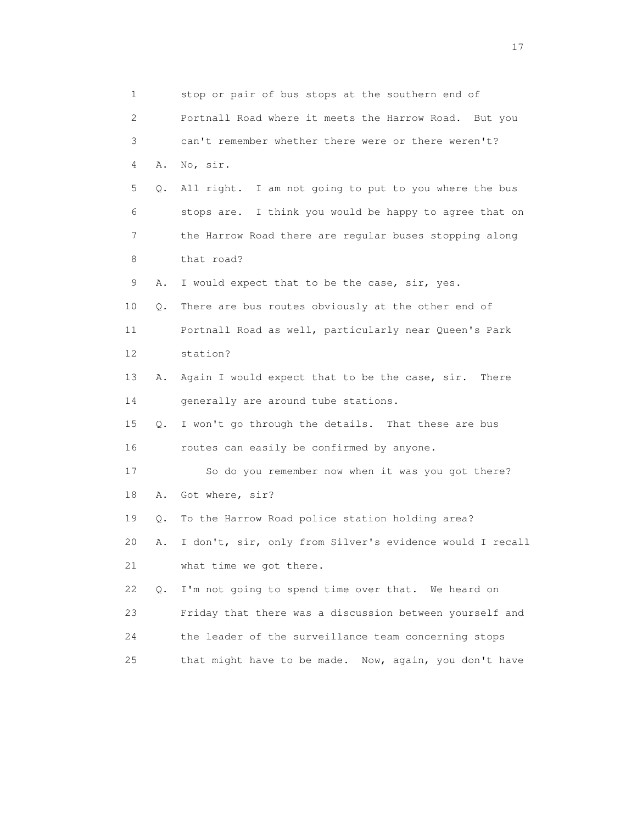1 stop or pair of bus stops at the southern end of 2 Portnall Road where it meets the Harrow Road. But you 3 can't remember whether there were or there weren't? 4 A. No, sir. 5 Q. All right. I am not going to put to you where the bus 6 stops are. I think you would be happy to agree that on 7 the Harrow Road there are regular buses stopping along 8 that road? 9 A. I would expect that to be the case, sir, yes. 10 Q. There are bus routes obviously at the other end of 11 Portnall Road as well, particularly near Queen's Park 12 station? 13 A. Again I would expect that to be the case, sir. There 14 generally are around tube stations. 15 Q. I won't go through the details. That these are bus 16 routes can easily be confirmed by anyone. 17 So do you remember now when it was you got there? 18 A. Got where, sir? 19 Q. To the Harrow Road police station holding area? 20 A. I don't, sir, only from Silver's evidence would I recall 21 what time we got there. 22 Q. I'm not going to spend time over that. We heard on 23 Friday that there was a discussion between yourself and 24 the leader of the surveillance team concerning stops 25 that might have to be made. Now, again, you don't have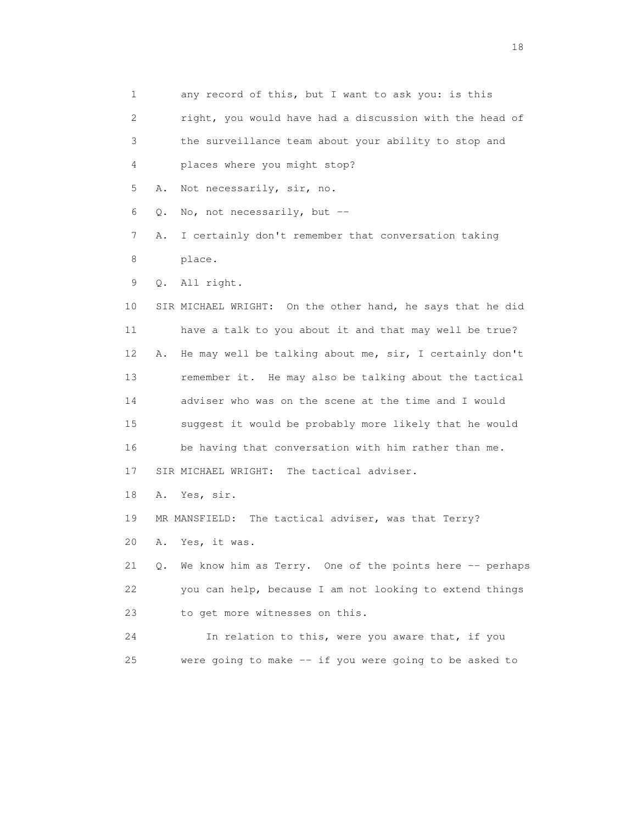1 any record of this, but I want to ask you: is this 2 right, you would have had a discussion with the head of 3 the surveillance team about your ability to stop and 4 places where you might stop? 5 A. Not necessarily, sir, no. 6 Q. No, not necessarily, but -- 7 A. I certainly don't remember that conversation taking 8 place. 9 Q. All right. 10 SIR MICHAEL WRIGHT: On the other hand, he says that he did 11 have a talk to you about it and that may well be true? 12 A. He may well be talking about me, sir, I certainly don't 13 remember it. He may also be talking about the tactical 14 adviser who was on the scene at the time and I would 15 suggest it would be probably more likely that he would 16 be having that conversation with him rather than me. 17 SIR MICHAEL WRIGHT: The tactical adviser. 18 A. Yes, sir. 19 MR MANSFIELD: The tactical adviser, was that Terry? 20 A. Yes, it was. 21 Q. We know him as Terry. One of the points here -- perhaps 22 you can help, because I am not looking to extend things 23 to get more witnesses on this. 24 In relation to this, were you aware that, if you 25 were going to make -- if you were going to be asked to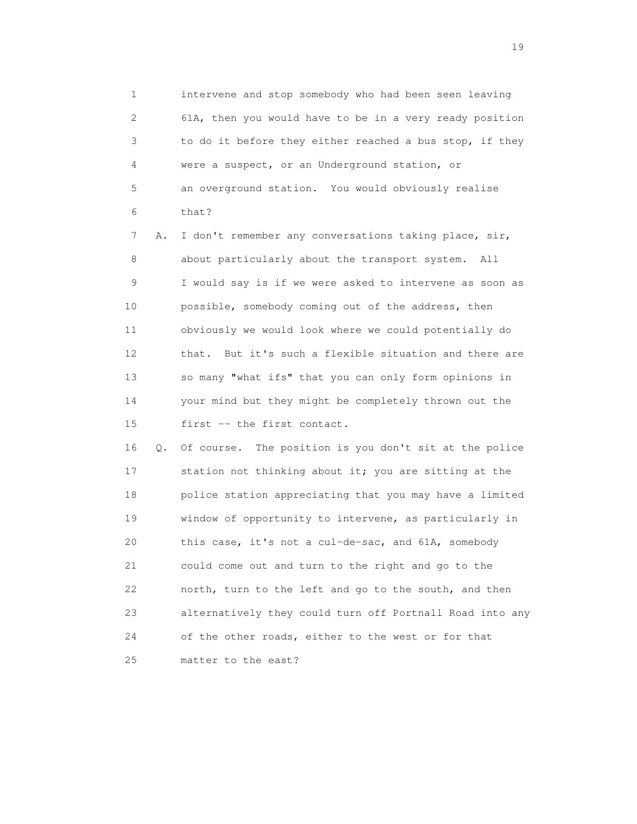1 intervene and stop somebody who had been seen leaving 2 61A, then you would have to be in a very ready position 3 to do it before they either reached a bus stop, if they 4 were a suspect, or an Underground station, or 5 an overground station. You would obviously realise 6 that?

 7 A. I don't remember any conversations taking place, sir, 8 about particularly about the transport system. All 9 I would say is if we were asked to intervene as soon as 10 possible, somebody coming out of the address, then 11 obviously we would look where we could potentially do 12 that. But it's such a flexible situation and there are 13 so many "what ifs" that you can only form opinions in 14 your mind but they might be completely thrown out the 15 first -- the first contact.

 16 Q. Of course. The position is you don't sit at the police 17 station not thinking about it; you are sitting at the 18 police station appreciating that you may have a limited 19 window of opportunity to intervene, as particularly in 20 this case, it's not a cul-de-sac, and 61A, somebody 21 could come out and turn to the right and go to the 22 north, turn to the left and go to the south, and then 23 alternatively they could turn off Portnall Road into any 24 of the other roads, either to the west or for that 25 matter to the east?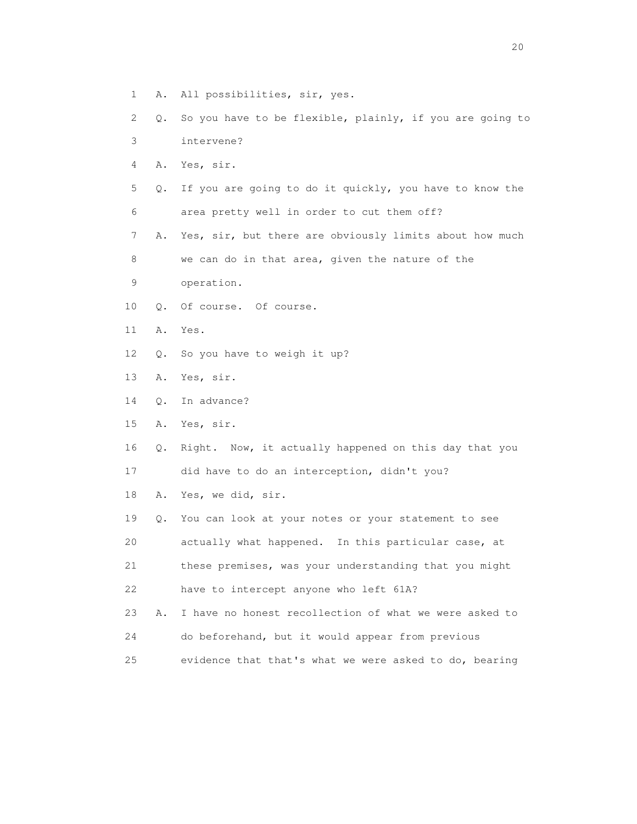- 1 A. All possibilities, sir, yes.
- 2 Q. So you have to be flexible, plainly, if you are going to 3 intervene?
- 4 A. Yes, sir.
- 5 Q. If you are going to do it quickly, you have to know the 6 area pretty well in order to cut them off?
- 7 A. Yes, sir, but there are obviously limits about how much 8 we can do in that area, given the nature of the
- 9 operation.
- 10 Q. Of course. Of course.
- 11 A. Yes.
- 12 Q. So you have to weigh it up?
- 13 A. Yes, sir.
- 14 Q. In advance?
- 15 A. Yes, sir.
- 16 Q. Right. Now, it actually happened on this day that you 17 did have to do an interception, didn't you?
- 18 A. Yes, we did, sir.
- 19 Q. You can look at your notes or your statement to see 20 actually what happened. In this particular case, at 21 these premises, was your understanding that you might 22 have to intercept anyone who left 61A?
- 23 A. I have no honest recollection of what we were asked to 24 do beforehand, but it would appear from previous
- 25 evidence that that's what we were asked to do, bearing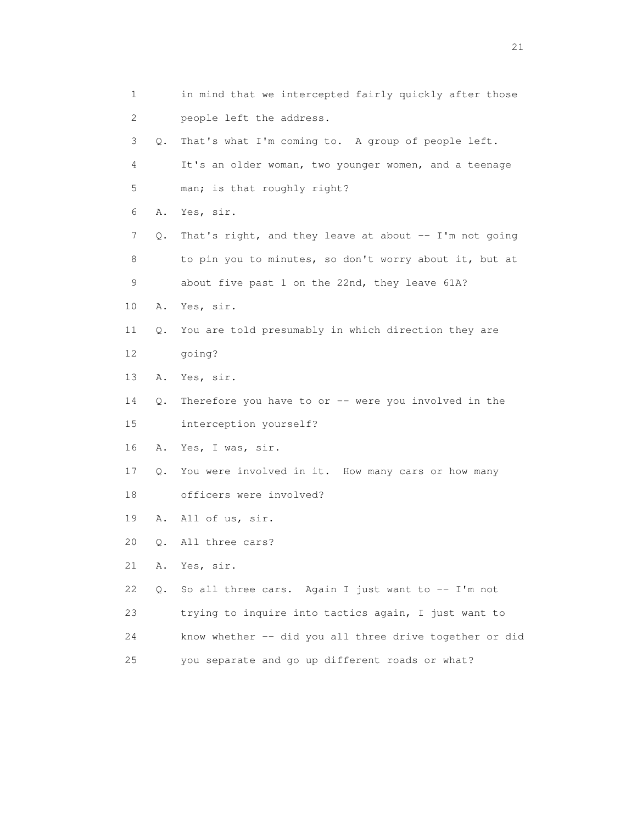1 in mind that we intercepted fairly quickly after those 2 people left the address. 3 Q. That's what I'm coming to. A group of people left. 4 It's an older woman, two younger women, and a teenage 5 man; is that roughly right? 6 A. Yes, sir. 7 Q. That's right, and they leave at about -- I'm not going 8 to pin you to minutes, so don't worry about it, but at 9 about five past 1 on the 22nd, they leave 61A? 10 A. Yes, sir. 11 Q. You are told presumably in which direction they are 12 going? 13 A. Yes, sir. 14 Q. Therefore you have to or -- were you involved in the 15 interception yourself? 16 A. Yes, I was, sir. 17 Q. You were involved in it. How many cars or how many 18 officers were involved? 19 A. All of us, sir. 20 Q. All three cars? 21 A. Yes, sir. 22 Q. So all three cars. Again I just want to -- I'm not 23 trying to inquire into tactics again, I just want to 24 know whether -- did you all three drive together or did 25 you separate and go up different roads or what?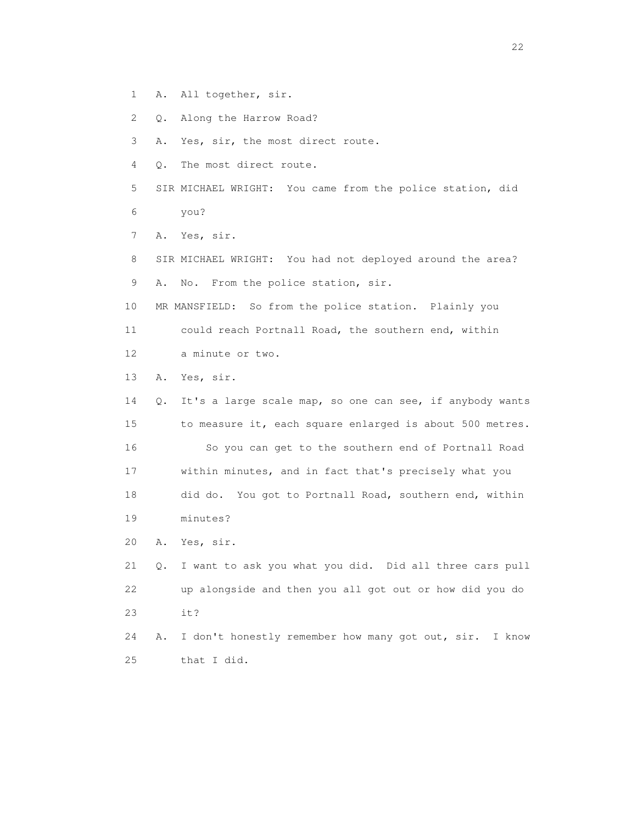- 1 A. All together, sir.
- 2 Q. Along the Harrow Road?
- 3 A. Yes, sir, the most direct route.
- 4 Q. The most direct route.
- 5 SIR MICHAEL WRIGHT: You came from the police station, did 6 you?
- 7 A. Yes, sir.
- 8 SIR MICHAEL WRIGHT: You had not deployed around the area? 9 A. No. From the police station, sir.
- 10 MR MANSFIELD: So from the police station. Plainly you
- 11 could reach Portnall Road, the southern end, within
- 12 a minute or two.
- 13 A. Yes, sir.

 14 Q. It's a large scale map, so one can see, if anybody wants 15 to measure it, each square enlarged is about 500 metres. 16 So you can get to the southern end of Portnall Road 17 within minutes, and in fact that's precisely what you 18 did do. You got to Portnall Road, southern end, within 19 minutes?

20 A. Yes, sir.

 21 Q. I want to ask you what you did. Did all three cars pull 22 up alongside and then you all got out or how did you do 23 it?

 24 A. I don't honestly remember how many got out, sir. I know 25 that I did.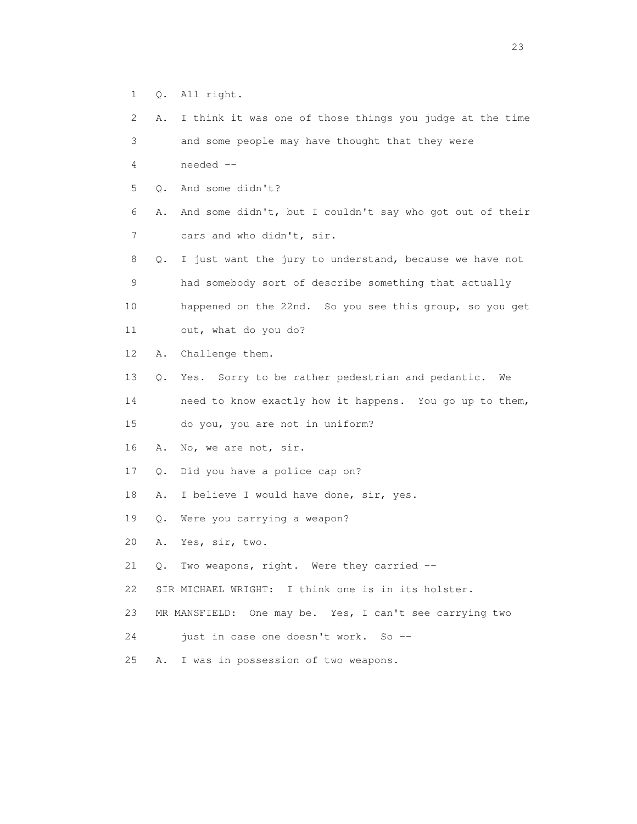- 1 Q. All right.
- 2 A. I think it was one of those things you judge at the time 3 and some people may have thought that they were 4 needed -- 5 Q. And some didn't? 6 A. And some didn't, but I couldn't say who got out of their 7 cars and who didn't, sir. 8 Q. I just want the jury to understand, because we have not 9 had somebody sort of describe something that actually 10 happened on the 22nd. So you see this group, so you get 11 out, what do you do? 12 A. Challenge them. 13 Q. Yes. Sorry to be rather pedestrian and pedantic. We 14 need to know exactly how it happens. You go up to them, 15 do you, you are not in uniform? 16 A. No, we are not, sir. 17 Q. Did you have a police cap on? 18 A. I believe I would have done, sir, yes. 19 Q. Were you carrying a weapon? 20 A. Yes, sir, two. 21 Q. Two weapons, right. Were they carried -- 22 SIR MICHAEL WRIGHT: I think one is in its holster. 23 MR MANSFIELD: One may be. Yes, I can't see carrying two 24 just in case one doesn't work. So --25 A. I was in possession of two weapons.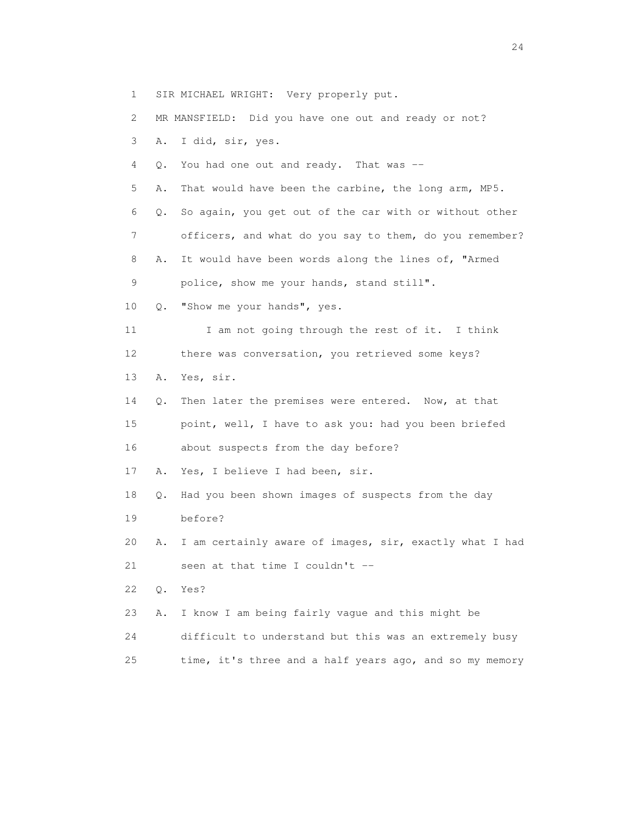- 1 SIR MICHAEL WRIGHT: Very properly put.
- 2 MR MANSFIELD: Did you have one out and ready or not?
- 3 A. I did, sir, yes.
- 4 Q. You had one out and ready. That was --
- 5 A. That would have been the carbine, the long arm, MP5.
- 6 Q. So again, you get out of the car with or without other 7 officers, and what do you say to them, do you remember?
- 8 A. It would have been words along the lines of, "Armed
- 9 police, show me your hands, stand still".
- 10 Q. "Show me your hands", yes.
- 11 I am not going through the rest of it. I think 12 there was conversation, you retrieved some keys?
- 13 A. Yes, sir.
- 14 Q. Then later the premises were entered. Now, at that 15 point, well, I have to ask you: had you been briefed 16 about suspects from the day before?
- 17 A. Yes, I believe I had been, sir.
- 18 Q. Had you been shown images of suspects from the day 19 before?
- 20 A. I am certainly aware of images, sir, exactly what I had 21 seen at that time I couldn't --
- 22 Q. Yes?
- 23 A. I know I am being fairly vague and this might be
- 24 difficult to understand but this was an extremely busy
- 25 time, it's three and a half years ago, and so my memory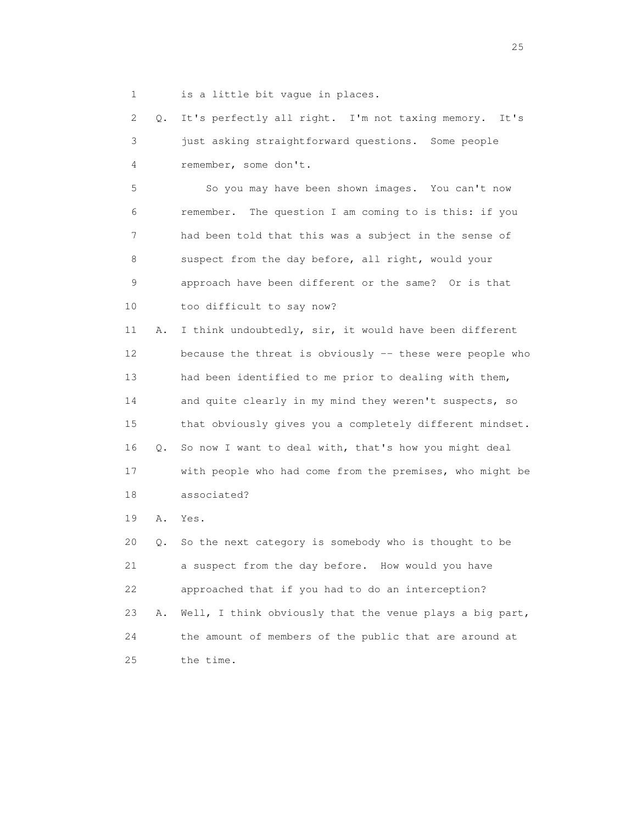1 is a little bit vague in places.

 2 Q. It's perfectly all right. I'm not taxing memory. It's 3 just asking straightforward questions. Some people 4 remember, some don't.

 5 So you may have been shown images. You can't now 6 remember. The question I am coming to is this: if you 7 had been told that this was a subject in the sense of 8 suspect from the day before, all right, would your 9 approach have been different or the same? Or is that 10 too difficult to say now?

 11 A. I think undoubtedly, sir, it would have been different 12 because the threat is obviously -- these were people who 13 had been identified to me prior to dealing with them, 14 and quite clearly in my mind they weren't suspects, so 15 that obviously gives you a completely different mindset. 16 Q. So now I want to deal with, that's how you might deal 17 with people who had come from the premises, who might be 18 associated?

19 A. Yes.

 20 Q. So the next category is somebody who is thought to be 21 a suspect from the day before. How would you have 22 approached that if you had to do an interception? 23 A. Well, I think obviously that the venue plays a big part, 24 the amount of members of the public that are around at 25 the time.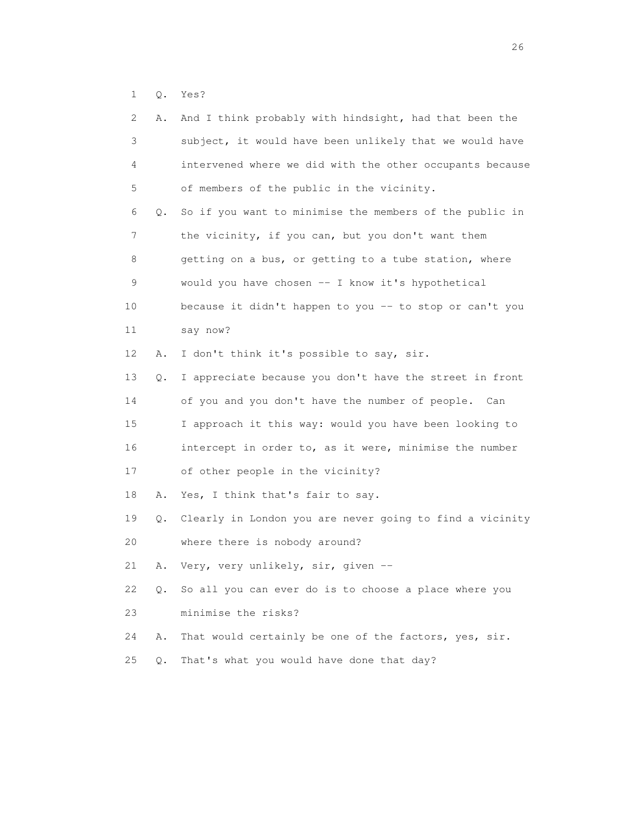1 Q. Yes?

| 2  | Α. | And I think probably with hindsight, had that been the   |
|----|----|----------------------------------------------------------|
| 3  |    | subject, it would have been unlikely that we would have  |
| 4  |    | intervened where we did with the other occupants because |
| 5  |    | of members of the public in the vicinity.                |
| 6  | Q. | So if you want to minimise the members of the public in  |
| 7  |    | the vicinity, if you can, but you don't want them        |
| 8  |    | getting on a bus, or getting to a tube station, where    |
| 9  |    | would you have chosen -- I know it's hypothetical        |
| 10 |    | because it didn't happen to you -- to stop or can't you  |
| 11 |    | say now?                                                 |
| 12 | Α. | I don't think it's possible to say, sir.                 |
| 13 | Q. | I appreciate because you don't have the street in front  |
| 14 |    | of you and you don't have the number of people. Can      |
| 15 |    | I approach it this way: would you have been looking to   |
| 16 |    | intercept in order to, as it were, minimise the number   |
| 17 |    | of other people in the vicinity?                         |
| 18 | Α. | Yes, I think that's fair to say.                         |
| 19 | Q. | Clearly in London you are never going to find a vicinity |
| 20 |    | where there is nobody around?                            |
| 21 | Α. | Very, very unlikely, sir, given --                       |
| 22 | Q. | So all you can ever do is to choose a place where you    |
| 23 |    | minimise the risks?                                      |
| 24 | Α. | That would certainly be one of the factors, yes, sir.    |
| 25 | Q. | That's what you would have done that day?                |
|    |    |                                                          |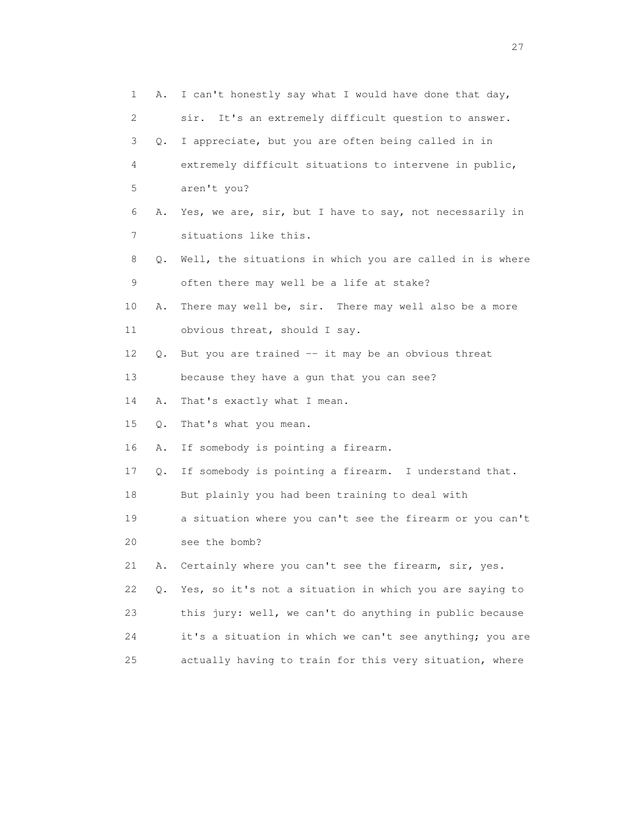| 1              | Α. | I can't honestly say what I would have done that day,    |
|----------------|----|----------------------------------------------------------|
| 2              |    | It's an extremely difficult question to answer.<br>sir.  |
| 3              | Q. | I appreciate, but you are often being called in in       |
| 4              |    | extremely difficult situations to intervene in public,   |
| 5              |    | aren't you?                                              |
| 6              | Α. | Yes, we are, sir, but I have to say, not necessarily in  |
| $7\phantom{.}$ |    | situations like this.                                    |
| 8              | Q. | Well, the situations in which you are called in is where |
| 9              |    | often there may well be a life at stake?                 |
| 10             | Α. | There may well be, sir. There may well also be a more    |
| 11             |    | obvious threat, should I say.                            |
| 12             | Q. | But you are trained -- it may be an obvious threat       |
| 13             |    | because they have a qun that you can see?                |
| 14             | Α. | That's exactly what I mean.                              |
| 15             | Q. | That's what you mean.                                    |
| 16             | Α. | If somebody is pointing a firearm.                       |
| 17             | Q. | If somebody is pointing a firearm. I understand that.    |
| 18             |    | But plainly you had been training to deal with           |
| 19             |    | a situation where you can't see the firearm or you can't |
| 20             |    | see the bomb?                                            |
| 21             | Α. | Certainly where you can't see the firearm, sir, yes.     |
| 22             | Q. | Yes, so it's not a situation in which you are saying to  |
| 23             |    | this jury: well, we can't do anything in public because  |
| 24             |    | it's a situation in which we can't see anything; you are |
| 25             |    | actually having to train for this very situation, where  |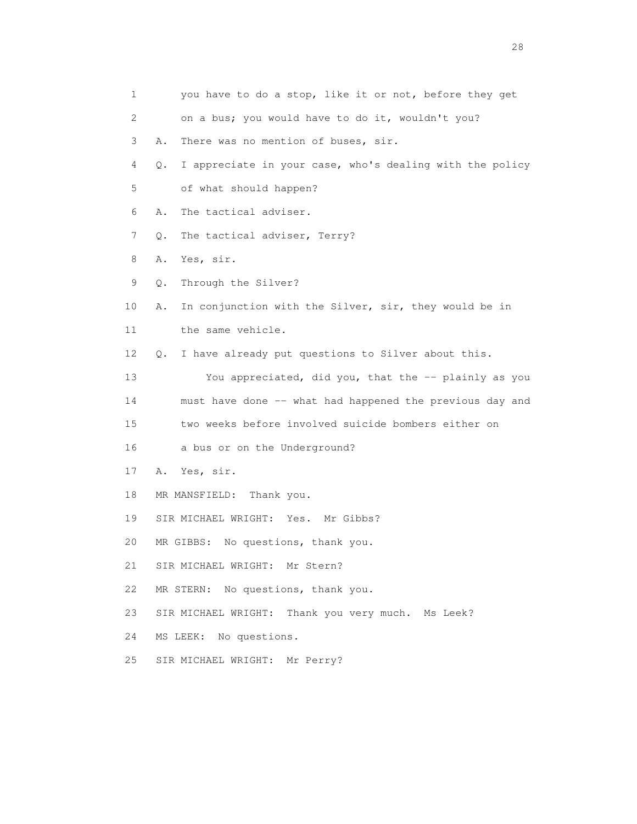| 1  | you have to do a stop, like it or not, before they get          |
|----|-----------------------------------------------------------------|
| 2  | on a bus; you would have to do it, wouldn't you?                |
| 3  | There was no mention of buses, sir.<br>Α.                       |
| 4  | I appreciate in your case, who's dealing with the policy<br>Q.  |
| 5  | of what should happen?                                          |
| 6  | The tactical adviser.<br>Α.                                     |
| 7  | The tactical adviser, Terry?<br>Q.                              |
| 8  | Yes, sir.<br>Α.                                                 |
| 9  | Through the Silver?<br>Q.                                       |
| 10 | In conjunction with the Silver, sir, they would be in<br>Α.     |
| 11 | the same vehicle.                                               |
| 12 | I have already put questions to Silver about this.<br>$\circ$ . |
| 13 | You appreciated, did you, that the -- plainly as you            |
| 14 | must have done -- what had happened the previous day and        |
| 15 | two weeks before involved suicide bombers either on             |
| 16 | a bus or on the Underground?                                    |
| 17 | Yes, sir.<br>Α.                                                 |
| 18 | MR MANSFIELD:<br>Thank you.                                     |
| 19 | SIR MICHAEL WRIGHT: Yes. Mr Gibbs?                              |
| 20 | No questions, thank you.<br>MR GIBBS:                           |
| 21 | SIR MICHAEL WRIGHT: Mr Stern?                                   |
| 22 | MR STERN: No questions, thank you.                              |
| 23 | SIR MICHAEL WRIGHT: Thank you very much. Ms Leek?               |
| 24 | MS LEEK: No questions.                                          |
| 25 | SIR MICHAEL WRIGHT: Mr Perry?                                   |

28 and 28 and 28 and 28 and 28 and 28 and 28 and 28 and 28 and 28 and 28 and 28 and 28 and 28 and 28 and 28 and 28 and 28 and 28 and 28 and 28 and 28 and 28 and 28 and 28 and 28 and 28 and 28 and 28 and 28 and 28 and 28 an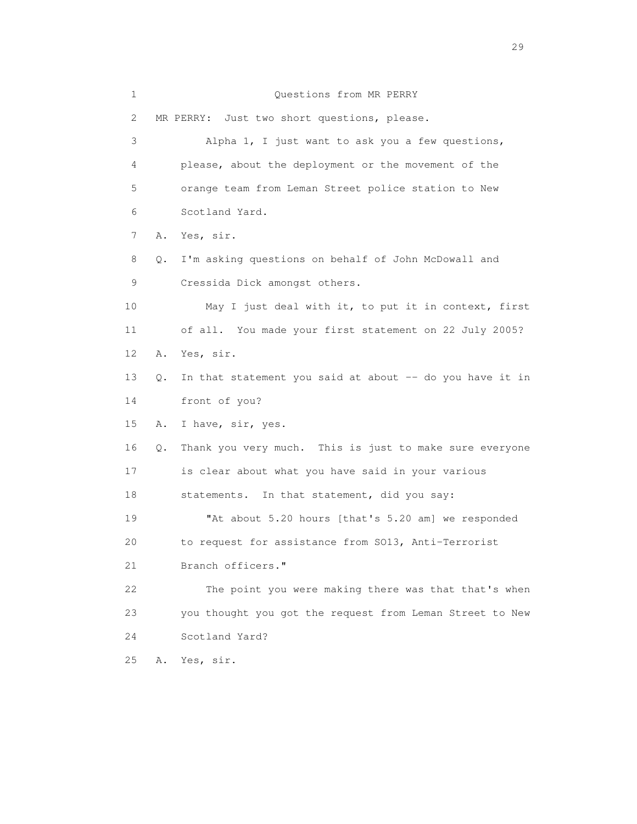| $\mathbf 1$ |    | Questions from MR PERRY                                  |
|-------------|----|----------------------------------------------------------|
| 2           |    | MR PERRY: Just two short questions, please.              |
| 3           |    | Alpha 1, I just want to ask you a few questions,         |
| 4           |    | please, about the deployment or the movement of the      |
| 5           |    | orange team from Leman Street police station to New      |
| 6           |    | Scotland Yard.                                           |
| 7           | Α. | Yes, sir.                                                |
| 8           | Q. | I'm asking questions on behalf of John McDowall and      |
| 9           |    | Cressida Dick amongst others.                            |
| 10          |    | May I just deal with it, to put it in context, first     |
| 11          |    | of all. You made your first statement on 22 July 2005?   |
| 12          | Α. | Yes, sir.                                                |
| 13          | Q. | In that statement you said at about -- do you have it in |
| 14          |    | front of you?                                            |
| 15          | Α. | I have, sir, yes.                                        |
| 16          | Q. | Thank you very much. This is just to make sure everyone  |
| 17          |    | is clear about what you have said in your various        |
| 18          |    | statements. In that statement, did you say:              |
| 19          |    | "At about 5.20 hours [that's 5.20 am] we responded       |
| 20          |    | to request for assistance from SO13, Anti-Terrorist      |
| 21          |    | Branch officers."                                        |
| 22          |    | The point you were making there was that that's when     |
| 23          |    | you thought you got the request from Leman Street to New |
| 24          |    | Scotland Yard?                                           |
| 25          | Α. | Yes, sir.                                                |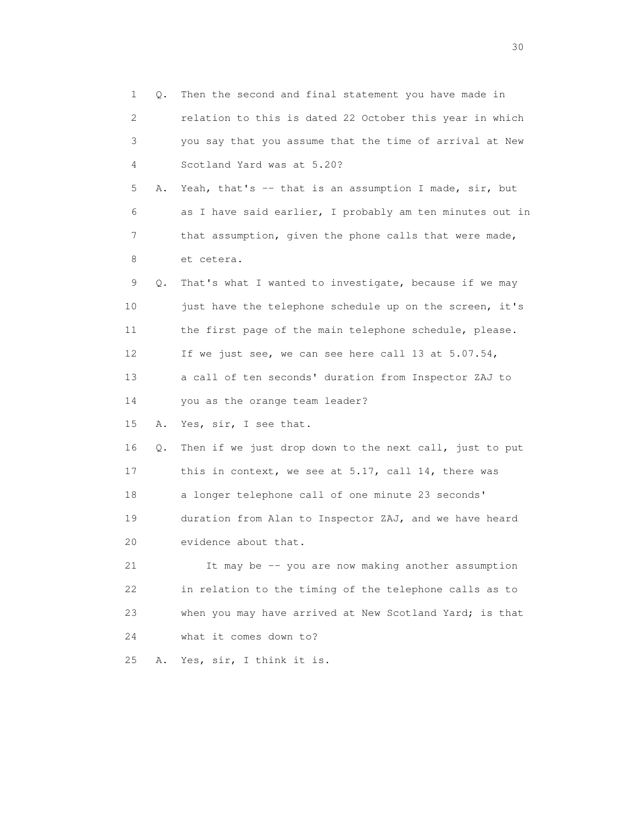1 Q. Then the second and final statement you have made in 2 relation to this is dated 22 October this year in which 3 you say that you assume that the time of arrival at New 4 Scotland Yard was at 5.20? 5 A. Yeah, that's -- that is an assumption I made, sir, but 6 as I have said earlier, I probably am ten minutes out in 7 that assumption, given the phone calls that were made, 8 et cetera. 9 Q. That's what I wanted to investigate, because if we may 10 just have the telephone schedule up on the screen, it's 11 the first page of the main telephone schedule, please. 12 If we just see, we can see here call 13 at 5.07.54, 13 a call of ten seconds' duration from Inspector ZAJ to 14 you as the orange team leader? 15 A. Yes, sir, I see that. 16 Q. Then if we just drop down to the next call, just to put 17 this in context, we see at 5.17, call 14, there was 18 a longer telephone call of one minute 23 seconds' 19 duration from Alan to Inspector ZAJ, and we have heard 20 evidence about that. 21 It may be -- you are now making another assumption 22 in relation to the timing of the telephone calls as to 23 when you may have arrived at New Scotland Yard; is that 24 what it comes down to? 25 A. Yes, sir, I think it is.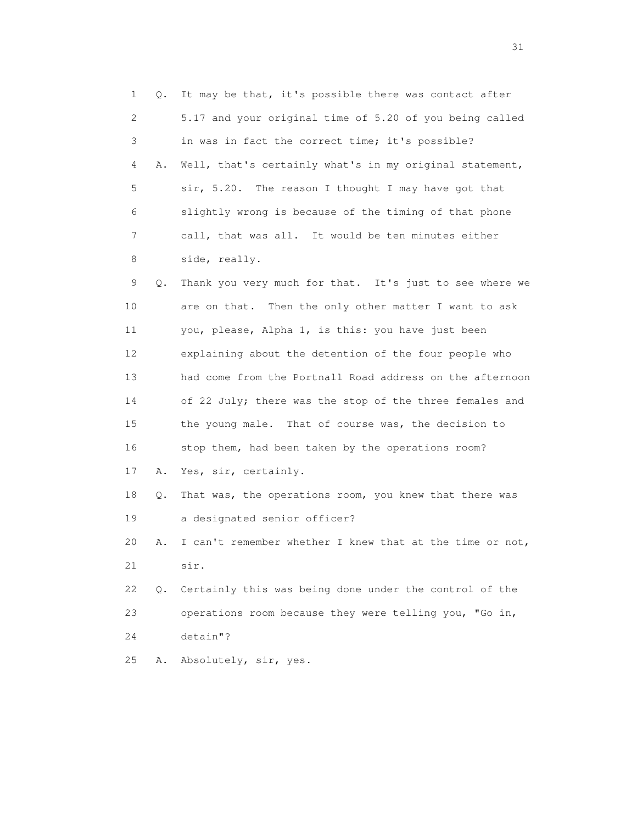1 Q. It may be that, it's possible there was contact after 2 5.17 and your original time of 5.20 of you being called 3 in was in fact the correct time; it's possible? 4 A. Well, that's certainly what's in my original statement, 5 sir, 5.20. The reason I thought I may have got that 6 slightly wrong is because of the timing of that phone 7 call, that was all. It would be ten minutes either 8 side, really. 9 Q. Thank you very much for that. It's just to see where we 10 are on that. Then the only other matter I want to ask 11 you, please, Alpha 1, is this: you have just been 12 explaining about the detention of the four people who 13 had come from the Portnall Road address on the afternoon 14 of 22 July; there was the stop of the three females and 15 the young male. That of course was, the decision to 16 stop them, had been taken by the operations room? 17 A. Yes, sir, certainly. 18 Q. That was, the operations room, you knew that there was 19 a designated senior officer? 20 A. I can't remember whether I knew that at the time or not, 21 sir. 22 Q. Certainly this was being done under the control of the 23 operations room because they were telling you, "Go in, 24 detain"? 25 A. Absolutely, sir, yes.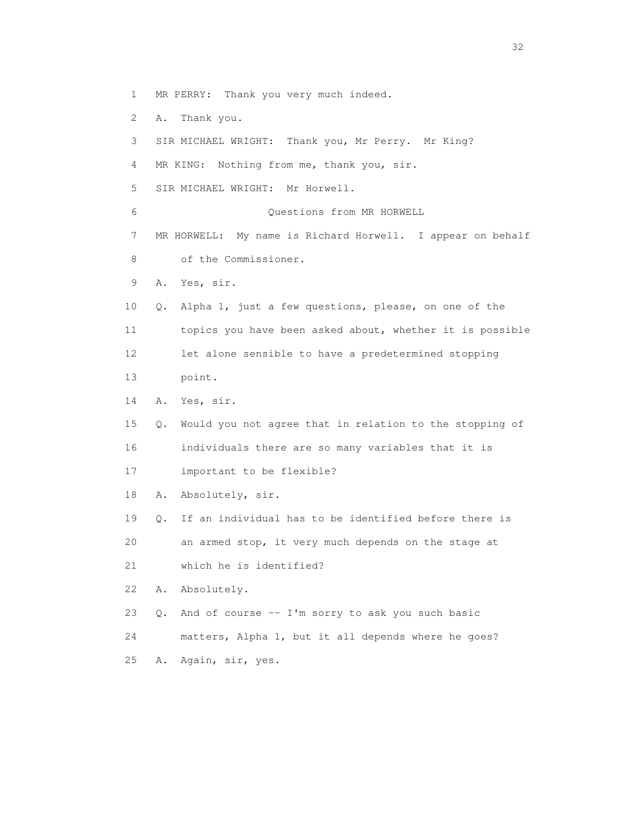- 1 MR PERRY: Thank you very much indeed.
- 2 A. Thank you.
- 3 SIR MICHAEL WRIGHT: Thank you, Mr Perry. Mr King?
- 4 MR KING: Nothing from me, thank you, sir.
- 5 SIR MICHAEL WRIGHT: Mr Horwell.
- 6 Questions from MR HORWELL
- 7 MR HORWELL: My name is Richard Horwell. I appear on behalf
- 8 of the Commissioner.
- 9 A. Yes, sir.
- 10 Q. Alpha 1, just a few questions, please, on one of the 11 topics you have been asked about, whether it is possible 12 let alone sensible to have a predetermined stopping 13 point.
- 14 A. Yes, sir.
- 15 Q. Would you not agree that in relation to the stopping of 16 individuals there are so many variables that it is 17 important to be flexible?
- 18 A. Absolutely, sir.
- 19 Q. If an individual has to be identified before there is 20 an armed stop, it very much depends on the stage at 21 which he is identified?
- 22 A. Absolutely.
- 23 Q. And of course -- I'm sorry to ask you such basic
- 24 matters, Alpha 1, but it all depends where he goes?
- 25 A. Again, sir, yes.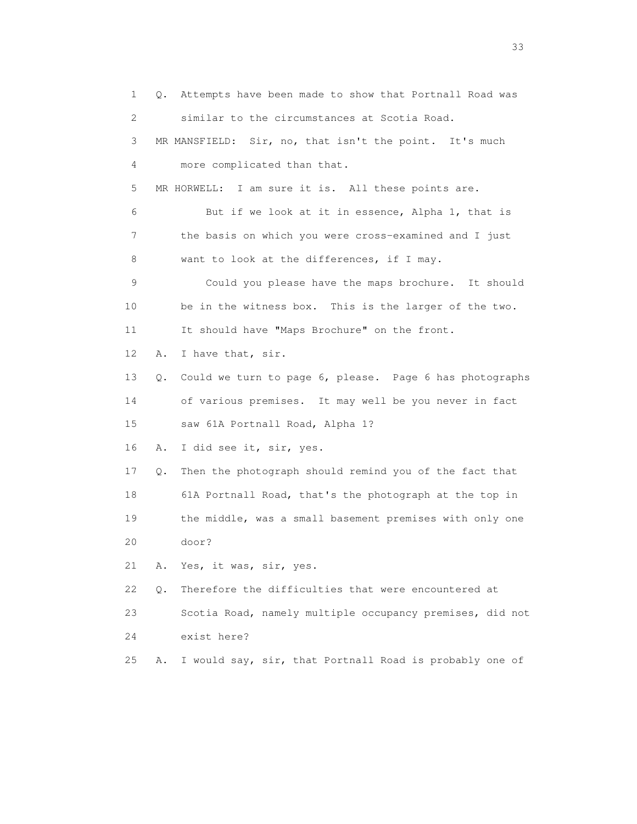1 Q. Attempts have been made to show that Portnall Road was 2 similar to the circumstances at Scotia Road. 3 MR MANSFIELD: Sir, no, that isn't the point. It's much 4 more complicated than that. 5 MR HORWELL: I am sure it is. All these points are. 6 But if we look at it in essence, Alpha 1, that is 7 the basis on which you were cross-examined and I just 8 want to look at the differences, if I may. 9 Could you please have the maps brochure. It should 10 be in the witness box. This is the larger of the two. 11 It should have "Maps Brochure" on the front. 12 A. I have that, sir. 13 Q. Could we turn to page 6, please. Page 6 has photographs 14 of various premises. It may well be you never in fact 15 saw 61A Portnall Road, Alpha 1? 16 A. I did see it, sir, yes. 17 Q. Then the photograph should remind you of the fact that 18 61A Portnall Road, that's the photograph at the top in 19 the middle, was a small basement premises with only one 20 door? 21 A. Yes, it was, sir, yes. 22 Q. Therefore the difficulties that were encountered at 23 Scotia Road, namely multiple occupancy premises, did not 24 exist here? 25 A. I would say, sir, that Portnall Road is probably one of

<u>33</u> and the state of the state of the state of the state of the state of the state of the state of the state of the state of the state of the state of the state of the state of the state of the state of the state of the s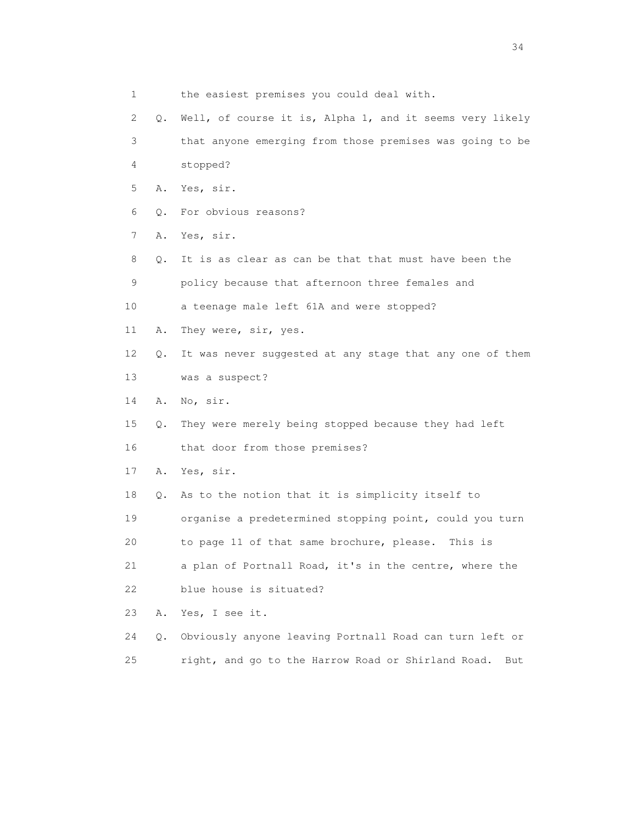1 the easiest premises you could deal with. 2 Q. Well, of course it is, Alpha 1, and it seems very likely 3 that anyone emerging from those premises was going to be 4 stopped? 5 A. Yes, sir. 6 Q. For obvious reasons? 7 A. Yes, sir. 8 Q. It is as clear as can be that that must have been the 9 policy because that afternoon three females and 10 a teenage male left 61A and were stopped? 11 A. They were, sir, yes. 12 Q. It was never suggested at any stage that any one of them 13 was a suspect? 14 A. No, sir. 15 Q. They were merely being stopped because they had left 16 that door from those premises? 17 A. Yes, sir. 18 Q. As to the notion that it is simplicity itself to 19 organise a predetermined stopping point, could you turn 20 to page 11 of that same brochure, please. This is 21 a plan of Portnall Road, it's in the centre, where the 22 blue house is situated? 23 A. Yes, I see it. 24 Q. Obviously anyone leaving Portnall Road can turn left or 25 right, and go to the Harrow Road or Shirland Road. But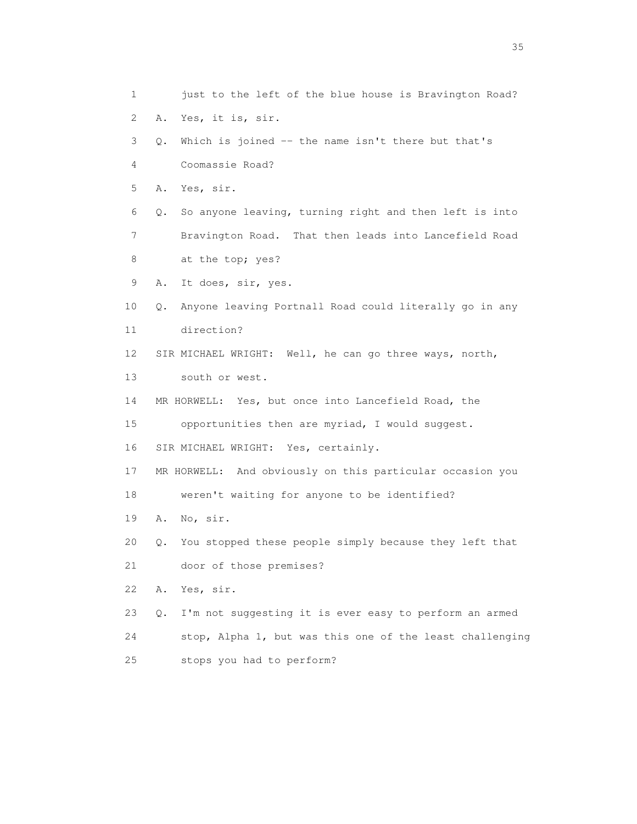1 just to the left of the blue house is Bravington Road? 2 A. Yes, it is, sir. 3 Q. Which is joined -- the name isn't there but that's 4 Coomassie Road? 5 A. Yes, sir. 6 Q. So anyone leaving, turning right and then left is into 7 Bravington Road. That then leads into Lancefield Road 8 at the top; yes? 9 A. It does, sir, yes. 10 Q. Anyone leaving Portnall Road could literally go in any 11 direction? 12 SIR MICHAEL WRIGHT: Well, he can go three ways, north, 13 south or west. 14 MR HORWELL: Yes, but once into Lancefield Road, the 15 opportunities then are myriad, I would suggest. 16 SIR MICHAEL WRIGHT: Yes, certainly. 17 MR HORWELL: And obviously on this particular occasion you 18 weren't waiting for anyone to be identified? 19 A. No, sir. 20 Q. You stopped these people simply because they left that 21 door of those premises? 22 A. Yes, sir. 23 Q. I'm not suggesting it is ever easy to perform an armed 24 stop, Alpha 1, but was this one of the least challenging 25 stops you had to perform?

<u>35</u> and the state of the state of the state of the state of the state of the state of the state of the state of the state of the state of the state of the state of the state of the state of the state of the state of the s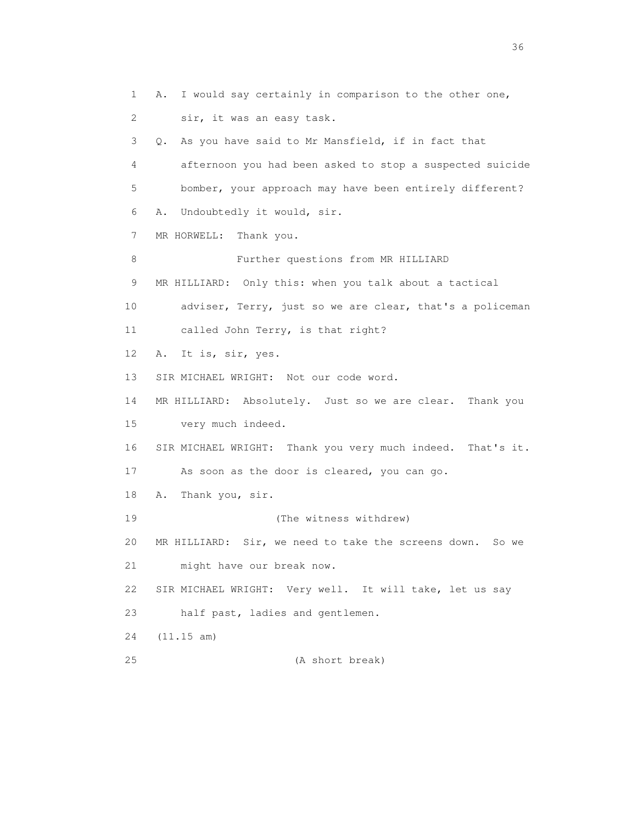1 A. I would say certainly in comparison to the other one, 2 sir, it was an easy task. 3 Q. As you have said to Mr Mansfield, if in fact that 4 afternoon you had been asked to stop a suspected suicide 5 bomber, your approach may have been entirely different? 6 A. Undoubtedly it would, sir. 7 MR HORWELL: Thank you. 8 Further questions from MR HILLIARD 9 MR HILLIARD: Only this: when you talk about a tactical 10 adviser, Terry, just so we are clear, that's a policeman 11 called John Terry, is that right? 12 A. It is, sir, yes. 13 SIR MICHAEL WRIGHT: Not our code word. 14 MR HILLIARD: Absolutely. Just so we are clear. Thank you 15 very much indeed. 16 SIR MICHAEL WRIGHT: Thank you very much indeed. That's it. 17 As soon as the door is cleared, you can go. 18 A. Thank you, sir. 19 (The witness withdrew) 20 MR HILLIARD: Sir, we need to take the screens down. So we 21 might have our break now. 22 SIR MICHAEL WRIGHT: Very well. It will take, let us say 23 half past, ladies and gentlemen. 24 (11.15 am) 25 (A short break)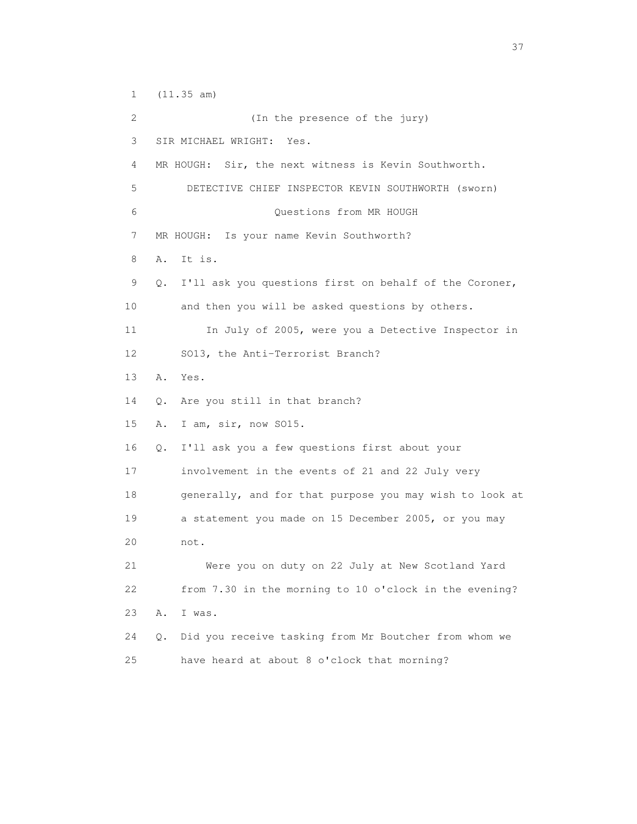1 (11.35 am) 2 (In the presence of the jury) 3 SIR MICHAEL WRIGHT: Yes. 4 MR HOUGH: Sir, the next witness is Kevin Southworth. 5 DETECTIVE CHIEF INSPECTOR KEVIN SOUTHWORTH (sworn) 6 Questions from MR HOUGH 7 MR HOUGH: Is your name Kevin Southworth? 8 A. It is. 9 Q. I'll ask you questions first on behalf of the Coroner, 10 and then you will be asked questions by others. 11 In July of 2005, were you a Detective Inspector in 12 SO13, the Anti-Terrorist Branch? 13 A. Yes. 14 Q. Are you still in that branch? 15 A. I am, sir, now SO15. 16 Q. I'll ask you a few questions first about your 17 involvement in the events of 21 and 22 July very 18 generally, and for that purpose you may wish to look at 19 a statement you made on 15 December 2005, or you may 20 not. 21 Were you on duty on 22 July at New Scotland Yard 22 from 7.30 in the morning to 10 o'clock in the evening? 23 A. I was. 24 Q. Did you receive tasking from Mr Boutcher from whom we 25 have heard at about 8 o'clock that morning?

<u>37</u>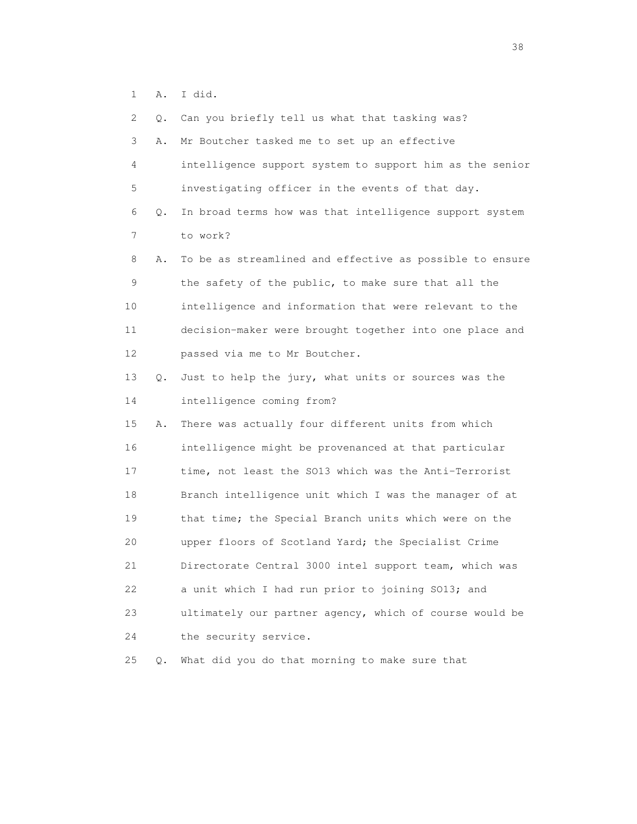1 A. I did.

 2 Q. Can you briefly tell us what that tasking was? 3 A. Mr Boutcher tasked me to set up an effective 4 intelligence support system to support him as the senior 5 investigating officer in the events of that day. 6 Q. In broad terms how was that intelligence support system 7 to work? 8 A. To be as streamlined and effective as possible to ensure 9 the safety of the public, to make sure that all the 10 intelligence and information that were relevant to the 11 decision-maker were brought together into one place and 12 passed via me to Mr Boutcher. 13 Q. Just to help the jury, what units or sources was the 14 intelligence coming from? 15 A. There was actually four different units from which 16 intelligence might be provenanced at that particular 17 time, not least the SO13 which was the Anti-Terrorist 18 Branch intelligence unit which I was the manager of at 19 that time; the Special Branch units which were on the 20 upper floors of Scotland Yard; the Specialist Crime 21 Directorate Central 3000 intel support team, which was 22 a unit which I had run prior to joining SO13; and 23 ultimately our partner agency, which of course would be 24 the security service.

25 Q. What did you do that morning to make sure that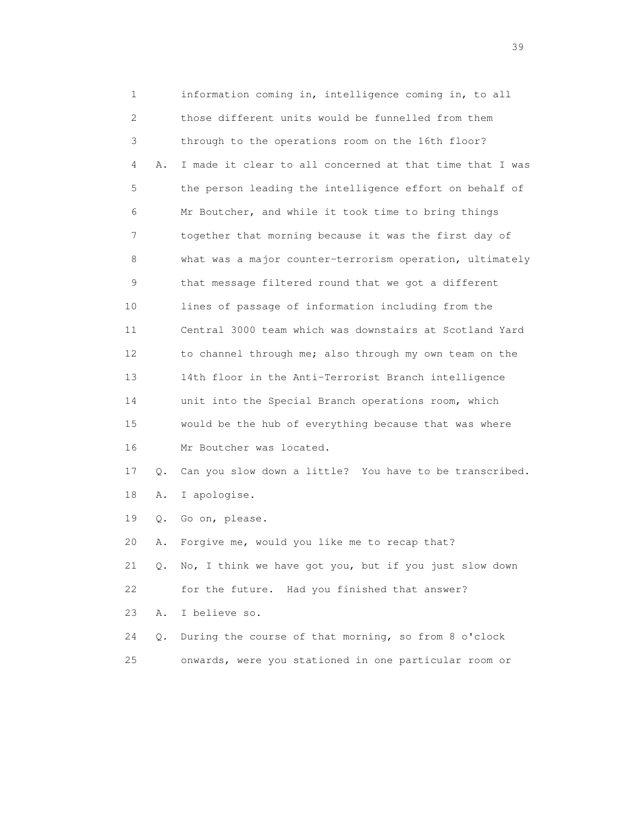1 information coming in, intelligence coming in, to all 2 those different units would be funnelled from them 3 through to the operations room on the 16th floor? 4 A. I made it clear to all concerned at that time that I was 5 the person leading the intelligence effort on behalf of 6 Mr Boutcher, and while it took time to bring things 7 together that morning because it was the first day of 8 what was a major counter-terrorism operation, ultimately 9 that message filtered round that we got a different 10 lines of passage of information including from the 11 Central 3000 team which was downstairs at Scotland Yard 12 to channel through me; also through my own team on the 13 14th floor in the Anti-Terrorist Branch intelligence 14 unit into the Special Branch operations room, which 15 would be the hub of everything because that was where 16 Mr Boutcher was located. 17 Q. Can you slow down a little? You have to be transcribed. 18 A. I apologise. 19 Q. Go on, please. 20 A. Forgive me, would you like me to recap that? 21 Q. No, I think we have got you, but if you just slow down 22 for the future. Had you finished that answer? 23 A. I believe so. 24 Q. During the course of that morning, so from 8 o'clock 25 onwards, were you stationed in one particular room or

 $39<sup>2</sup>$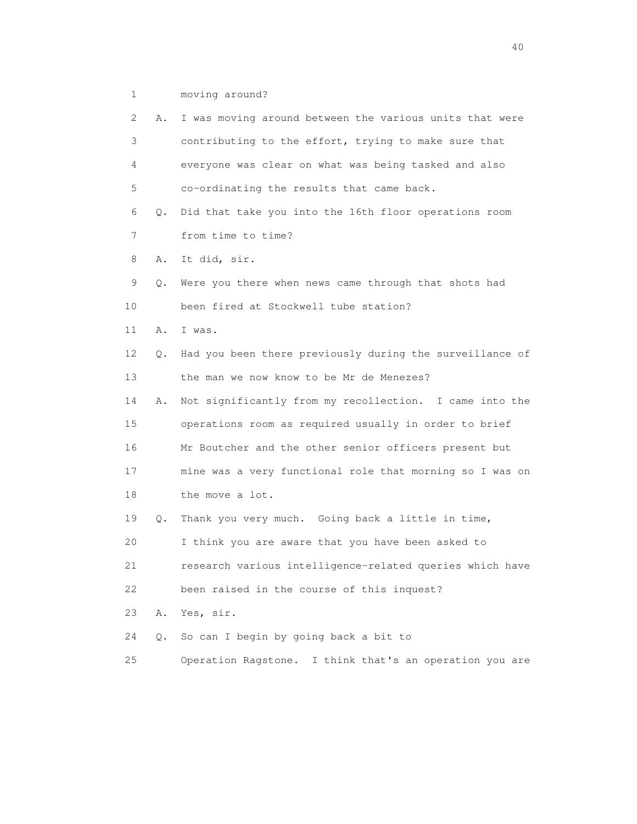1 moving around?

| 2               | Α. | I was moving around between the various units that were  |
|-----------------|----|----------------------------------------------------------|
| 3               |    | contributing to the effort, trying to make sure that     |
| 4               |    | everyone was clear on what was being tasked and also     |
| 5               |    | co-ordinating the results that came back.                |
| 6               | Q. | Did that take you into the 16th floor operations room    |
| 7               |    | from time to time?                                       |
| 8               | Α. | It did, sir.                                             |
| 9               | Q. | Were you there when news came through that shots had     |
| 10 <sup>°</sup> |    | been fired at Stockwell tube station?                    |
| 11              | Α. | I was.                                                   |
| 12              | Q. | Had you been there previously during the surveillance of |
| 13              |    | the man we now know to be Mr de Menezes?                 |
| 14              | Α. | Not significantly from my recollection. I came into the  |
| 15              |    | operations room as required usually in order to brief    |
| 16              |    | Mr Boutcher and the other senior officers present but    |
| 17              |    | mine was a very functional role that morning so I was on |
| 18              |    | the move a lot.                                          |
| 19              | Q. | Thank you very much. Going back a little in time,        |
| 20              |    | I think you are aware that you have been asked to        |
| 21              |    | research various intelligence-related queries which have |
| 22              |    | been raised in the course of this inquest?               |
| 23              | Α. | Yes, sir.                                                |
| 24              | Q. | So can I begin by going back a bit to                    |
| 25              |    | Operation Ragstone. I think that's an operation you are  |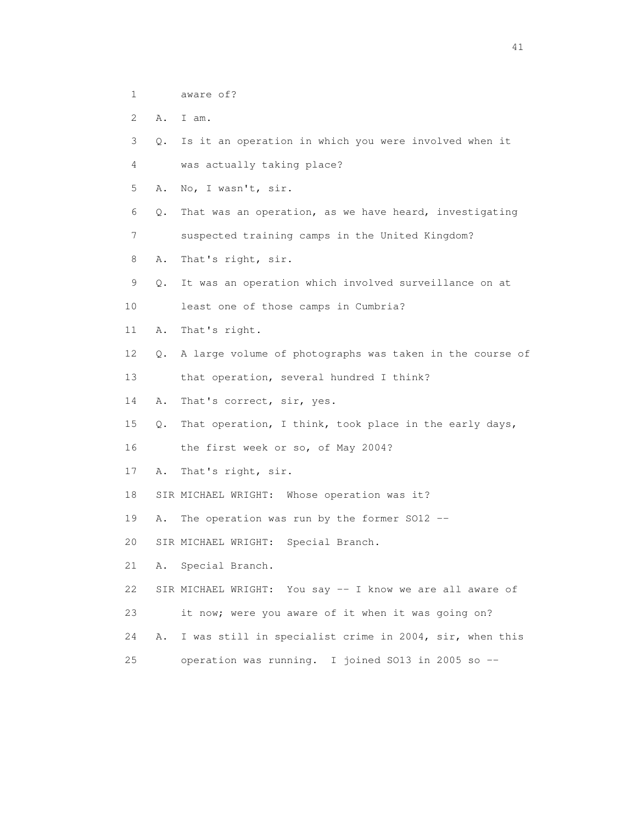- 1 aware of?
- 2 A. I am.
- 3 Q. Is it an operation in which you were involved when it
- 4 was actually taking place?
- 5 A. No, I wasn't, sir.
- 6 Q. That was an operation, as we have heard, investigating
- 7 suspected training camps in the United Kingdom?
- 8 A. That's right, sir.
- 9 Q. It was an operation which involved surveillance on at
- 10 least one of those camps in Cumbria?
- 11 A. That's right.
- 12 Q. A large volume of photographs was taken in the course of
- 13 that operation, several hundred I think?
- 14 A. That's correct, sir, yes.
- 15 Q. That operation, I think, took place in the early days,
- 16 the first week or so, of May 2004?
- 17 A. That's right, sir.
- 18 SIR MICHAEL WRIGHT: Whose operation was it?
- 19 A. The operation was run by the former SO12 --
- 20 SIR MICHAEL WRIGHT: Special Branch.
- 21 A. Special Branch.
- 22 SIR MICHAEL WRIGHT: You say -- I know we are all aware of
- 23 it now; were you aware of it when it was going on?
- 24 A. I was still in specialist crime in 2004, sir, when this
- 25 operation was running. I joined SO13 in 2005 so --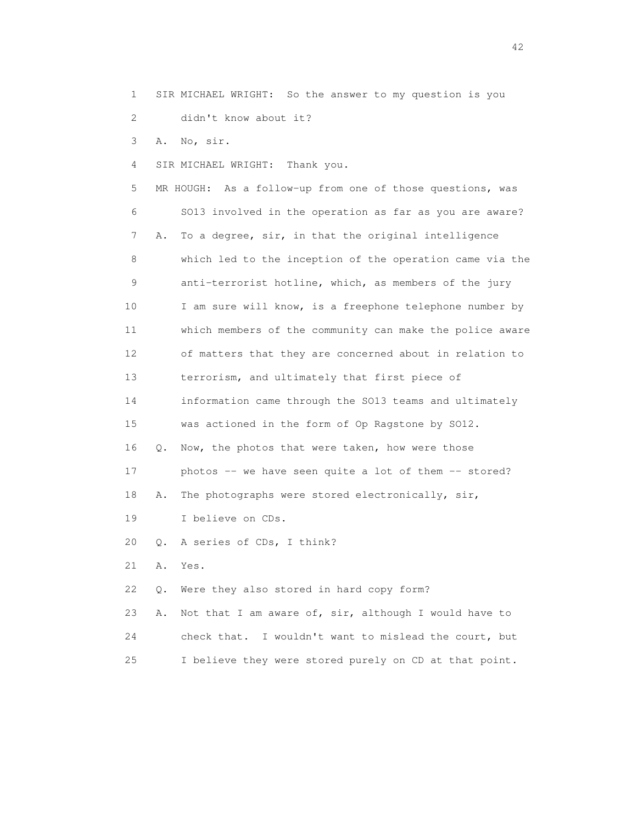1 SIR MICHAEL WRIGHT: So the answer to my question is you

2 didn't know about it?

3 A. No, sir.

4 SIR MICHAEL WRIGHT: Thank you.

 5 MR HOUGH: As a follow-up from one of those questions, was 6 SO13 involved in the operation as far as you are aware? 7 A. To a degree, sir, in that the original intelligence 8 which led to the inception of the operation came via the 9 anti-terrorist hotline, which, as members of the jury 10 I am sure will know, is a freephone telephone number by 11 which members of the community can make the police aware 12 of matters that they are concerned about in relation to 13 terrorism, and ultimately that first piece of 14 information came through the SO13 teams and ultimately 15 was actioned in the form of Op Ragstone by SO12. 16 Q. Now, the photos that were taken, how were those 17 photos -- we have seen quite a lot of them -- stored? 18 A. The photographs were stored electronically, sir, 19 I believe on CDs. 20 Q. A series of CDs, I think? 21 A. Yes.

22 Q. Were they also stored in hard copy form?

 23 A. Not that I am aware of, sir, although I would have to 24 check that. I wouldn't want to mislead the court, but 25 I believe they were stored purely on CD at that point.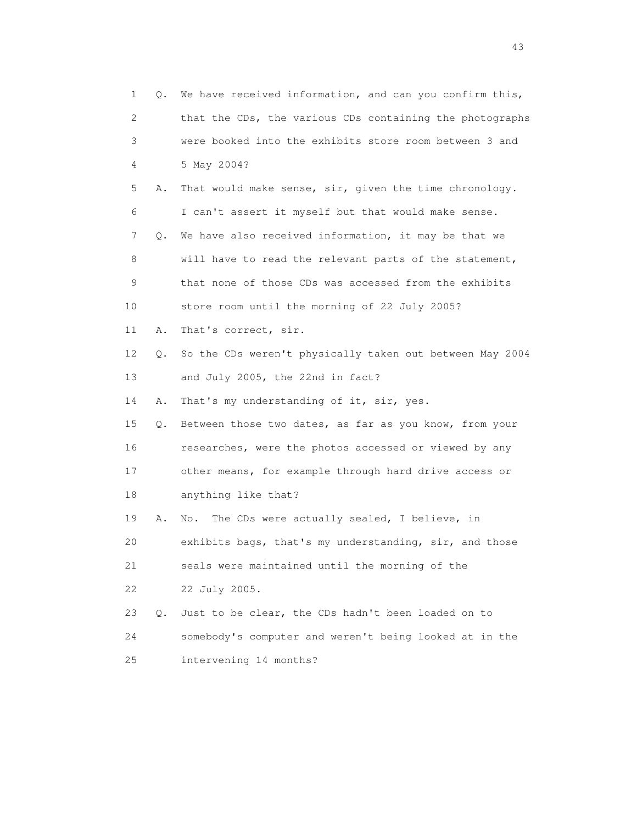| $\mathbf 1$ | Q. | We have received information, and can you confirm this,  |
|-------------|----|----------------------------------------------------------|
| 2           |    | that the CDs, the various CDs containing the photographs |
| 3           |    | were booked into the exhibits store room between 3 and   |
| 4           |    | 5 May 2004?                                              |
| 5           | Α. | That would make sense, sir, given the time chronology.   |
| 6           |    | I can't assert it myself but that would make sense.      |
| 7           | Q. | We have also received information, it may be that we     |
| 8           |    | will have to read the relevant parts of the statement,   |
| 9           |    | that none of those CDs was accessed from the exhibits    |
| 10          |    | store room until the morning of 22 July 2005?            |
| 11          | Α. | That's correct, sir.                                     |
| 12          | Q. | So the CDs weren't physically taken out between May 2004 |
| 13          |    | and July 2005, the 22nd in fact?                         |
| 14          | Α. | That's my understanding of it, sir, yes.                 |
| 15          | Q. | Between those two dates, as far as you know, from your   |
| 16          |    | researches, were the photos accessed or viewed by any    |
| 17          |    | other means, for example through hard drive access or    |
| 18          |    | anything like that?                                      |
| 19          | Α. | The CDs were actually sealed, I believe, in<br>No.       |
| 20          |    | exhibits bags, that's my understanding, sir, and those   |
| 21          |    | seals were maintained until the morning of the           |
| 22          |    | 22 July 2005.                                            |
| 23          | Q. | Just to be clear, the CDs hadn't been loaded on to       |
| 24          |    | somebody's computer and weren't being looked at in the   |
| 25          |    | intervening 14 months?                                   |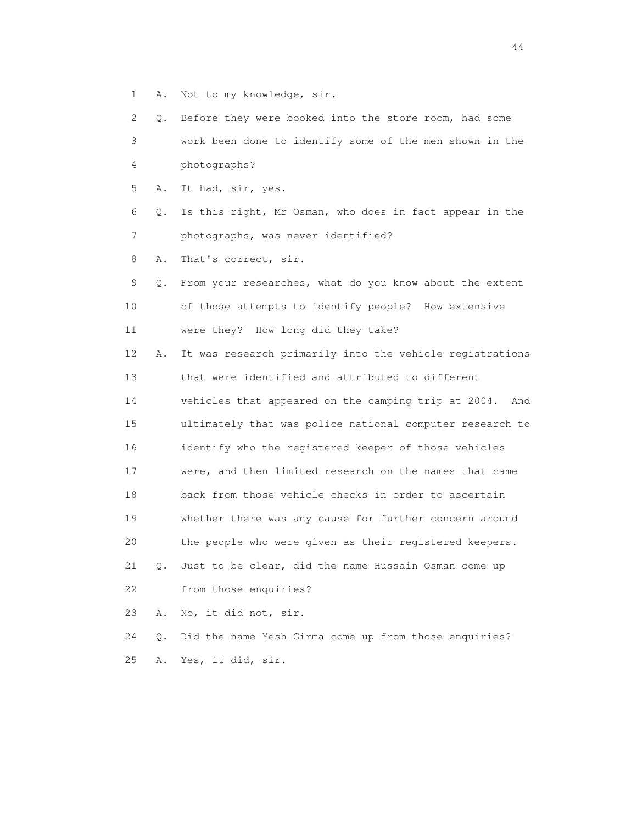1 A. Not to my knowledge, sir.

 2 Q. Before they were booked into the store room, had some 3 work been done to identify some of the men shown in the 4 photographs? 5 A. It had, sir, yes. 6 Q. Is this right, Mr Osman, who does in fact appear in the 7 photographs, was never identified? 8 A. That's correct, sir. 9 Q. From your researches, what do you know about the extent 10 of those attempts to identify people? How extensive 11 were they? How long did they take? 12 A. It was research primarily into the vehicle registrations 13 that were identified and attributed to different 14 vehicles that appeared on the camping trip at 2004. And 15 ultimately that was police national computer research to 16 identify who the registered keeper of those vehicles 17 were, and then limited research on the names that came 18 back from those vehicle checks in order to ascertain 19 whether there was any cause for further concern around 20 the people who were given as their registered keepers. 21 Q. Just to be clear, did the name Hussain Osman come up 22 from those enquiries? 23 A. No, it did not, sir.

 24 Q. Did the name Yesh Girma come up from those enquiries? 25 A. Yes, it did, sir.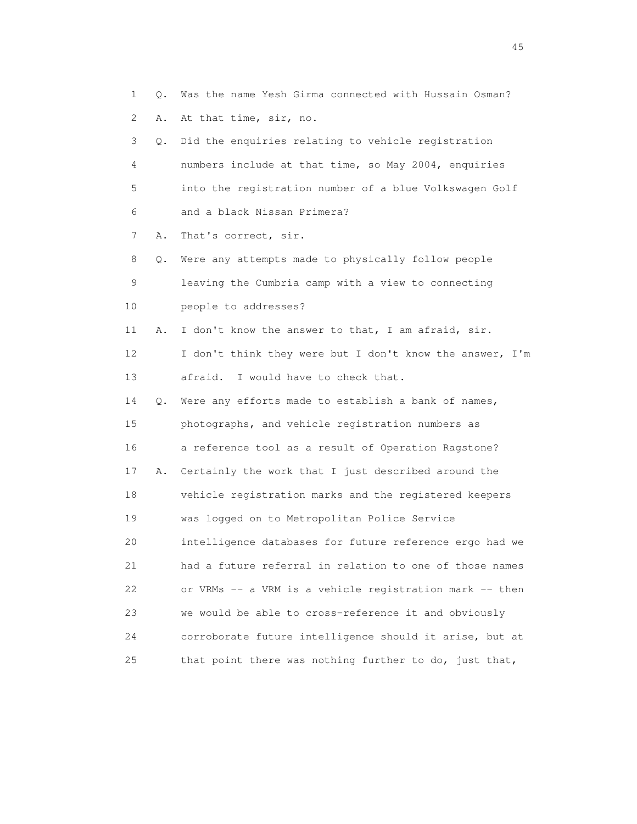1 Q. Was the name Yesh Girma connected with Hussain Osman? 2 A. At that time, sir, no. 3 Q. Did the enquiries relating to vehicle registration 4 numbers include at that time, so May 2004, enquiries 5 into the registration number of a blue Volkswagen Golf 6 and a black Nissan Primera? 7 A. That's correct, sir. 8 Q. Were any attempts made to physically follow people 9 leaving the Cumbria camp with a view to connecting 10 people to addresses? 11 A. I don't know the answer to that, I am afraid, sir. 12 I don't think they were but I don't know the answer, I'm 13 afraid. I would have to check that. 14 Q. Were any efforts made to establish a bank of names, 15 photographs, and vehicle registration numbers as 16 a reference tool as a result of Operation Ragstone? 17 A. Certainly the work that I just described around the 18 vehicle registration marks and the registered keepers 19 was logged on to Metropolitan Police Service 20 intelligence databases for future reference ergo had we 21 had a future referral in relation to one of those names 22 or VRMs -- a VRM is a vehicle registration mark -- then 23 we would be able to cross-reference it and obviously 24 corroborate future intelligence should it arise, but at 25 that point there was nothing further to do, just that,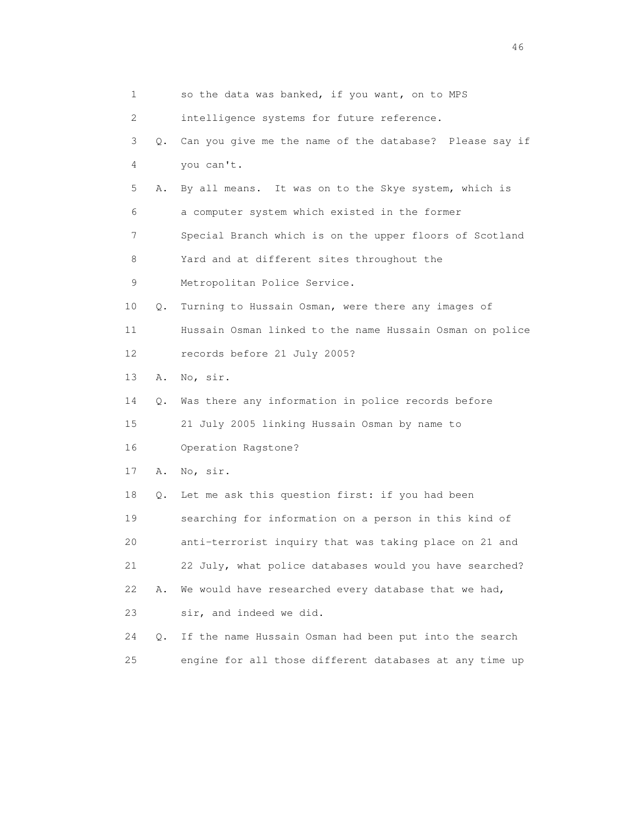| $\mathbf{1}$ |    | so the data was banked, if you want, on to MPS           |
|--------------|----|----------------------------------------------------------|
| 2            |    | intelligence systems for future reference.               |
| 3            | 0. | Can you give me the name of the database? Please say if  |
| 4            |    | you can't.                                               |
| 5            | Α. | By all means. It was on to the Skye system, which is     |
| 6            |    | a computer system which existed in the former            |
| 7            |    | Special Branch which is on the upper floors of Scotland  |
| 8            |    | Yard and at different sites throughout the               |
| 9            |    | Metropolitan Police Service.                             |
| 10           | Q. | Turning to Hussain Osman, were there any images of       |
| 11           |    | Hussain Osman linked to the name Hussain Osman on police |
| 12           |    | records before 21 July 2005?                             |
| 13           | Α. | No, sir.                                                 |
| 14           | О. | Was there any information in police records before       |
| 15           |    | 21 July 2005 linking Hussain Osman by name to            |
| 16           |    | Operation Ragstone?                                      |
| 17           | Α. | No, sir.                                                 |
| 18           | Q. | Let me ask this question first: if you had been          |
| 19           |    | searching for information on a person in this kind of    |
| 20           |    | anti-terrorist inquiry that was taking place on 21 and   |
| 21           |    | 22 July, what police databases would you have searched?  |
| 22           | Α. | We would have researched every database that we had,     |
| 23           |    | sir, and indeed we did.                                  |
| 24           | Q. | If the name Hussain Osman had been put into the search   |
| 25           |    | engine for all those different databases at any time up  |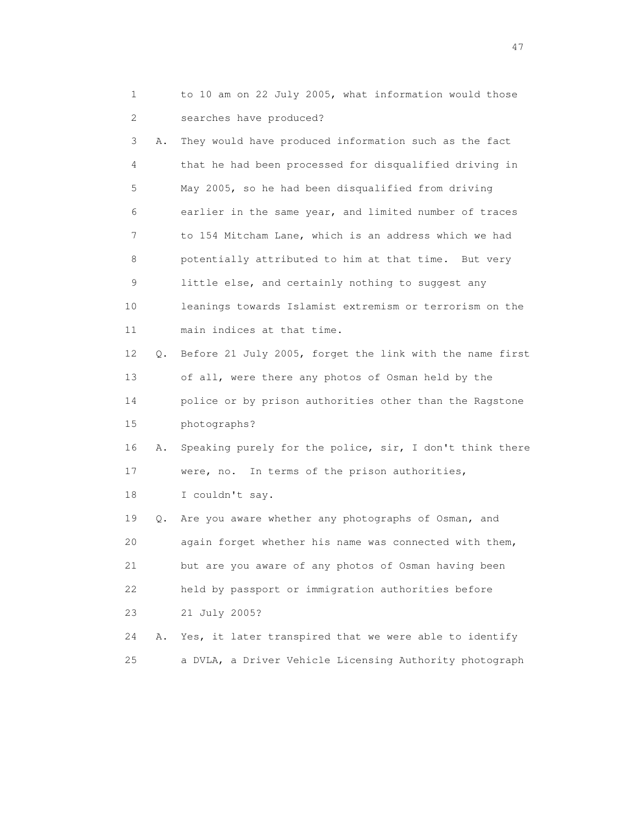1 to 10 am on 22 July 2005, what information would those 2 searches have produced?

 3 A. They would have produced information such as the fact 4 that he had been processed for disqualified driving in 5 May 2005, so he had been disqualified from driving 6 earlier in the same year, and limited number of traces 7 to 154 Mitcham Lane, which is an address which we had 8 potentially attributed to him at that time. But very 9 little else, and certainly nothing to suggest any 10 leanings towards Islamist extremism or terrorism on the 11 main indices at that time. 12 Q. Before 21 July 2005, forget the link with the name first 13 of all, were there any photos of Osman held by the 14 police or by prison authorities other than the Ragstone 15 photographs? 16 A. Speaking purely for the police, sir, I don't think there 17 were, no. In terms of the prison authorities, 18 I couldn't say. 19 Q. Are you aware whether any photographs of Osman, and 20 again forget whether his name was connected with them, 21 but are you aware of any photos of Osman having been 22 held by passport or immigration authorities before

23 21 July 2005?

 24 A. Yes, it later transpired that we were able to identify 25 a DVLA, a Driver Vehicle Licensing Authority photograph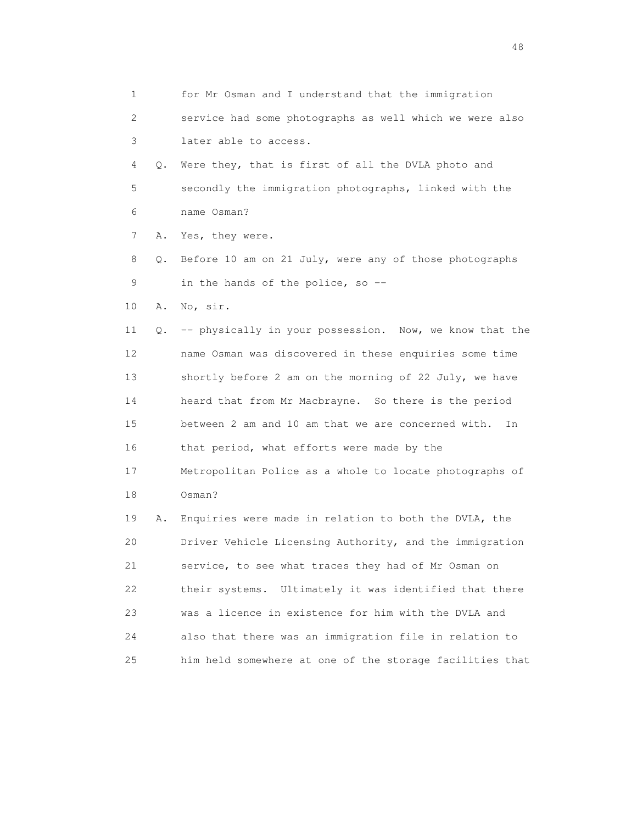| 1  |    | for Mr Osman and I understand that the immigration        |
|----|----|-----------------------------------------------------------|
| 2  |    | service had some photographs as well which we were also   |
| 3  |    | later able to access.                                     |
| 4  | Q. | Were they, that is first of all the DVLA photo and        |
| 5  |    | secondly the immigration photographs, linked with the     |
| 6  |    | name Osman?                                               |
| 7  | Α. | Yes, they were.                                           |
| 8  | Q. | Before 10 am on 21 July, were any of those photographs    |
| 9  |    | in the hands of the police, so --                         |
| 10 | Α. | No, sir.                                                  |
| 11 | Q. | -- physically in your possession. Now, we know that the   |
| 12 |    | name Osman was discovered in these enquiries some time    |
| 13 |    | shortly before 2 am on the morning of 22 July, we have    |
| 14 |    | heard that from Mr Macbrayne. So there is the period      |
| 15 |    | between 2 am and 10 am that we are concerned with.<br>In  |
| 16 |    | that period, what efforts were made by the                |
| 17 |    | Metropolitan Police as a whole to locate photographs of   |
| 18 |    | Osman?                                                    |
| 19 | Α. | Enquiries were made in relation to both the DVLA, the     |
| 20 |    | Driver Vehicle Licensing Authority, and the immigration   |
| 21 |    | service, to see what traces they had of Mr Osman on       |
| 22 |    | Ultimately it was identified that there<br>their systems. |
| 23 |    | was a licence in existence for him with the DVLA and      |
| 24 |    | also that there was an immigration file in relation to    |
| 25 |    | him held somewhere at one of the storage facilities that  |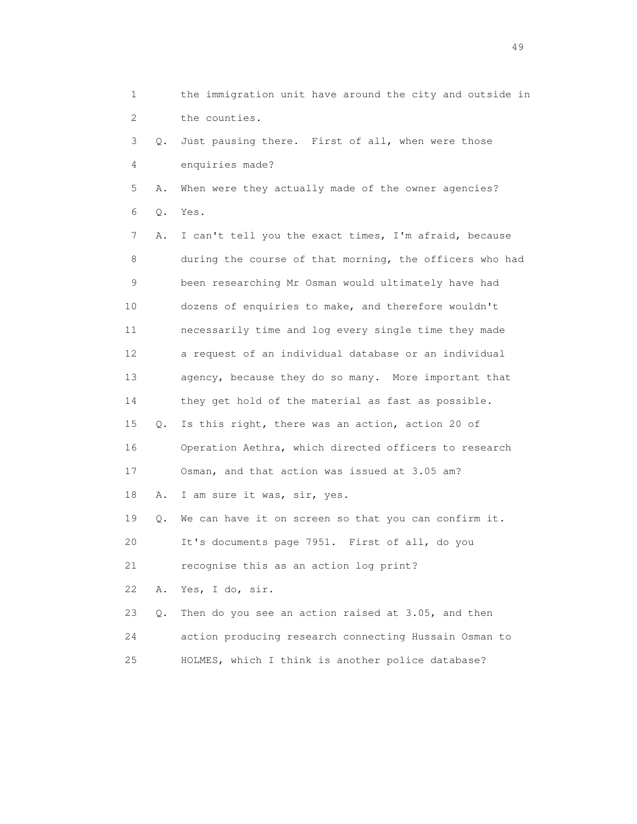1 the immigration unit have around the city and outside in 2 the counties. 3 Q. Just pausing there. First of all, when were those 4 enquiries made? 5 A. When were they actually made of the owner agencies? 6 Q. Yes. 7 A. I can't tell you the exact times, I'm afraid, because 8 during the course of that morning, the officers who had 9 been researching Mr Osman would ultimately have had 10 dozens of enquiries to make, and therefore wouldn't 11 necessarily time and log every single time they made 12 a request of an individual database or an individual 13 agency, because they do so many. More important that 14 they get hold of the material as fast as possible. 15 Q. Is this right, there was an action, action 20 of 16 Operation Aethra, which directed officers to research 17 Osman, and that action was issued at 3.05 am? 18 A. I am sure it was, sir, yes. 19 Q. We can have it on screen so that you can confirm it. 20 It's documents page 7951. First of all, do you 21 recognise this as an action log print? 22 A. Yes, I do, sir. 23 Q. Then do you see an action raised at 3.05, and then 24 action producing research connecting Hussain Osman to 25 HOLMES, which I think is another police database?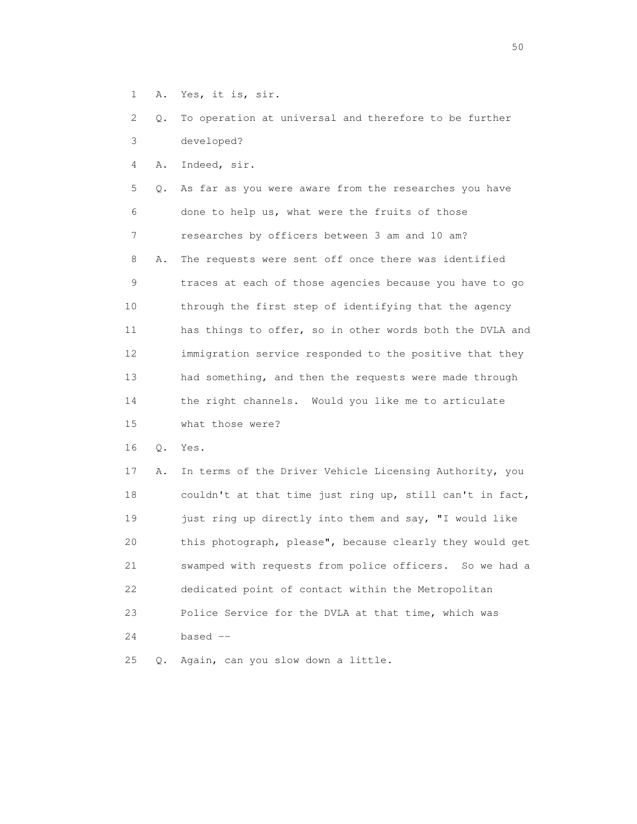1 A. Yes, it is, sir.

 2 Q. To operation at universal and therefore to be further 3 developed?

4 A. Indeed, sir.

 5 Q. As far as you were aware from the researches you have 6 done to help us, what were the fruits of those 7 researches by officers between 3 am and 10 am? 8 A. The requests were sent off once there was identified 9 traces at each of those agencies because you have to go 10 through the first step of identifying that the agency 11 has things to offer, so in other words both the DVLA and 12 immigration service responded to the positive that they 13 had something, and then the requests were made through 14 the right channels. Would you like me to articulate 15 what those were?

16 Q. Yes.

 17 A. In terms of the Driver Vehicle Licensing Authority, you 18 couldn't at that time just ring up, still can't in fact, 19 just ring up directly into them and say, "I would like 20 this photograph, please", because clearly they would get 21 swamped with requests from police officers. So we had a 22 dedicated point of contact within the Metropolitan 23 Police Service for the DVLA at that time, which was 24 based --

25 Q. Again, can you slow down a little.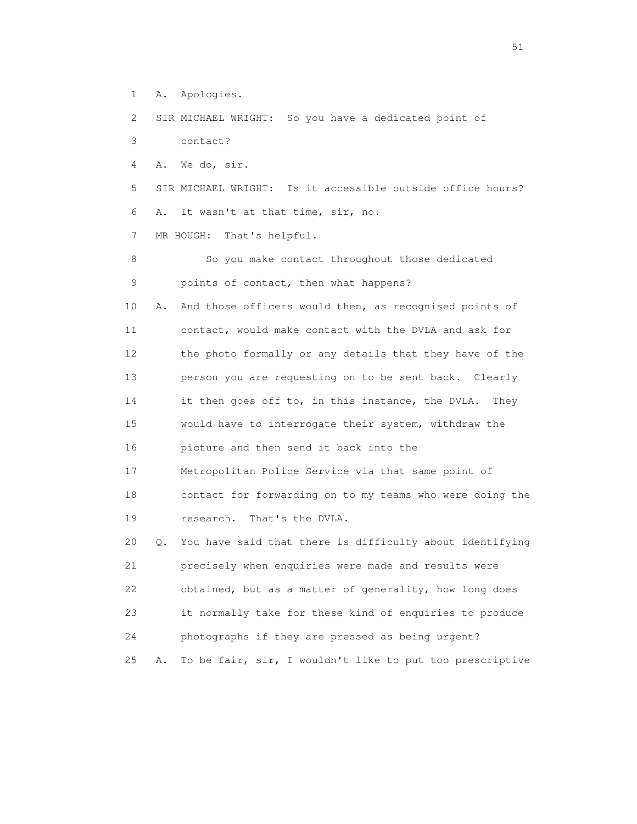1 A. Apologies.

2 SIR MICHAEL WRIGHT: So you have a dedicated point of

3 contact?

4 A. We do, sir.

 5 SIR MICHAEL WRIGHT: Is it accessible outside office hours? 6 A. It wasn't at that time, sir, no.

7 MR HOUGH: That's helpful.

8 So you make contact throughout those dedicated 9 points of contact, then what happens?

 10 A. And those officers would then, as recognised points of 11 contact, would make contact with the DVLA and ask for 12 the photo formally or any details that they have of the 13 person you are requesting on to be sent back. Clearly 14 it then goes off to, in this instance, the DVLA. They 15 would have to interrogate their system, withdraw the 16 picture and then send it back into the 17 Metropolitan Police Service via that same point of 18 contact for forwarding on to my teams who were doing the

19 research. That's the DVLA.

 20 Q. You have said that there is difficulty about identifying 21 precisely when enquiries were made and results were 22 obtained, but as a matter of generality, how long does 23 it normally take for these kind of enquiries to produce 24 photographs if they are pressed as being urgent? 25 A. To be fair, sir, I wouldn't like to put too prescriptive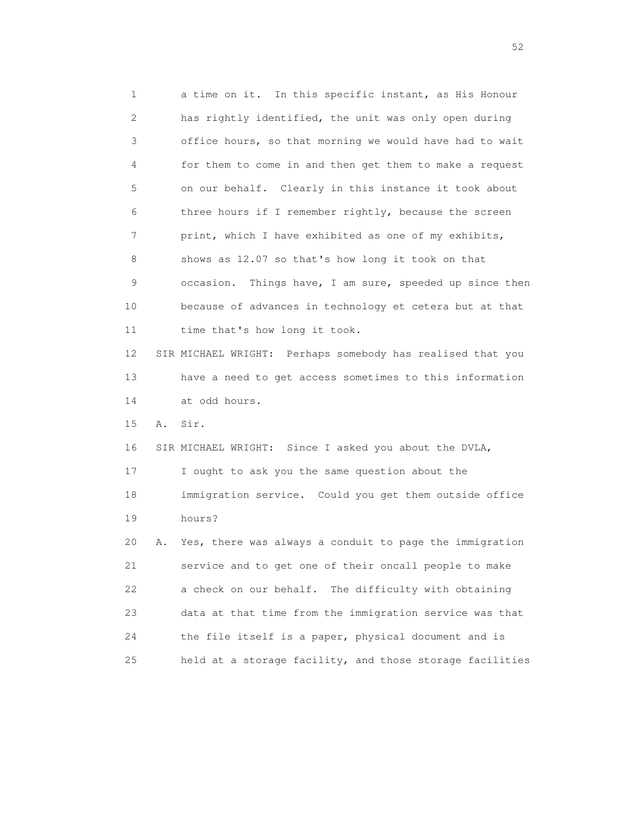1 a time on it. In this specific instant, as His Honour 2 has rightly identified, the unit was only open during 3 office hours, so that morning we would have had to wait 4 for them to come in and then get them to make a request 5 on our behalf. Clearly in this instance it took about 6 three hours if I remember rightly, because the screen 7 print, which I have exhibited as one of my exhibits, 8 shows as 12.07 so that's how long it took on that 9 occasion. Things have, I am sure, speeded up since then 10 because of advances in technology et cetera but at that 11 time that's how long it took. 12 SIR MICHAEL WRIGHT: Perhaps somebody has realised that you 13 have a need to get access sometimes to this information 14 at odd hours. 15 A. Sir. 16 SIR MICHAEL WRIGHT: Since I asked you about the DVLA, 17 I ought to ask you the same question about the 18 immigration service. Could you get them outside office 19 hours? 20 A. Yes, there was always a conduit to page the immigration 21 service and to get one of their oncall people to make 22 a check on our behalf. The difficulty with obtaining 23 data at that time from the immigration service was that 24 the file itself is a paper, physical document and is 25 held at a storage facility, and those storage facilities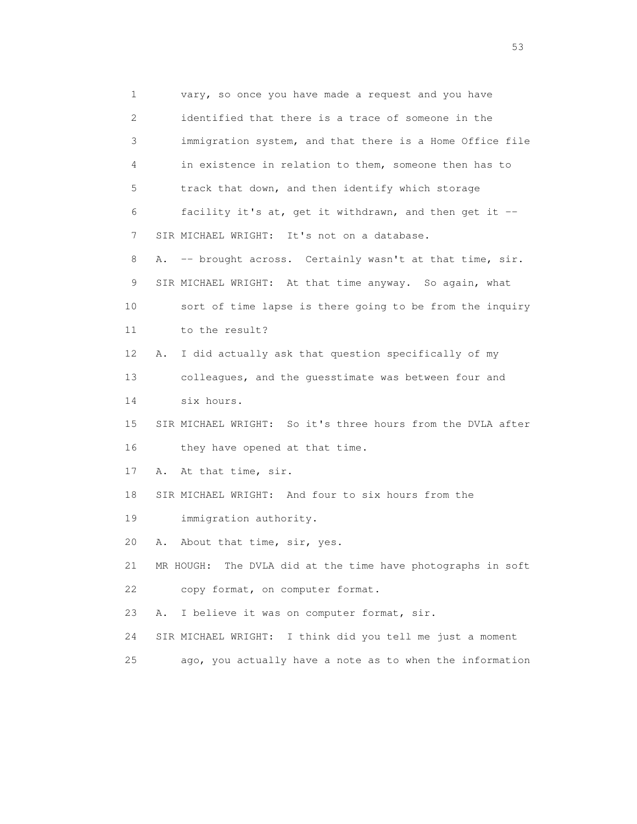1 vary, so once you have made a request and you have 2 identified that there is a trace of someone in the 3 immigration system, and that there is a Home Office file 4 in existence in relation to them, someone then has to 5 track that down, and then identify which storage 6 facility it's at, get it withdrawn, and then get it -- 7 SIR MICHAEL WRIGHT: It's not on a database. 8 A. -- brought across. Certainly wasn't at that time, sir. 9 SIR MICHAEL WRIGHT: At that time anyway. So again, what 10 sort of time lapse is there going to be from the inquiry 11 to the result? 12 A. I did actually ask that question specifically of my 13 colleagues, and the guesstimate was between four and 14 six hours. 15 SIR MICHAEL WRIGHT: So it's three hours from the DVLA after 16 they have opened at that time. 17 A. At that time, sir. 18 SIR MICHAEL WRIGHT: And four to six hours from the 19 immigration authority. 20 A. About that time, sir, yes. 21 MR HOUGH: The DVLA did at the time have photographs in soft 22 copy format, on computer format. 23 A. I believe it was on computer format, sir. 24 SIR MICHAEL WRIGHT: I think did you tell me just a moment 25 ago, you actually have a note as to when the information

 $\sim$  53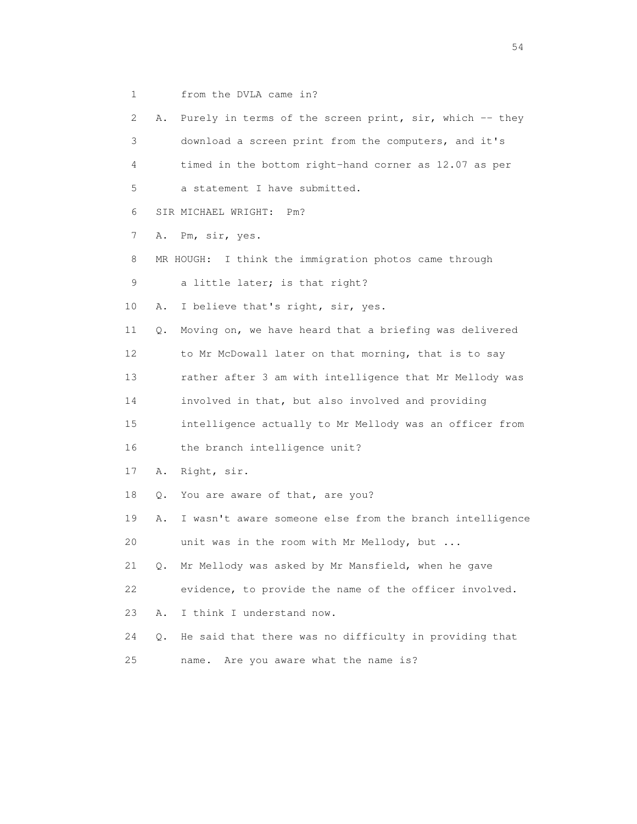1 from the DVLA came in?

2 A. Purely in terms of the screen print, sir, which -- they 3 download a screen print from the computers, and it's 4 timed in the bottom right-hand corner as 12.07 as per 5 a statement I have submitted. 6 SIR MICHAEL WRIGHT: Pm? 7 A. Pm, sir, yes. 8 MR HOUGH: I think the immigration photos came through 9 a little later; is that right? 10 A. I believe that's right, sir, yes. 11 Q. Moving on, we have heard that a briefing was delivered 12 to Mr McDowall later on that morning, that is to say 13 rather after 3 am with intelligence that Mr Mellody was 14 involved in that, but also involved and providing 15 intelligence actually to Mr Mellody was an officer from 16 the branch intelligence unit? 17 A. Right, sir. 18 Q. You are aware of that, are you? 19 A. I wasn't aware someone else from the branch intelligence 20 unit was in the room with Mr Mellody, but ... 21 Q. Mr Mellody was asked by Mr Mansfield, when he gave 22 evidence, to provide the name of the officer involved. 23 A. I think I understand now. 24 Q. He said that there was no difficulty in providing that 25 name. Are you aware what the name is?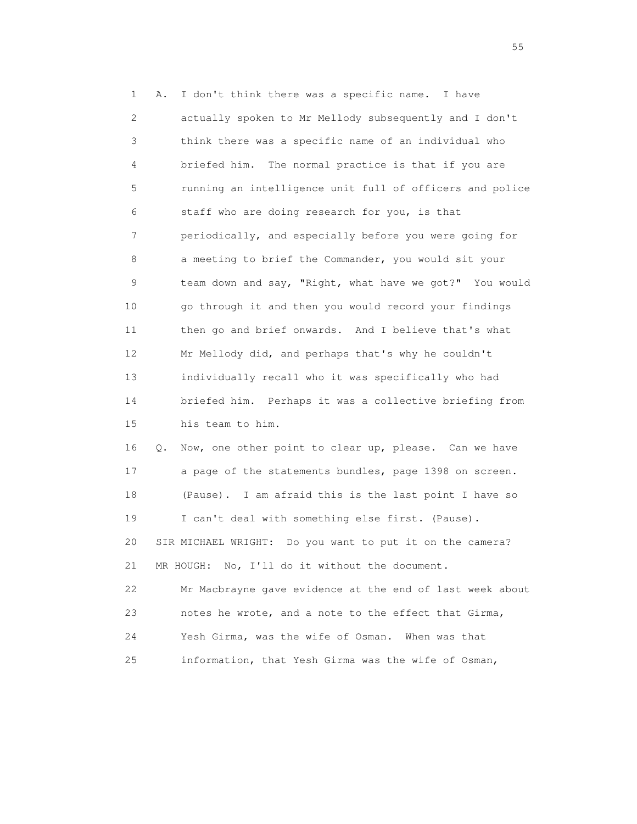1 A. I don't think there was a specific name. I have 2 actually spoken to Mr Mellody subsequently and I don't 3 think there was a specific name of an individual who 4 briefed him. The normal practice is that if you are 5 running an intelligence unit full of officers and police 6 staff who are doing research for you, is that 7 periodically, and especially before you were going for 8 a meeting to brief the Commander, you would sit your 9 team down and say, "Right, what have we got?" You would 10 go through it and then you would record your findings 11 then go and brief onwards. And I believe that's what 12 Mr Mellody did, and perhaps that's why he couldn't 13 individually recall who it was specifically who had 14 briefed him. Perhaps it was a collective briefing from 15 his team to him. 16 Q. Now, one other point to clear up, please. Can we have 17 a page of the statements bundles, page 1398 on screen. 18 (Pause). I am afraid this is the last point I have so 19 I can't deal with something else first. (Pause). 20 SIR MICHAEL WRIGHT: Do you want to put it on the camera? 21 MR HOUGH: No, I'll do it without the document. 22 Mr Macbrayne gave evidence at the end of last week about 23 notes he wrote, and a note to the effect that Girma, 24 Yesh Girma, was the wife of Osman. When was that 25 information, that Yesh Girma was the wife of Osman,

the state of the state of the state of the state of the state of the state of the state of the state of the state of the state of the state of the state of the state of the state of the state of the state of the state of t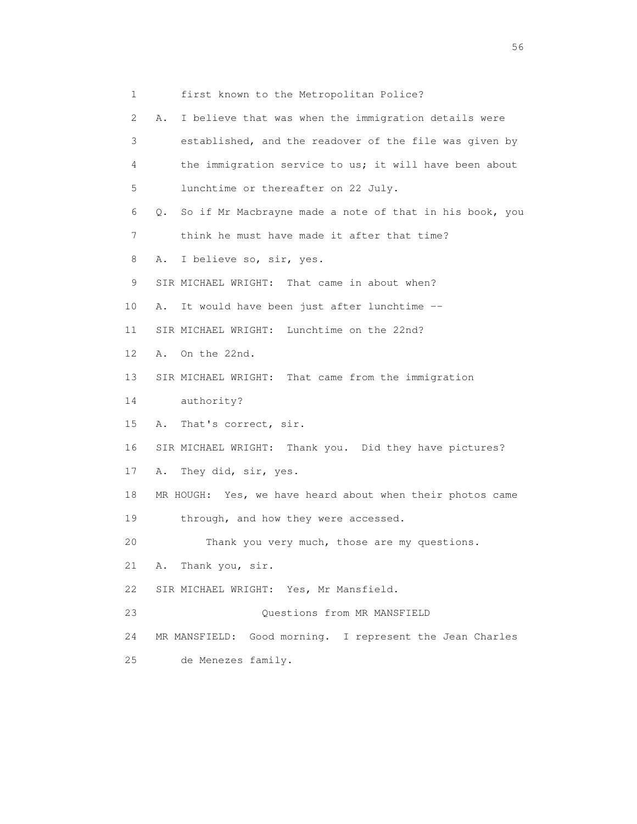1 first known to the Metropolitan Police? 2 A. I believe that was when the immigration details were 3 established, and the readover of the file was given by 4 the immigration service to us; it will have been about 5 lunchtime or thereafter on 22 July. 6 Q. So if Mr Macbrayne made a note of that in his book, you 7 think he must have made it after that time? 8 A. I believe so, sir, yes. 9 SIR MICHAEL WRIGHT: That came in about when? 10 A. It would have been just after lunchtime -- 11 SIR MICHAEL WRIGHT: Lunchtime on the 22nd? 12 A. On the 22nd. 13 SIR MICHAEL WRIGHT: That came from the immigration 14 authority? 15 A. That's correct, sir. 16 SIR MICHAEL WRIGHT: Thank you. Did they have pictures? 17 A. They did, sir, yes. 18 MR HOUGH: Yes, we have heard about when their photos came 19 through, and how they were accessed. 20 Thank you very much, those are my questions. 21 A. Thank you, sir. 22 SIR MICHAEL WRIGHT: Yes, Mr Mansfield. 23 Questions from MR MANSFIELD 24 MR MANSFIELD: Good morning. I represent the Jean Charles 25 de Menezes family.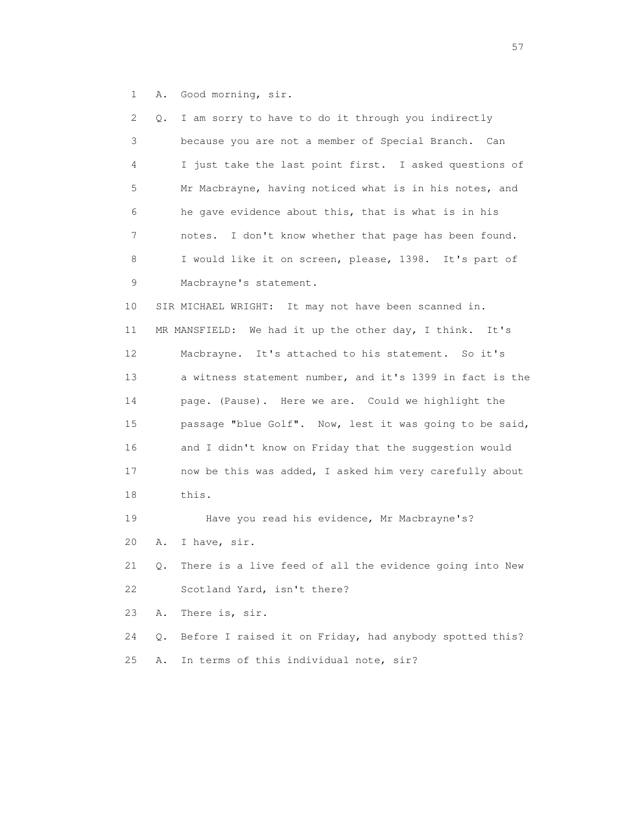1 A. Good morning, sir.

| 2  | Q. | I am sorry to have to do it through you indirectly       |
|----|----|----------------------------------------------------------|
| 3  |    | because you are not a member of Special Branch. Can      |
| 4  |    | I just take the last point first. I asked questions of   |
| 5  |    | Mr Macbrayne, having noticed what is in his notes, and   |
| 6  |    | he gave evidence about this, that is what is in his      |
| 7  |    | I don't know whether that page has been found.<br>notes. |
| 8  |    | I would like it on screen, please, 1398. It's part of    |
| 9  |    | Macbrayne's statement.                                   |
| 10 |    | SIR MICHAEL WRIGHT: It may not have been scanned in.     |
| 11 |    | MR MANSFIELD: We had it up the other day, I think. It's  |
| 12 |    | Macbrayne. It's attached to his statement. So it's       |
| 13 |    | a witness statement number, and it's 1399 in fact is the |
| 14 |    | page. (Pause). Here we are. Could we highlight the       |
| 15 |    | passage "blue Golf". Now, lest it was going to be said,  |
| 16 |    | and I didn't know on Friday that the suggestion would    |
| 17 |    | now be this was added, I asked him very carefully about  |
| 18 |    | this.                                                    |
| 19 |    | Have you read his evidence, Mr Macbrayne's?              |
| 20 | Α. | I have, sir.                                             |
| 21 | Q. | There is a live feed of all the evidence going into New  |
| 22 |    | Scotland Yard, isn't there?                              |
| 23 | Α. | There is, sir.                                           |
| 24 | Q. | Before I raised it on Friday, had anybody spotted this?  |
| 25 | Α. | In terms of this individual note, sir?                   |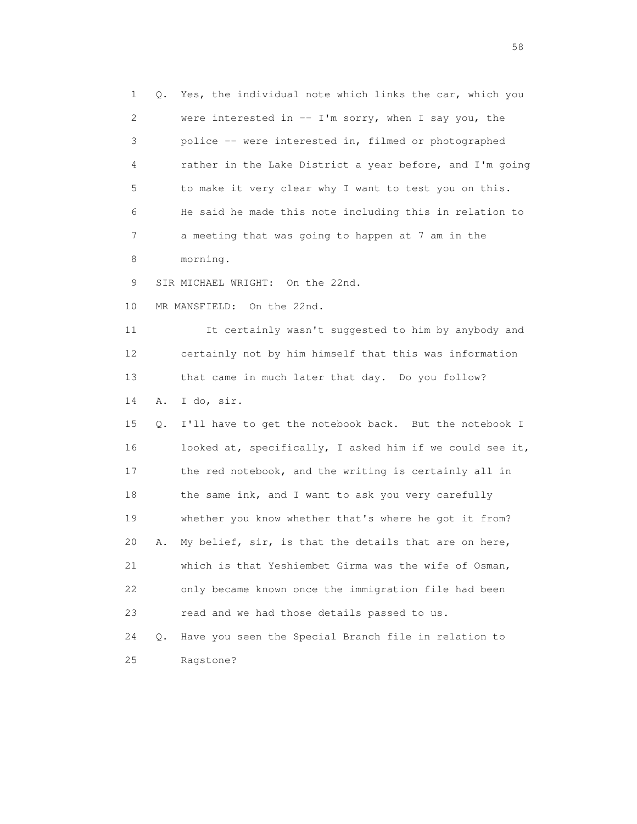1 Q. Yes, the individual note which links the car, which you 2 were interested in -- I'm sorry, when I say you, the 3 police -- were interested in, filmed or photographed 4 rather in the Lake District a year before, and I'm going 5 to make it very clear why I want to test you on this. 6 He said he made this note including this in relation to 7 a meeting that was going to happen at 7 am in the 8 morning. 9 SIR MICHAEL WRIGHT: On the 22nd. 10 MR MANSFIELD: On the 22nd. 11 It certainly wasn't suggested to him by anybody and 12 certainly not by him himself that this was information 13 that came in much later that day. Do you follow? 14 A. I do, sir. 15 Q. I'll have to get the notebook back. But the notebook I 16 looked at, specifically, I asked him if we could see it, 17 the red notebook, and the writing is certainly all in 18 the same ink, and I want to ask you very carefully 19 whether you know whether that's where he got it from? 20 A. My belief, sir, is that the details that are on here, 21 which is that Yeshiembet Girma was the wife of Osman, 22 only became known once the immigration file had been 23 read and we had those details passed to us. 24 Q. Have you seen the Special Branch file in relation to 25 Ragstone?

the state of the state of the state of the state of the state of the state of the state of the state of the state of the state of the state of the state of the state of the state of the state of the state of the state of t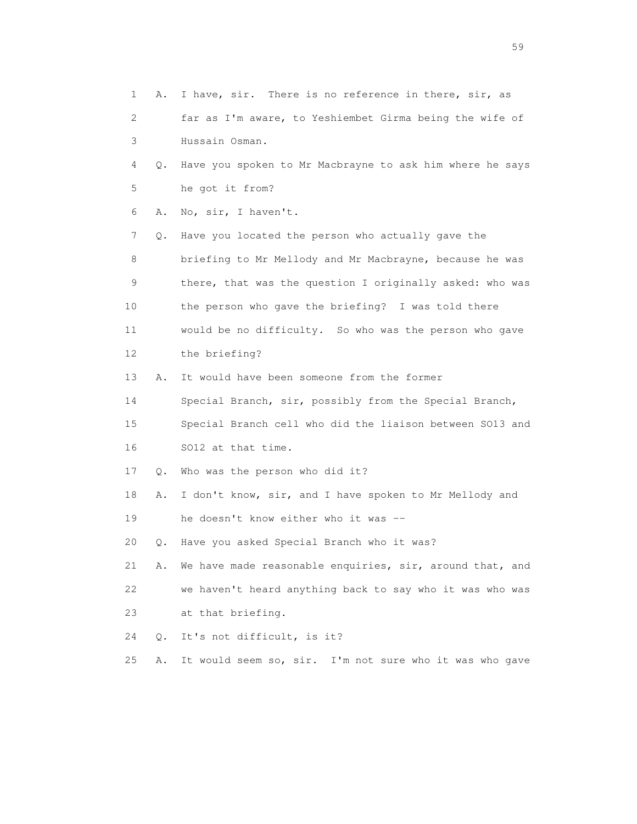1 A. I have, sir. There is no reference in there, sir, as 2 far as I'm aware, to Yeshiembet Girma being the wife of 3 Hussain Osman. 4 Q. Have you spoken to Mr Macbrayne to ask him where he says 5 he got it from? 6 A. No, sir, I haven't. 7 Q. Have you located the person who actually gave the 8 briefing to Mr Mellody and Mr Macbrayne, because he was 9 there, that was the question I originally asked: who was 10 the person who gave the briefing? I was told there 11 would be no difficulty. So who was the person who gave 12 the briefing? 13 A. It would have been someone from the former 14 Special Branch, sir, possibly from the Special Branch, 15 Special Branch cell who did the liaison between SO13 and 16 SO12 at that time. 17 Q. Who was the person who did it? 18 A. I don't know, sir, and I have spoken to Mr Mellody and 19 he doesn't know either who it was -- 20 Q. Have you asked Special Branch who it was? 21 A. We have made reasonable enquiries, sir, around that, and 22 we haven't heard anything back to say who it was who was 23 at that briefing. 24 Q. It's not difficult, is it? 25 A. It would seem so, sir. I'm not sure who it was who gave

the contract of the contract of the contract of the contract of the contract of the contract of the contract of the contract of the contract of the contract of the contract of the contract of the contract of the contract o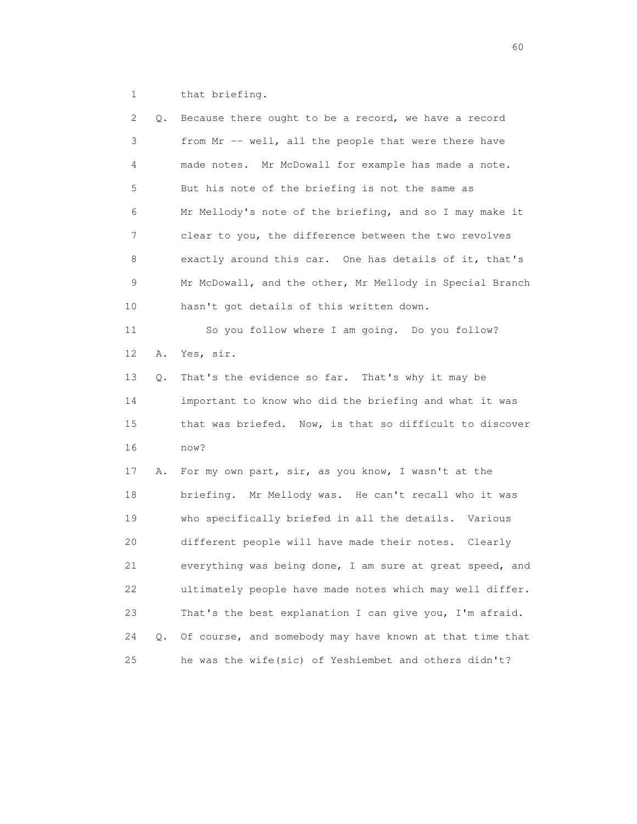1 that briefing.

| 2  | Q. | Because there ought to be a record, we have a record     |
|----|----|----------------------------------------------------------|
| 3  |    | from Mr -- well, all the people that were there have     |
| 4  |    | made notes. Mr McDowall for example has made a note.     |
| 5  |    | But his note of the briefing is not the same as          |
| 6  |    | Mr Mellody's note of the briefing, and so I may make it  |
| 7  |    | clear to you, the difference between the two revolves    |
| 8  |    | exactly around this car. One has details of it, that's   |
| 9  |    | Mr McDowall, and the other, Mr Mellody in Special Branch |
| 10 |    | hasn't got details of this written down.                 |
| 11 |    | So you follow where I am going. Do you follow?           |
| 12 | Α. | Yes, sir.                                                |
| 13 | Q. | That's the evidence so far. That's why it may be         |
| 14 |    | important to know who did the briefing and what it was   |
| 15 |    | that was briefed. Now, is that so difficult to discover  |
| 16 |    | now?                                                     |
| 17 | Α. | For my own part, sir, as you know, I wasn't at the       |
| 18 |    | briefing. Mr Mellody was. He can't recall who it was     |
| 19 |    | who specifically briefed in all the details. Various     |
| 20 |    | different people will have made their notes. Clearly     |
| 21 |    | everything was being done, I am sure at great speed, and |
| 22 |    | ultimately people have made notes which may well differ. |
| 23 |    | That's the best explanation I can give you, I'm afraid.  |
| 24 | Q. | Of course, and somebody may have known at that time that |
| 25 |    | he was the wife(sic) of Yeshiembet and others didn't?    |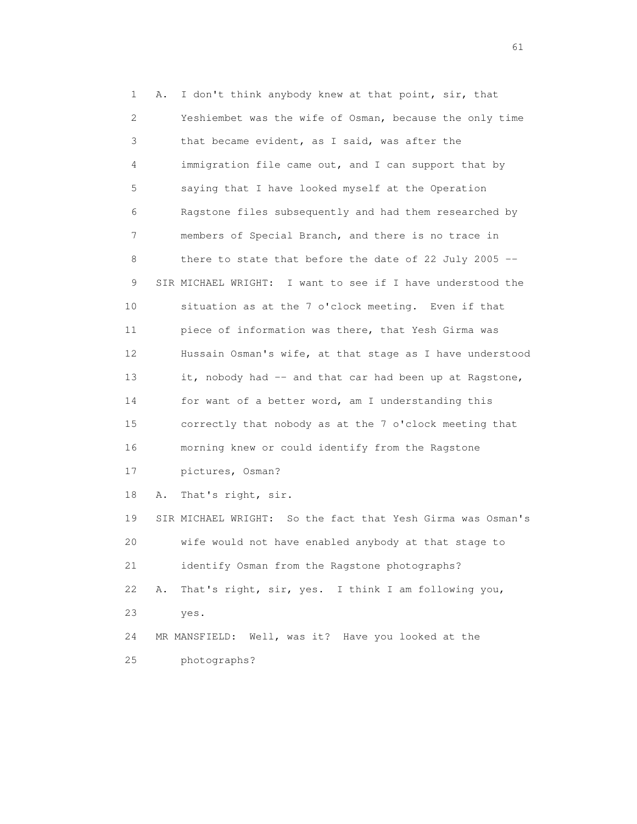1 A. I don't think anybody knew at that point, sir, that 2 Yeshiembet was the wife of Osman, because the only time 3 that became evident, as I said, was after the 4 immigration file came out, and I can support that by 5 saying that I have looked myself at the Operation 6 Ragstone files subsequently and had them researched by 7 members of Special Branch, and there is no trace in 8 there to state that before the date of 22 July 2005 -- 9 SIR MICHAEL WRIGHT: I want to see if I have understood the 10 situation as at the 7 o'clock meeting. Even if that 11 piece of information was there, that Yesh Girma was 12 Hussain Osman's wife, at that stage as I have understood 13 it, nobody had -- and that car had been up at Ragstone, 14 for want of a better word, am I understanding this 15 correctly that nobody as at the 7 o'clock meeting that 16 morning knew or could identify from the Ragstone 17 pictures, Osman? 18 A. That's right, sir. 19 SIR MICHAEL WRIGHT: So the fact that Yesh Girma was Osman's 20 wife would not have enabled anybody at that stage to 21 identify Osman from the Ragstone photographs? 22 A. That's right, sir, yes. I think I am following you, 23 yes. 24 MR MANSFIELD: Well, was it? Have you looked at the 25 photographs?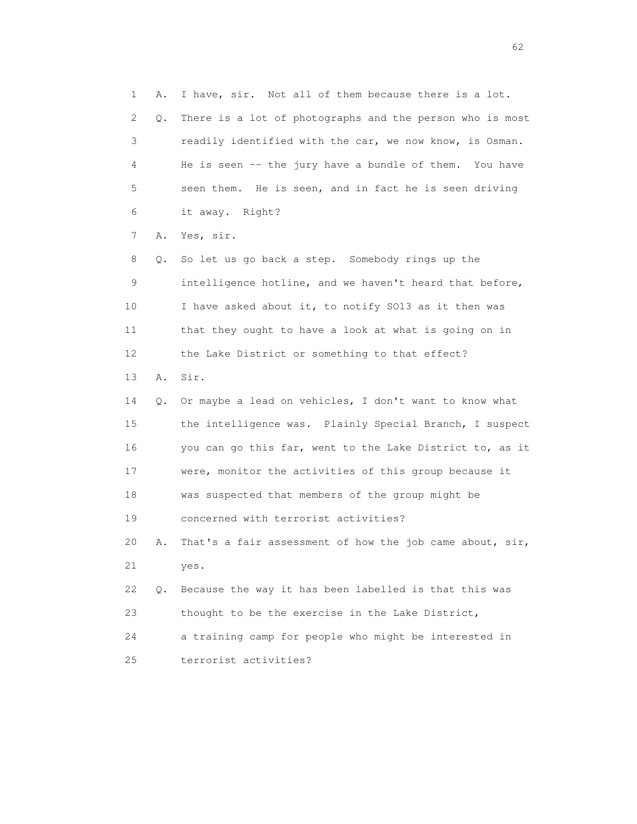1 A. I have, sir. Not all of them because there is a lot. 2 Q. There is a lot of photographs and the person who is most 3 readily identified with the car, we now know, is Osman. 4 He is seen -- the jury have a bundle of them. You have 5 seen them. He is seen, and in fact he is seen driving 6 it away. Right? 7 A. Yes, sir. 8 Q. So let us go back a step. Somebody rings up the 9 intelligence hotline, and we haven't heard that before, 10 I have asked about it, to notify SO13 as it then was 11 that they ought to have a look at what is going on in 12 the Lake District or something to that effect? 13 A. Sir. 14 Q. Or maybe a lead on vehicles, I don't want to know what 15 the intelligence was. Plainly Special Branch, I suspect 16 you can go this far, went to the Lake District to, as it 17 were, monitor the activities of this group because it 18 was suspected that members of the group might be 19 concerned with terrorist activities? 20 A. That's a fair assessment of how the job came about, sir, 21 yes. 22 Q. Because the way it has been labelled is that this was 23 thought to be the exercise in the Lake District, 24 a training camp for people who might be interested in 25 terrorist activities?

 $\sim$  62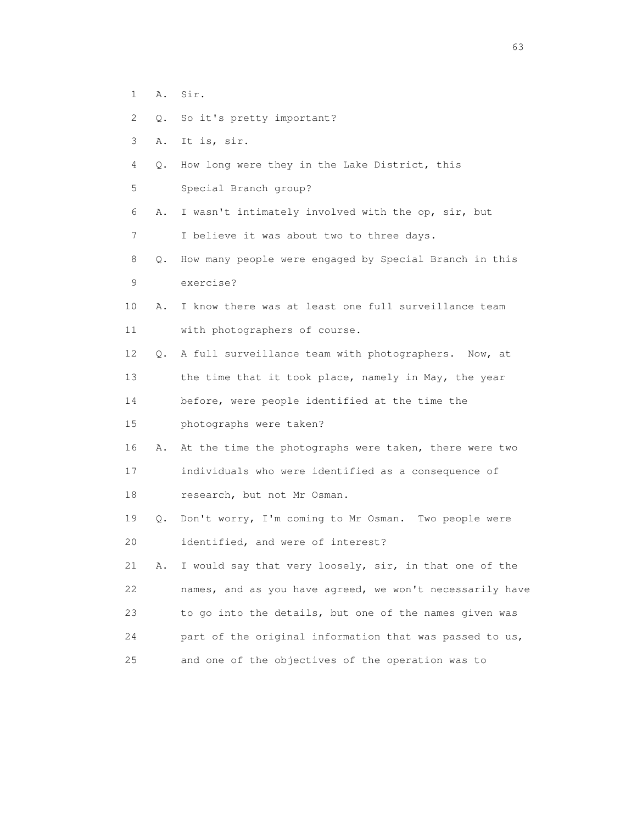- 1 A. Sir.
- 2 Q. So it's pretty important?
- 3 A. It is, sir.
- 4 Q. How long were they in the Lake District, this
- 5 Special Branch group?
- 6 A. I wasn't intimately involved with the op, sir, but
- 7 I believe it was about two to three days.
- 8 Q. How many people were engaged by Special Branch in this 9 exercise?
- 10 A. I know there was at least one full surveillance team 11 with photographers of course.
- 12 Q. A full surveillance team with photographers. Now, at
- 13 the time that it took place, namely in May, the year

14 before, were people identified at the time the

- 15 photographs were taken?
- 16 A. At the time the photographs were taken, there were two 17 individuals who were identified as a consequence of 18 research, but not Mr Osman.
- 19 Q. Don't worry, I'm coming to Mr Osman. Two people were 20 identified, and were of interest?

 21 A. I would say that very loosely, sir, in that one of the 22 names, and as you have agreed, we won't necessarily have 23 to go into the details, but one of the names given was 24 part of the original information that was passed to us, 25 and one of the objectives of the operation was to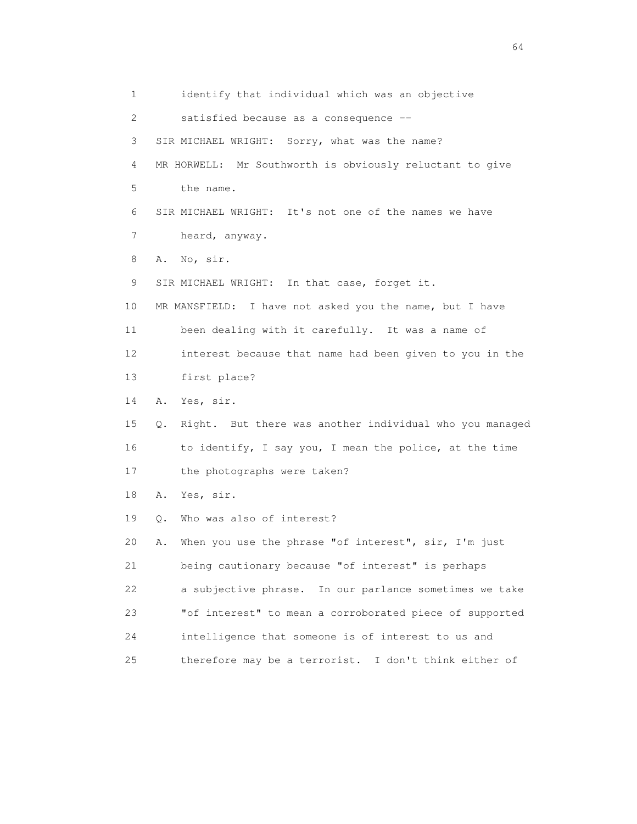1 identify that individual which was an objective 2 satisfied because as a consequence -- 3 SIR MICHAEL WRIGHT: Sorry, what was the name? 4 MR HORWELL: Mr Southworth is obviously reluctant to give 5 the name. 6 SIR MICHAEL WRIGHT: It's not one of the names we have 7 heard, anyway. 8 A. No, sir. 9 SIR MICHAEL WRIGHT: In that case, forget it. 10 MR MANSFIELD: I have not asked you the name, but I have 11 been dealing with it carefully. It was a name of 12 interest because that name had been given to you in the 13 first place? 14 A. Yes, sir. 15 Q. Right. But there was another individual who you managed 16 to identify, I say you, I mean the police, at the time 17 the photographs were taken? 18 A. Yes, sir. 19 Q. Who was also of interest? 20 A. When you use the phrase "of interest", sir, I'm just 21 being cautionary because "of interest" is perhaps 22 a subjective phrase. In our parlance sometimes we take 23 "of interest" to mean a corroborated piece of supported 24 intelligence that someone is of interest to us and 25 therefore may be a terrorist. I don't think either of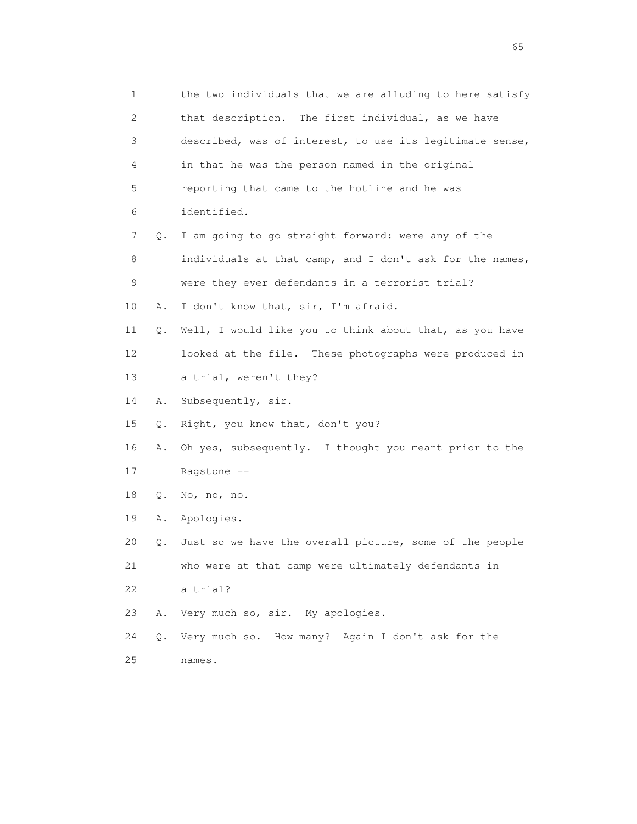1 the two individuals that we are alluding to here satisfy 2 that description. The first individual, as we have 3 described, was of interest, to use its legitimate sense, 4 in that he was the person named in the original 5 reporting that came to the hotline and he was 6 identified. 7 Q. I am going to go straight forward: were any of the 8 individuals at that camp, and I don't ask for the names, 9 were they ever defendants in a terrorist trial? 10 A. I don't know that, sir, I'm afraid. 11 Q. Well, I would like you to think about that, as you have 12 looked at the file. These photographs were produced in 13 a trial, weren't they? 14 A. Subsequently, sir. 15 Q. Right, you know that, don't you? 16 A. Oh yes, subsequently. I thought you meant prior to the 17 Ragstone -- 18 Q. No, no, no. 19 A. Apologies. 20 Q. Just so we have the overall picture, some of the people 21 who were at that camp were ultimately defendants in 22 a trial? 23 A. Very much so, sir. My apologies. 24 Q. Very much so. How many? Again I don't ask for the 25 names.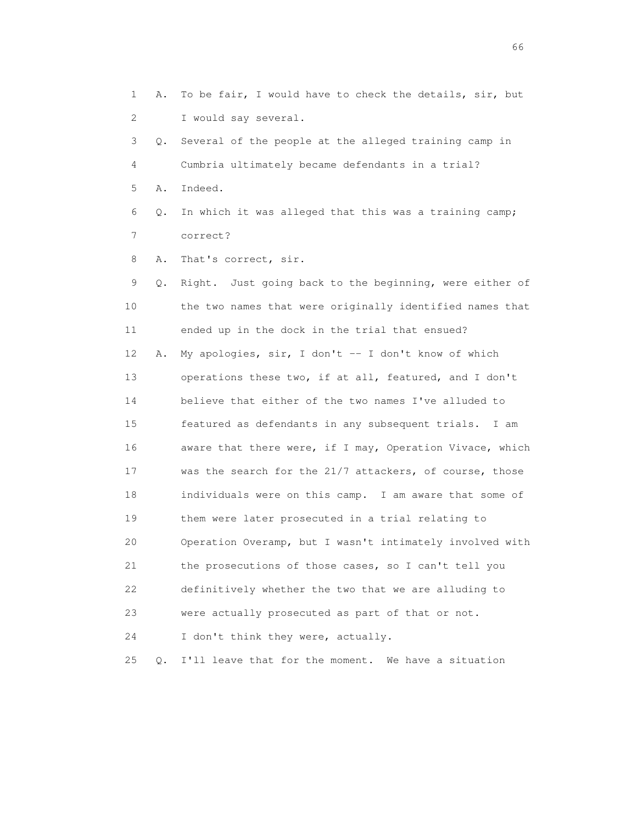1 A. To be fair, I would have to check the details, sir, but 2 I would say several. 3 Q. Several of the people at the alleged training camp in 4 Cumbria ultimately became defendants in a trial? 5 A. Indeed. 6 Q. In which it was alleged that this was a training camp; 7 correct? 8 A. That's correct, sir. 9 Q. Right. Just going back to the beginning, were either of 10 the two names that were originally identified names that 11 ended up in the dock in the trial that ensued? 12 A. My apologies, sir, I don't -- I don't know of which 13 operations these two, if at all, featured, and I don't 14 believe that either of the two names I've alluded to 15 featured as defendants in any subsequent trials. I am 16 aware that there were, if I may, Operation Vivace, which 17 was the search for the 21/7 attackers, of course, those 18 individuals were on this camp. I am aware that some of 19 them were later prosecuted in a trial relating to 20 Operation Overamp, but I wasn't intimately involved with 21 the prosecutions of those cases, so I can't tell you 22 definitively whether the two that we are alluding to 23 were actually prosecuted as part of that or not. 24 I don't think they were, actually. 25 Q. I'll leave that for the moment. We have a situation

 $\sim$  66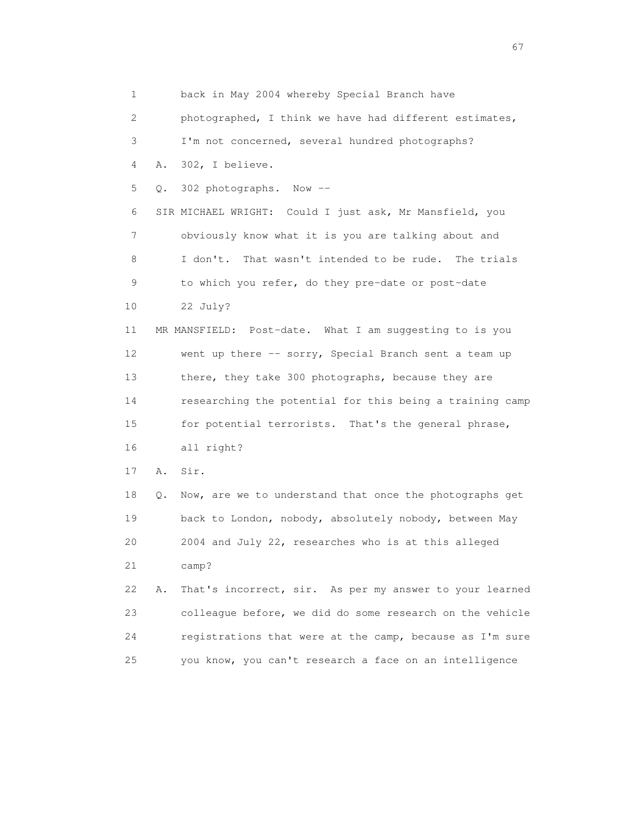1 back in May 2004 whereby Special Branch have 2 photographed, I think we have had different estimates, 3 I'm not concerned, several hundred photographs? 4 A. 302, I believe. 5 Q. 302 photographs. Now -- 6 SIR MICHAEL WRIGHT: Could I just ask, Mr Mansfield, you 7 obviously know what it is you are talking about and 8 I don't. That wasn't intended to be rude. The trials 9 to which you refer, do they pre-date or post-date 10 22 July? 11 MR MANSFIELD: Post-date. What I am suggesting to is you 12 went up there -- sorry, Special Branch sent a team up 13 there, they take 300 photographs, because they are 14 researching the potential for this being a training camp 15 for potential terrorists. That's the general phrase, 16 all right? 17 A. Sir. 18 Q. Now, are we to understand that once the photographs get 19 back to London, nobody, absolutely nobody, between May 20 2004 and July 22, researches who is at this alleged 21 camp? 22 A. That's incorrect, sir. As per my answer to your learned 23 colleague before, we did do some research on the vehicle

24 registrations that were at the camp, because as I'm sure

25 you know, you can't research a face on an intelligence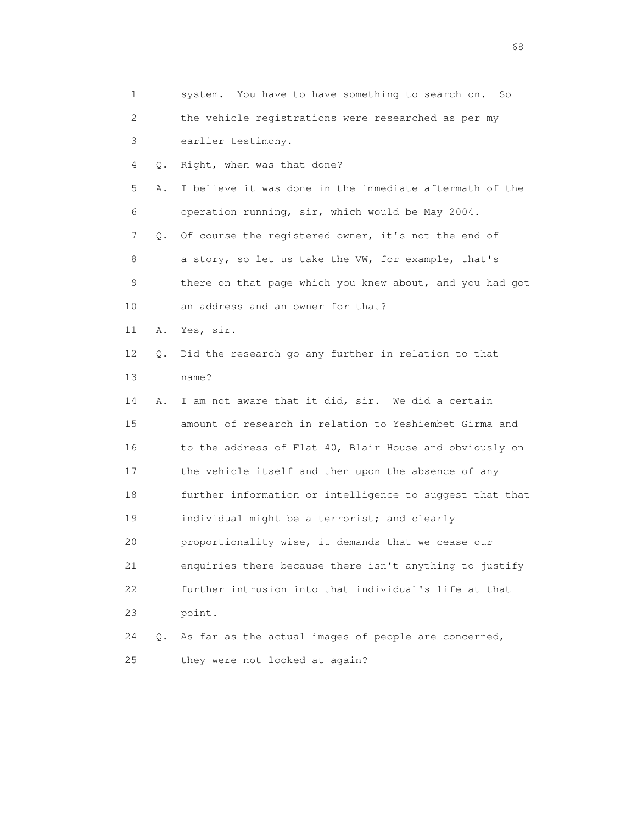| 1  |    | system. You have to have something to search on.<br>So   |
|----|----|----------------------------------------------------------|
| 2  |    | the vehicle registrations were researched as per my      |
| 3  |    | earlier testimony.                                       |
| 4  | Q. | Right, when was that done?                               |
| 5  | Α. | I believe it was done in the immediate aftermath of the  |
| 6  |    | operation running, sir, which would be May 2004.         |
| 7  | Q. | Of course the registered owner, it's not the end of      |
| 8  |    | a story, so let us take the VW, for example, that's      |
| 9  |    | there on that page which you knew about, and you had got |
| 10 |    | an address and an owner for that?                        |
| 11 | Α. | Yes, sir.                                                |
| 12 | Q. | Did the research go any further in relation to that      |
| 13 |    | name?                                                    |
| 14 | Α. | I am not aware that it did, sir. We did a certain        |
| 15 |    | amount of research in relation to Yeshiembet Girma and   |
| 16 |    | to the address of Flat 40, Blair House and obviously on  |
| 17 |    | the vehicle itself and then upon the absence of any      |
| 18 |    | further information or intelligence to suggest that that |
| 19 |    | individual might be a terrorist; and clearly             |
| 20 |    | proportionality wise, it demands that we cease our       |
| 21 |    | enquiries there because there isn't anything to justify  |
| 22 |    | further intrusion into that individual's life at that    |
| 23 |    | point.                                                   |
| 24 | Q. | As far as the actual images of people are concerned,     |
| 25 |    | they were not looked at again?                           |

entration of the contract of the contract of the contract of the contract of the contract of the contract of the contract of the contract of the contract of the contract of the contract of the contract of the contract of t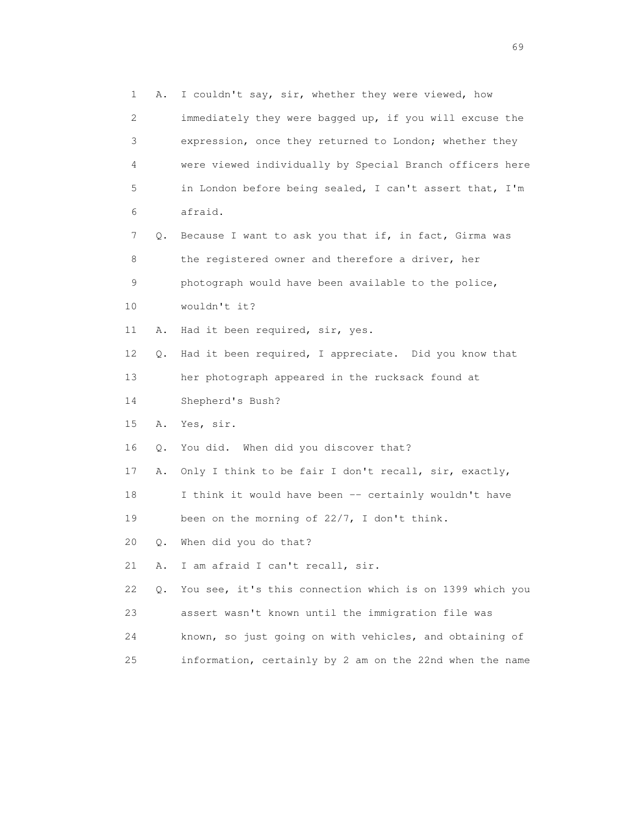| 1  | Α. | I couldn't say, sir, whether they were viewed, how       |
|----|----|----------------------------------------------------------|
| 2  |    | immediately they were bagged up, if you will excuse the  |
| 3  |    | expression, once they returned to London; whether they   |
| 4  |    | were viewed individually by Special Branch officers here |
| 5  |    | in London before being sealed, I can't assert that, I'm  |
| 6  |    | afraid.                                                  |
| 7  | Q. | Because I want to ask you that if, in fact, Girma was    |
| 8  |    | the registered owner and therefore a driver, her         |
| 9  |    | photograph would have been available to the police,      |
| 10 |    | wouldn't it?                                             |
| 11 | Α. | Had it been required, sir, yes.                          |
| 12 | Q. | Had it been required, I appreciate. Did you know that    |
| 13 |    | her photograph appeared in the rucksack found at         |
| 14 |    | Shepherd's Bush?                                         |
| 15 | Α. | Yes, sir.                                                |
| 16 | Q. | You did. When did you discover that?                     |
| 17 | Α. | Only I think to be fair I don't recall, sir, exactly,    |
| 18 |    | I think it would have been -- certainly wouldn't have    |
| 19 |    | been on the morning of 22/7, I don't think.              |
| 20 | Q. | When did you do that?                                    |
| 21 | Α. | I am afraid I can't recall, sir.                         |
| 22 | Q. | You see, it's this connection which is on 1399 which you |
| 23 |    | assert wasn't known until the immigration file was       |
| 24 |    | known, so just going on with vehicles, and obtaining of  |
| 25 |    | information, certainly by 2 am on the 22nd when the name |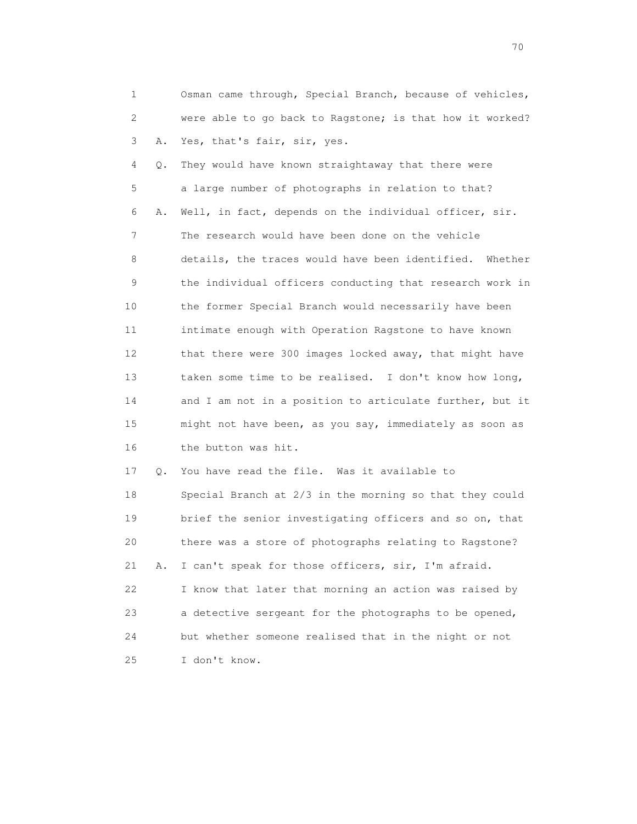|  | Osman came through, Special Branch, because of vehicles, |
|--|----------------------------------------------------------|
|  | were able to go back to Ragstone; is that how it worked? |
|  | 3 A. Yes, that's fair, sir, yes.                         |

 4 Q. They would have known straightaway that there were 5 a large number of photographs in relation to that? 6 A. Well, in fact, depends on the individual officer, sir. 7 The research would have been done on the vehicle 8 details, the traces would have been identified. Whether 9 the individual officers conducting that research work in 10 the former Special Branch would necessarily have been 11 intimate enough with Operation Ragstone to have known 12 that there were 300 images locked away, that might have 13 taken some time to be realised. I don't know how long, 14 and I am not in a position to articulate further, but it 15 might not have been, as you say, immediately as soon as 16 the button was hit.

 17 Q. You have read the file. Was it available to 18 Special Branch at 2/3 in the morning so that they could 19 brief the senior investigating officers and so on, that 20 there was a store of photographs relating to Ragstone? 21 A. I can't speak for those officers, sir, I'm afraid. 22 I know that later that morning an action was raised by 23 a detective sergeant for the photographs to be opened, 24 but whether someone realised that in the night or not 25 I don't know.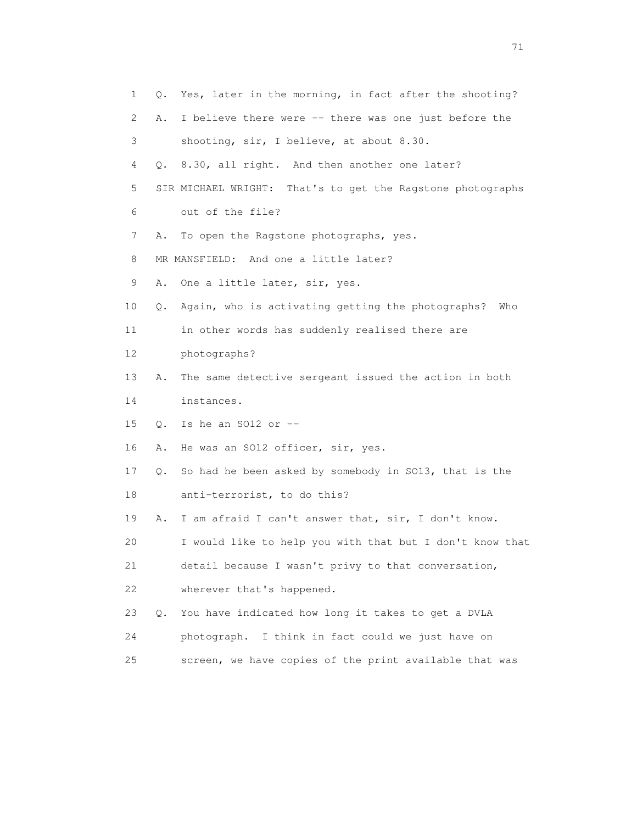| 1  | О.            | Yes, later in the morning, in fact after the shooting?     |
|----|---------------|------------------------------------------------------------|
| 2  | Α.            | I believe there were -- there was one just before the      |
| 3  |               | shooting, sir, I believe, at about 8.30.                   |
| 4  |               | Q. 8.30, all right. And then another one later?            |
| 5  |               | SIR MICHAEL WRIGHT: That's to get the Ragstone photographs |
| 6  |               | out of the file?                                           |
| 7  | Α.            | To open the Ragstone photographs, yes.                     |
| 8  |               | MR MANSFIELD: And one a little later?                      |
| 9  | Α.            | One a little later, sir, yes.                              |
| 10 | Q.            | Again, who is activating getting the photographs?<br>Who   |
| 11 |               | in other words has suddenly realised there are             |
| 12 |               | photographs?                                               |
| 13 | Α.            | The same detective sergeant issued the action in both      |
| 14 |               | instances.                                                 |
| 15 | Q.            | Is he an SO12 or $-$                                       |
| 16 | Α.            | He was an SO12 officer, sir, yes.                          |
| 17 | Q.            | So had he been asked by somebody in SO13, that is the      |
| 18 |               | anti-terrorist, to do this?                                |
| 19 | Α.            | I am afraid I can't answer that, sir, I don't know.        |
| 20 |               | I would like to help you with that but I don't know that   |
| 21 |               | detail because I wasn't privy to that conversation,        |
| 22 |               | wherever that's happened.                                  |
| 23 | $Q_{\bullet}$ | You have indicated how long it takes to get a DVLA         |
| 24 |               | photograph. I think in fact could we just have on          |
| 25 |               | screen, we have copies of the print available that was     |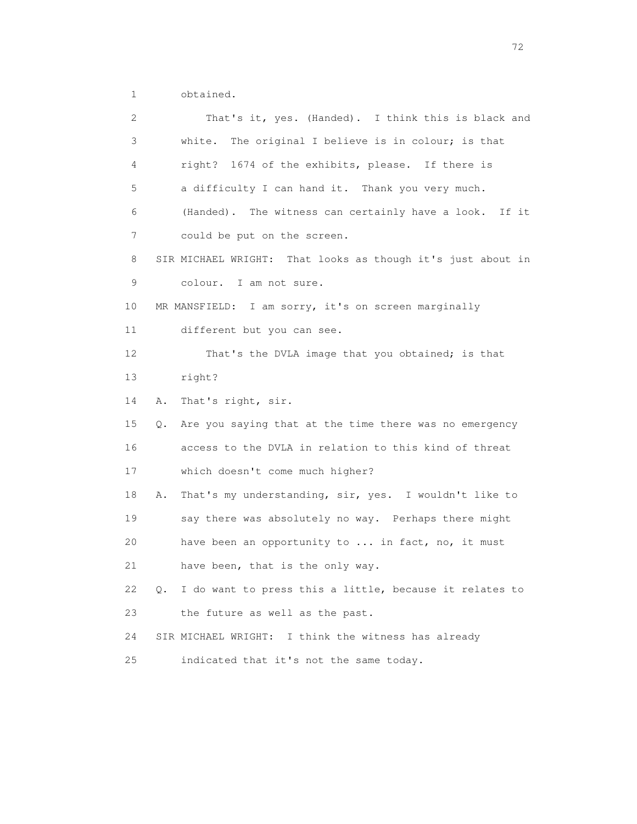1 obtained.

| 2  | That's it, yes. (Handed). I think this is black and           |
|----|---------------------------------------------------------------|
| 3  | The original I believe is in colour; is that<br>white.        |
| 4  | right? 1674 of the exhibits, please. If there is              |
| 5  | a difficulty I can hand it. Thank you very much.              |
| 6  | (Handed). The witness can certainly have a look. If it        |
| 7  | could be put on the screen.                                   |
| 8  | SIR MICHAEL WRIGHT: That looks as though it's just about in   |
| 9  | colour. I am not sure.                                        |
| 10 | MR MANSFIELD: I am sorry, it's on screen marginally           |
| 11 | different but you can see.                                    |
| 12 | That's the DVLA image that you obtained; is that              |
| 13 | right?                                                        |
| 14 | Α.<br>That's right, sir.                                      |
| 15 | Are you saying that at the time there was no emergency<br>Q.  |
| 16 | access to the DVLA in relation to this kind of threat         |
| 17 | which doesn't come much higher?                               |
| 18 | That's my understanding, sir, yes. I wouldn't like to<br>Α.   |
| 19 | say there was absolutely no way. Perhaps there might          |
| 20 | have been an opportunity to  in fact, no, it must             |
| 21 | have been, that is the only way.                              |
| 22 | I do want to press this a little, because it relates to<br>Q. |
| 23 | the future as well as the past.                               |
| 24 | SIR MICHAEL WRIGHT: I think the witness has already           |
| 25 | indicated that it's not the same today.                       |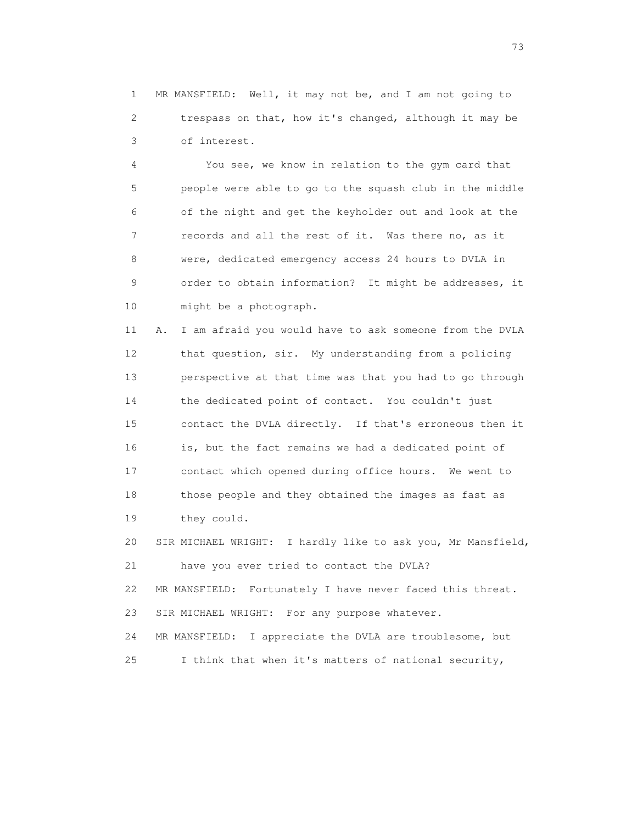1 MR MANSFIELD: Well, it may not be, and I am not going to 2 trespass on that, how it's changed, although it may be 3 of interest.

 4 You see, we know in relation to the gym card that 5 people were able to go to the squash club in the middle 6 of the night and get the keyholder out and look at the 7 records and all the rest of it. Was there no, as it 8 were, dedicated emergency access 24 hours to DVLA in 9 order to obtain information? It might be addresses, it 10 might be a photograph.

 11 A. I am afraid you would have to ask someone from the DVLA 12 that question, sir. My understanding from a policing 13 perspective at that time was that you had to go through 14 the dedicated point of contact. You couldn't just 15 contact the DVLA directly. If that's erroneous then it 16 is, but the fact remains we had a dedicated point of 17 contact which opened during office hours. We went to 18 those people and they obtained the images as fast as 19 they could.

 20 SIR MICHAEL WRIGHT: I hardly like to ask you, Mr Mansfield, 21 have you ever tried to contact the DVLA? 22 MR MANSFIELD: Fortunately I have never faced this threat. 23 SIR MICHAEL WRIGHT: For any purpose whatever. 24 MR MANSFIELD: I appreciate the DVLA are troublesome, but 25 I think that when it's matters of national security,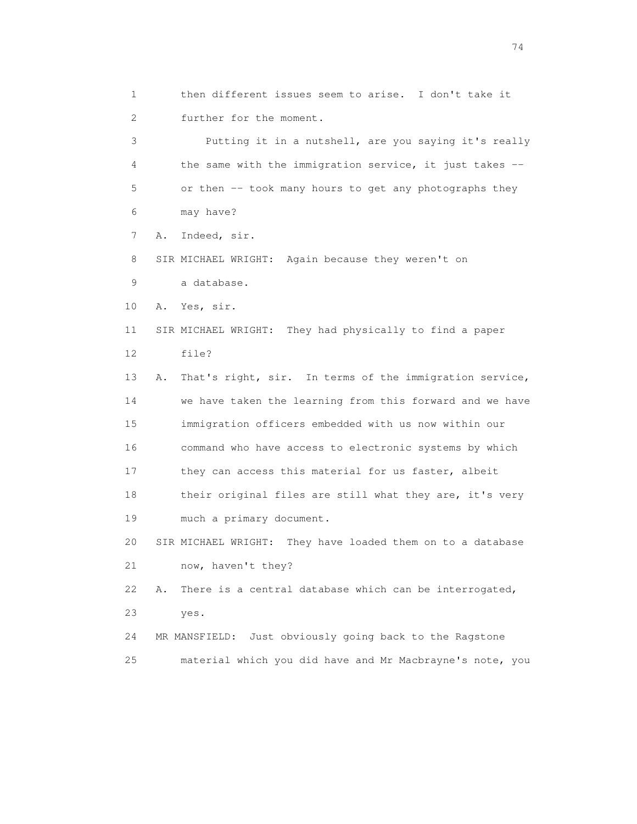- 1 then different issues seem to arise. I don't take it 2 further for the moment. 3 Putting it in a nutshell, are you saying it's really
- 4 the same with the immigration service, it just takes -- 5 or then -- took many hours to get any photographs they 6 may have?

7 A. Indeed, sir.

8 SIR MICHAEL WRIGHT: Again because they weren't on

9 a database.

10 A. Yes, sir.

 11 SIR MICHAEL WRIGHT: They had physically to find a paper 12 file?

 13 A. That's right, sir. In terms of the immigration service, 14 we have taken the learning from this forward and we have 15 immigration officers embedded with us now within our 16 command who have access to electronic systems by which 17 they can access this material for us faster, albeit 18 their original files are still what they are, it's very 19 much a primary document.

 20 SIR MICHAEL WRIGHT: They have loaded them on to a database 21 now, haven't they?

 22 A. There is a central database which can be interrogated, 23 yes.

 24 MR MANSFIELD: Just obviously going back to the Ragstone 25 material which you did have and Mr Macbrayne's note, you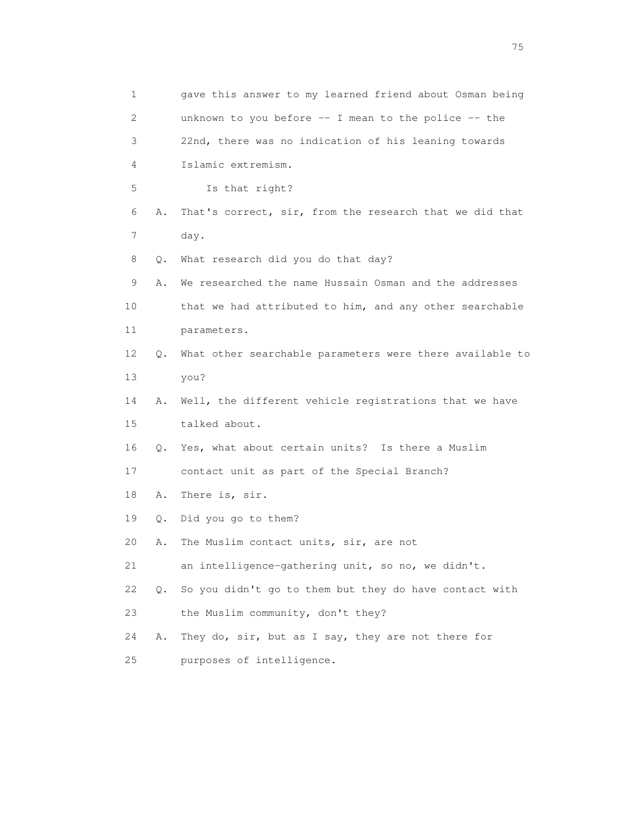1 gave this answer to my learned friend about Osman being 2 unknown to you before -- I mean to the police -- the 3 22nd, there was no indication of his leaning towards 4 Islamic extremism. 5 Is that right? 6 A. That's correct, sir, from the research that we did that 7 day. 8 Q. What research did you do that day? 9 A. We researched the name Hussain Osman and the addresses 10 that we had attributed to him, and any other searchable 11 parameters. 12 Q. What other searchable parameters were there available to 13 you? 14 A. Well, the different vehicle registrations that we have 15 talked about. 16 Q. Yes, what about certain units? Is there a Muslim 17 contact unit as part of the Special Branch? 18 A. There is, sir. 19 Q. Did you go to them? 20 A. The Muslim contact units, sir, are not 21 an intelligence-gathering unit, so no, we didn't. 22 Q. So you didn't go to them but they do have contact with 23 the Muslim community, don't they? 24 A. They do, sir, but as I say, they are not there for 25 purposes of intelligence.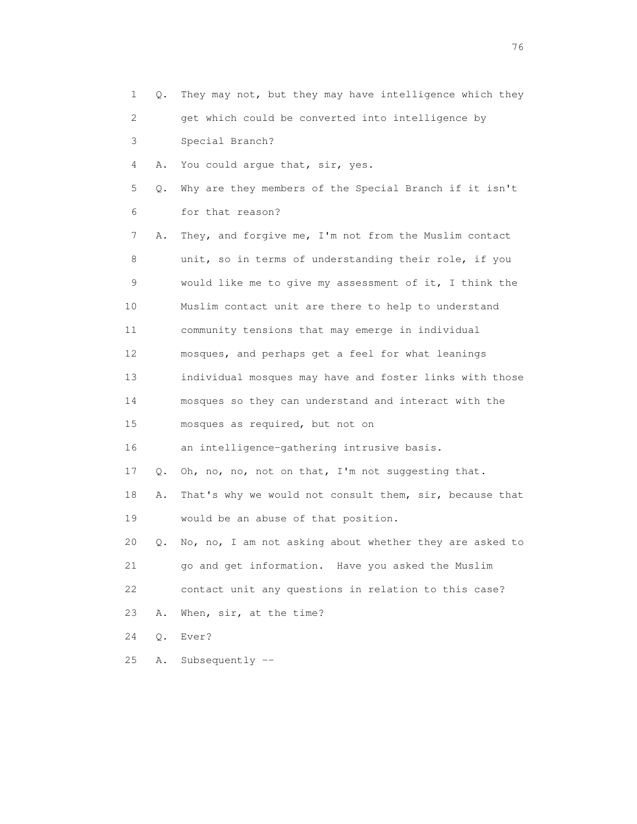| $\mathbf{1}$    | О.    | They may not, but they may have intelligence which they |
|-----------------|-------|---------------------------------------------------------|
| 2               |       | get which could be converted into intelligence by       |
| 3               |       | Special Branch?                                         |
| 4               | Α.    | You could argue that, sir, yes.                         |
| 5               | Q.    | Why are they members of the Special Branch if it isn't  |
| 6               |       | for that reason?                                        |
| 7               | Α.    | They, and forgive me, I'm not from the Muslim contact   |
| 8               |       | unit, so in terms of understanding their role, if you   |
| 9               |       | would like me to give my assessment of it, I think the  |
| 10              |       | Muslim contact unit are there to help to understand     |
| 11              |       | community tensions that may emerge in individual        |
| 12 <sup>°</sup> |       | mosques, and perhaps get a feel for what leanings       |
| 13              |       | individual mosques may have and foster links with those |
| 14              |       | mosques so they can understand and interact with the    |
| 15              |       | mosques as required, but not on                         |
| 16              |       | an intelligence-gathering intrusive basis.              |
| 17              | Q.    | Oh, no, no, not on that, I'm not suggesting that.       |
| 18              | Α.    | That's why we would not consult them, sir, because that |
| 19              |       | would be an abuse of that position.                     |
| 20              | Q.    | No, no, I am not asking about whether they are asked to |
| 21              |       | go and get information. Have you asked the Muslim       |
| 22              |       | contact unit any questions in relation to this case?    |
| 23              | Α.    | When, sir, at the time?                                 |
| 24              | $Q$ . | Ever?                                                   |
| 25              | Α.    | Subsequently $--$                                       |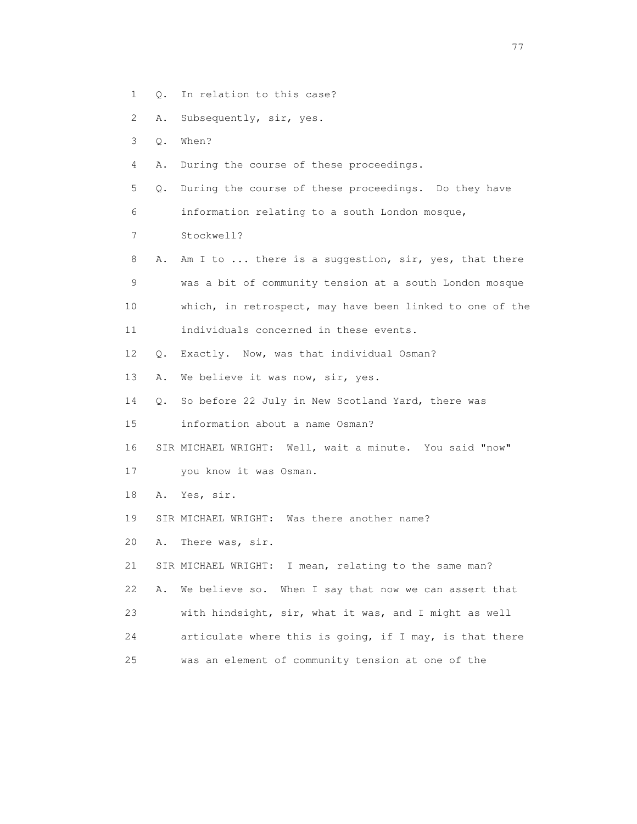- 1 Q. In relation to this case?
- 2 A. Subsequently, sir, yes.
- 3 Q. When?
- 4 A. During the course of these proceedings.
- 5 Q. During the course of these proceedings. Do they have 6 information relating to a south London mosque,
- 7 Stockwell?
- 8 A. Am I to ... there is a suggestion, sir, yes, that there 9 was a bit of community tension at a south London mosque 10 which, in retrospect, may have been linked to one of the 11 individuals concerned in these events.
- 12 Q. Exactly. Now, was that individual Osman?
- 13 A. We believe it was now, sir, yes.
- 14 Q. So before 22 July in New Scotland Yard, there was
- 15 information about a name Osman?
- 16 SIR MICHAEL WRIGHT: Well, wait a minute. You said "now"
- 17 you know it was Osman.
- 18 A. Yes, sir.
- 19 SIR MICHAEL WRIGHT: Was there another name?
- 20 A. There was, sir.
- 21 SIR MICHAEL WRIGHT: I mean, relating to the same man?
- 22 A. We believe so. When I say that now we can assert that
- 23 with hindsight, sir, what it was, and I might as well
- 24 articulate where this is going, if I may, is that there
- 25 was an element of community tension at one of the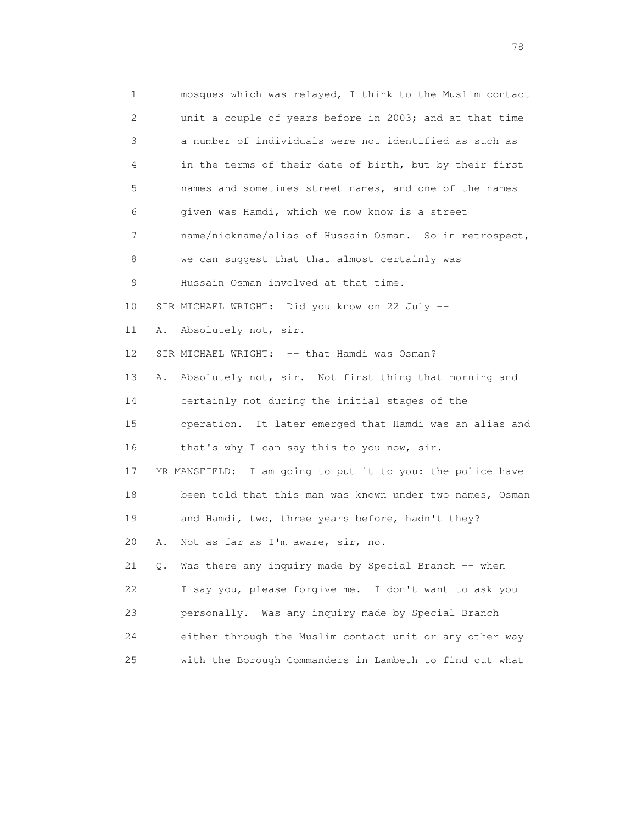1 mosques which was relayed, I think to the Muslim contact 2 unit a couple of years before in 2003; and at that time 3 a number of individuals were not identified as such as 4 in the terms of their date of birth, but by their first 5 names and sometimes street names, and one of the names 6 given was Hamdi, which we now know is a street 7 name/nickname/alias of Hussain Osman. So in retrospect, 8 we can suggest that that almost certainly was 9 Hussain Osman involved at that time. 10 SIR MICHAEL WRIGHT: Did you know on 22 July -- 11 A. Absolutely not, sir. 12 SIR MICHAEL WRIGHT: -- that Hamdi was Osman? 13 A. Absolutely not, sir. Not first thing that morning and 14 certainly not during the initial stages of the 15 operation. It later emerged that Hamdi was an alias and 16 that's why I can say this to you now, sir. 17 MR MANSFIELD: I am going to put it to you: the police have 18 been told that this man was known under two names, Osman 19 and Hamdi, two, three years before, hadn't they? 20 A. Not as far as I'm aware, sir, no. 21 Q. Was there any inquiry made by Special Branch -- when 22 I say you, please forgive me. I don't want to ask you 23 personally. Was any inquiry made by Special Branch 24 either through the Muslim contact unit or any other way 25 with the Borough Commanders in Lambeth to find out what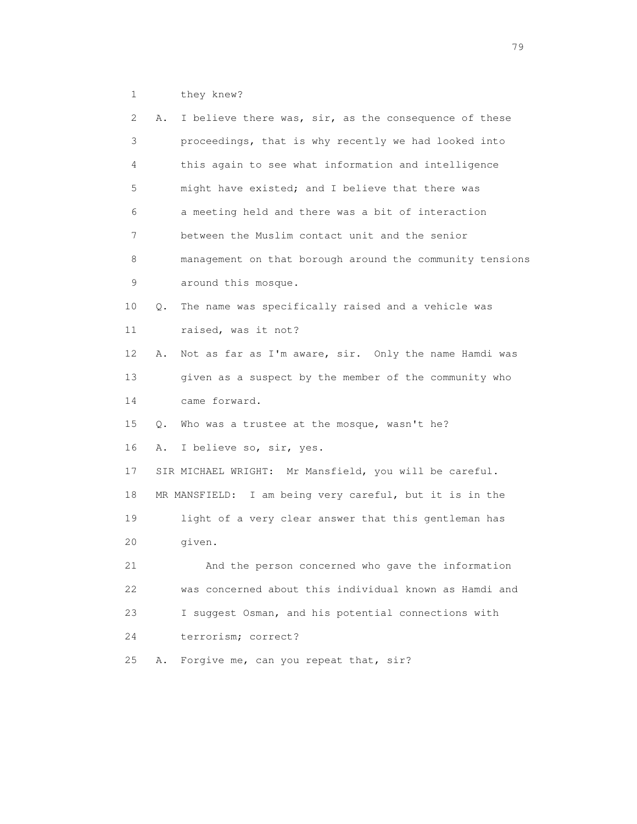1 they knew?

| 2               | Α. | I believe there was, sir, as the consequence of these    |
|-----------------|----|----------------------------------------------------------|
| 3               |    | proceedings, that is why recently we had looked into     |
| 4               |    | this again to see what information and intelligence      |
| 5               |    | might have existed; and I believe that there was         |
| 6               |    | a meeting held and there was a bit of interaction        |
| $7\phantom{.0}$ |    | between the Muslim contact unit and the senior           |
| 8               |    | management on that borough around the community tensions |
| 9               |    | around this mosque.                                      |
| 10              | Q. | The name was specifically raised and a vehicle was       |
| 11              |    | raised, was it not?                                      |
| 12              | Α. | Not as far as I'm aware, sir. Only the name Hamdi was    |
| 13              |    | given as a suspect by the member of the community who    |
| 14              |    | came forward.                                            |
| 15              | Q. | Who was a trustee at the mosque, wasn't he?              |
| 16              | Α. | I believe so, sir, yes.                                  |
| 17              |    | SIR MICHAEL WRIGHT: Mr Mansfield, you will be careful.   |
| 18              |    | MR MANSFIELD: I am being very careful, but it is in the  |
| 19              |    | light of a very clear answer that this gentleman has     |
| 20              |    | given.                                                   |
| 21              |    | And the person concerned who gave the information        |
| 22              |    | was concerned about this individual known as Hamdi and   |
| 23              |    | I suggest Osman, and his potential connections with      |
| 24              |    | terrorism; correct?                                      |
| 25              | Α. | Forgive me, can you repeat that, sir?                    |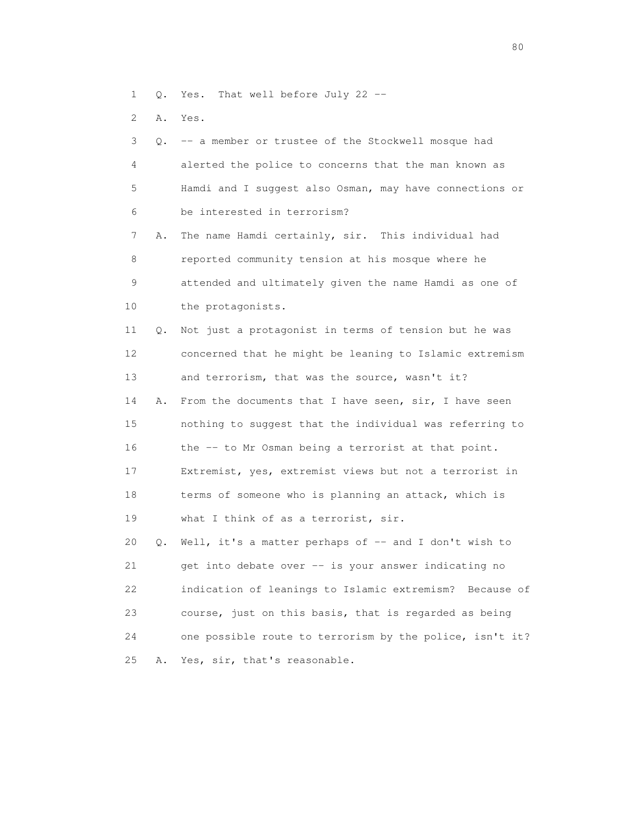- 1 Q. Yes. That well before July 22 --
- 2 A. Yes.

| 3               | 0. | -- a member or trustee of the Stockwell mosque had       |
|-----------------|----|----------------------------------------------------------|
| 4               |    | alerted the police to concerns that the man known as     |
| 5               |    | Hamdi and I suggest also Osman, may have connections or  |
| 6               |    | be interested in terrorism?                              |
| 7               | Α. | The name Hamdi certainly, sir. This individual had       |
| 8               |    | reported community tension at his mosque where he        |
| 9               |    | attended and ultimately given the name Hamdi as one of   |
| 10              |    | the protagonists.                                        |
| 11              | Q. | Not just a protagonist in terms of tension but he was    |
| 12 <sup>2</sup> |    | concerned that he might be leaning to Islamic extremism  |
| 13              |    | and terrorism, that was the source, wasn't it?           |
| 14              | Α. | From the documents that I have seen, sir, I have seen    |
| 15              |    | nothing to suggest that the individual was referring to  |
| 16              |    | the -- to Mr Osman being a terrorist at that point.      |
| 17              |    | Extremist, yes, extremist views but not a terrorist in   |
| 18              |    | terms of someone who is planning an attack, which is     |
| 19              |    | what I think of as a terrorist, sir.                     |
| 20              | Q. | Well, it's a matter perhaps of -- and I don't wish to    |
| 21              |    | get into debate over -- is your answer indicating no     |
| 22              |    | indication of leanings to Islamic extremism? Because of  |
| 23              |    | course, just on this basis, that is regarded as being    |
| 24              |    | one possible route to terrorism by the police, isn't it? |
| 25              | Α. | Yes, sir, that's reasonable.                             |
|                 |    |                                                          |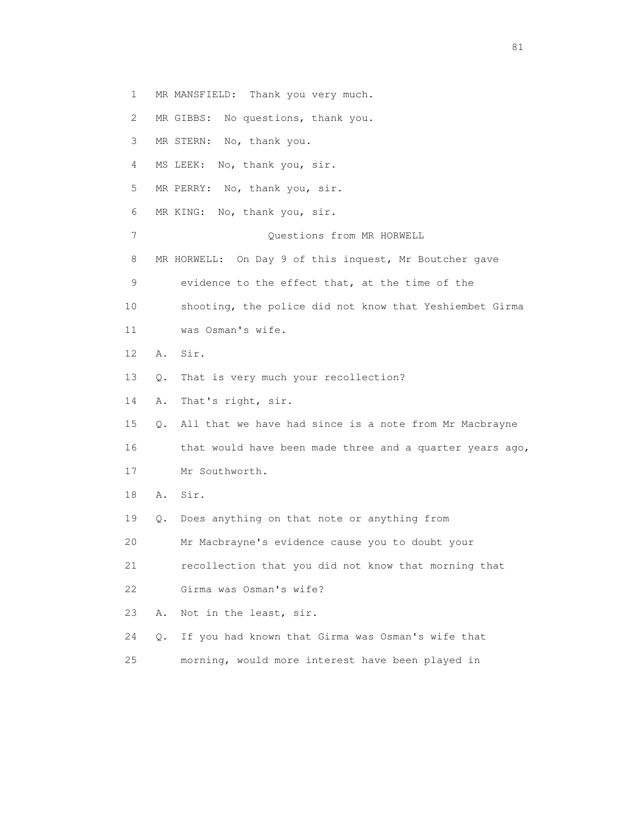1 MR MANSFIELD: Thank you very much.

2 MR GIBBS: No questions, thank you.

3 MR STERN: No, thank you.

4 MS LEEK: No, thank you, sir.

5 MR PERRY: No, thank you, sir.

6 MR KING: No, thank you, sir.

7 Questions from MR HORWELL

8 MR HORWELL: On Day 9 of this inquest, Mr Boutcher gave

9 evidence to the effect that, at the time of the

10 shooting, the police did not know that Yeshiembet Girma

11 was Osman's wife.

12 A. Sir.

13 Q. That is very much your recollection?

14 A. That's right, sir.

15 Q. All that we have had since is a note from Mr Macbrayne

 16 that would have been made three and a quarter years ago, 17 Mr Southworth.

18 A. Sir.

19 Q. Does anything on that note or anything from

20 Mr Macbrayne's evidence cause you to doubt your

21 recollection that you did not know that morning that

22 Girma was Osman's wife?

23 A. Not in the least, sir.

24 Q. If you had known that Girma was Osman's wife that

25 morning, would more interest have been played in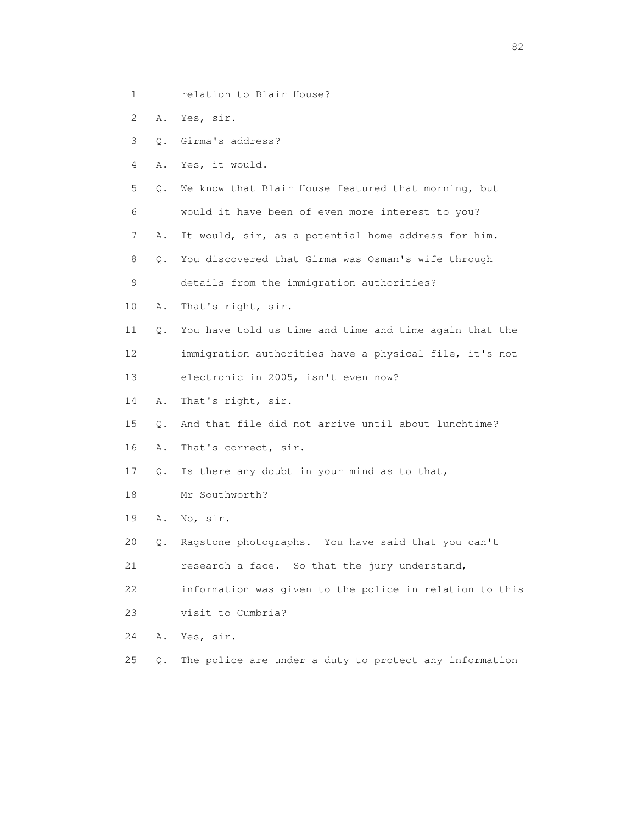- 1 relation to Blair House?
- 2 A. Yes, sir.
- 3 Q. Girma's address?
- 4 A. Yes, it would.
- 5 Q. We know that Blair House featured that morning, but
- 6 would it have been of even more interest to you?
- 7 A. It would, sir, as a potential home address for him.
- 8 Q. You discovered that Girma was Osman's wife through
- 9 details from the immigration authorities?
- 10 A. That's right, sir.
- 11 Q. You have told us time and time and time again that the 12 immigration authorities have a physical file, it's not
- 13 electronic in 2005, isn't even now?
- 14 A. That's right, sir.
- 15 Q. And that file did not arrive until about lunchtime?
- 16 A. That's correct, sir.
- 17 Q. Is there any doubt in your mind as to that,
- 18 Mr Southworth?
- 19 A. No, sir.
- 20 Q. Ragstone photographs. You have said that you can't
- 21 research a face. So that the jury understand,
- 22 information was given to the police in relation to this
- 23 visit to Cumbria?
- 24 A. Yes, sir.
- 25 Q. The police are under a duty to protect any information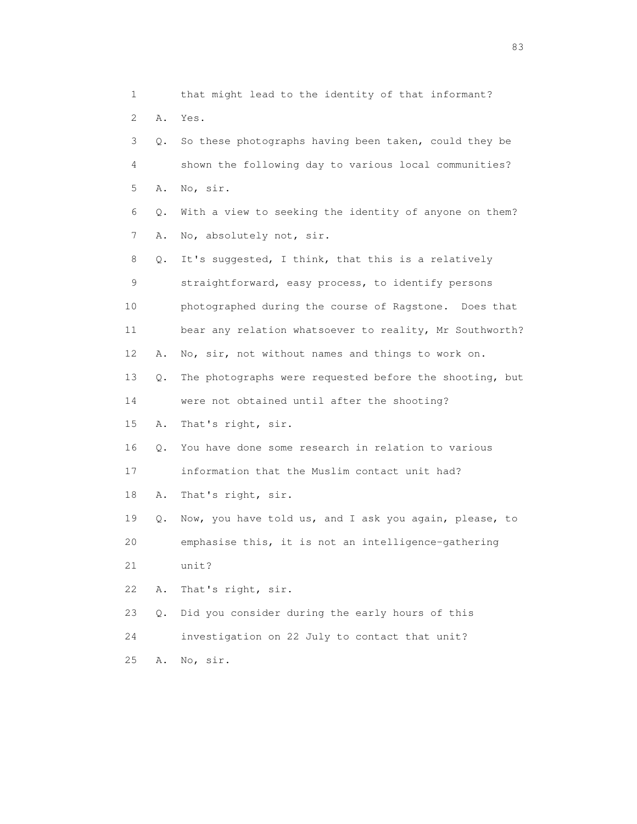| 1               |           | that might lead to the identity of that informant?      |
|-----------------|-----------|---------------------------------------------------------|
| 2               | Α.        | Yes.                                                    |
| 3               | $\circ$ . | So these photographs having been taken, could they be   |
| 4               |           | shown the following day to various local communities?   |
| 5               | Α.        | No, sir.                                                |
| 6               | Q.        | With a view to seeking the identity of anyone on them?  |
| 7               | Α.        | No, absolutely not, sir.                                |
| 8               | Q.        | It's suggested, I think, that this is a relatively      |
| 9               |           | straightforward, easy process, to identify persons      |
| 10              |           | photographed during the course of Ragstone. Does that   |
| 11              |           | bear any relation whatsoever to reality, Mr Southworth? |
| 12 <sup>°</sup> | Α.        | No, sir, not without names and things to work on.       |
| 13              | Q.        | The photographs were requested before the shooting, but |
| 14              |           | were not obtained until after the shooting?             |
| 15              | Α.        | That's right, sir.                                      |
| 16              | Q.        | You have done some research in relation to various      |
| 17              |           | information that the Muslim contact unit had?           |
| 18              | Α.        | That's right, sir.                                      |
| 19              | Q.        | Now, you have told us, and I ask you again, please, to  |
| 20              |           | emphasise this, it is not an intelligence-gathering     |
| 21              |           | unit?                                                   |
| 22              | Α.        | That's right, sir.                                      |
| 23              | $Q$ .     | Did you consider during the early hours of this         |
| 24              |           | investigation on 22 July to contact that unit?          |
| 25              | Α.        | No, sir.                                                |

experience of the contract of the contract of the contract of the contract of the contract of the contract of the contract of the contract of the contract of the contract of the contract of the contract of the contract of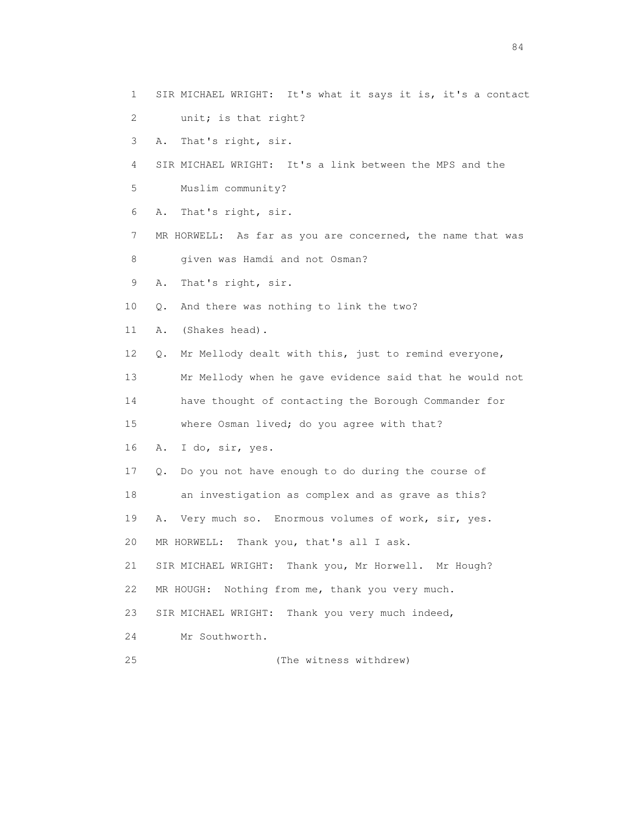- 1 SIR MICHAEL WRIGHT: It's what it says it is, it's a contact
- 2 unit; is that right?
- 3 A. That's right, sir.
- 4 SIR MICHAEL WRIGHT: It's a link between the MPS and the
- 5 Muslim community?
- 6 A. That's right, sir.
- 7 MR HORWELL: As far as you are concerned, the name that was
- 8 given was Hamdi and not Osman?
- 9 A. That's right, sir.
- 10 Q. And there was nothing to link the two?
- 11 A. (Shakes head).
- 12 Q. Mr Mellody dealt with this, just to remind everyone,
- 13 Mr Mellody when he gave evidence said that he would not
- 14 have thought of contacting the Borough Commander for
- 15 where Osman lived; do you agree with that?
- 16 A. I do, sir, yes.
- 17 Q. Do you not have enough to do during the course of
- 18 an investigation as complex and as grave as this?
- 19 A. Very much so. Enormous volumes of work, sir, yes.
- 20 MR HORWELL: Thank you, that's all I ask.
- 21 SIR MICHAEL WRIGHT: Thank you, Mr Horwell. Mr Hough? 22 MR HOUGH: Nothing from me, thank you very much.
- 
- 23 SIR MICHAEL WRIGHT: Thank you very much indeed,
- 24 Mr Southworth.
- 
- 25 (The witness withdrew)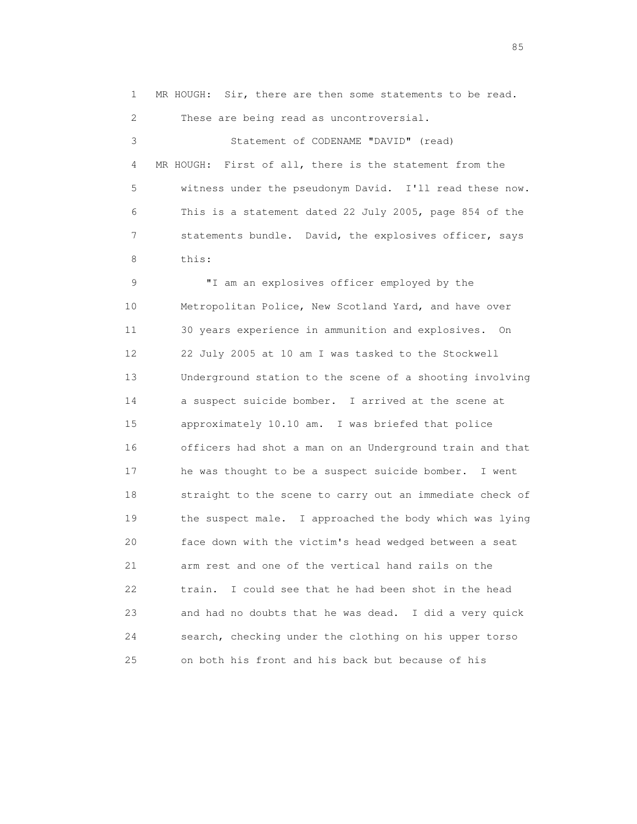1 MR HOUGH: Sir, there are then some statements to be read. 2 These are being read as uncontroversial. 3 Statement of CODENAME "DAVID" (read) 4 MR HOUGH: First of all, there is the statement from the 5 witness under the pseudonym David. I'll read these now. 6 This is a statement dated 22 July 2005, page 854 of the 7 statements bundle. David, the explosives officer, says 8 this: 9 "I am an explosives officer employed by the 10 Metropolitan Police, New Scotland Yard, and have over 11 30 years experience in ammunition and explosives. On 12 22 July 2005 at 10 am I was tasked to the Stockwell 13 Underground station to the scene of a shooting involving 14 a suspect suicide bomber. I arrived at the scene at 15 approximately 10.10 am. I was briefed that police 16 officers had shot a man on an Underground train and that 17 he was thought to be a suspect suicide bomber. I went 18 straight to the scene to carry out an immediate check of 19 the suspect male. I approached the body which was lying 20 face down with the victim's head wedged between a seat 21 arm rest and one of the vertical hand rails on the 22 train. I could see that he had been shot in the head 23 and had no doubts that he was dead. I did a very quick 24 search, checking under the clothing on his upper torso 25 on both his front and his back but because of his

experience of the contract of the contract of the contract of the contract of the contract of the contract of the contract of the contract of the contract of the contract of the contract of the contract of the contract of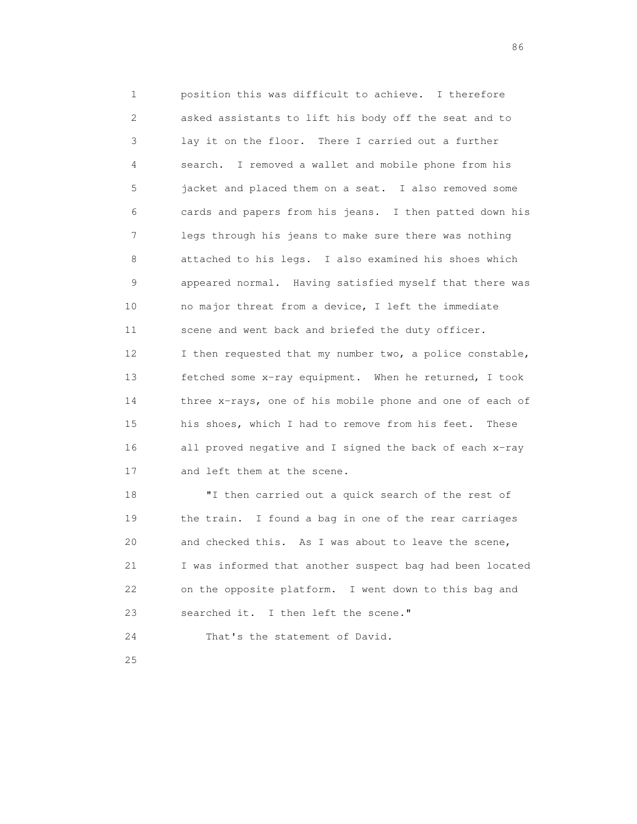1 position this was difficult to achieve. I therefore 2 asked assistants to lift his body off the seat and to 3 lay it on the floor. There I carried out a further 4 search. I removed a wallet and mobile phone from his 5 jacket and placed them on a seat. I also removed some 6 cards and papers from his jeans. I then patted down his 7 legs through his jeans to make sure there was nothing 8 attached to his legs. I also examined his shoes which 9 appeared normal. Having satisfied myself that there was 10 no major threat from a device, I left the immediate 11 scene and went back and briefed the duty officer. 12 I then requested that my number two, a police constable, 13 fetched some x-ray equipment. When he returned, I took 14 three x-rays, one of his mobile phone and one of each of 15 his shoes, which I had to remove from his feet. These 16 all proved negative and I signed the back of each x-ray 17 and left them at the scene.

 18 "I then carried out a quick search of the rest of 19 the train. I found a bag in one of the rear carriages 20 and checked this. As I was about to leave the scene, 21 I was informed that another suspect bag had been located 22 on the opposite platform. I went down to this bag and 23 searched it. I then left the scene." 24 That's the statement of David.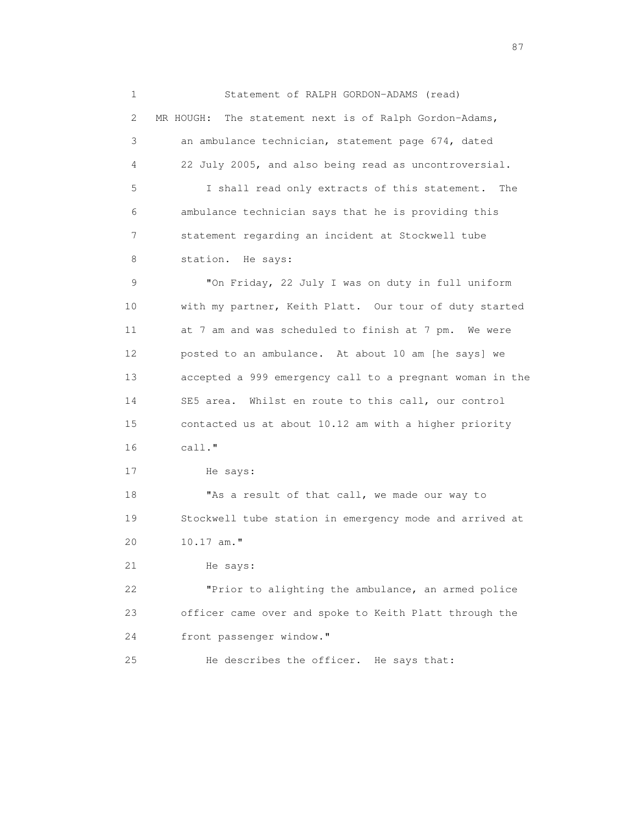1 Statement of RALPH GORDON-ADAMS (read) 2 MR HOUGH: The statement next is of Ralph Gordon-Adams, 3 an ambulance technician, statement page 674, dated 4 22 July 2005, and also being read as uncontroversial. 5 I shall read only extracts of this statement. The 6 ambulance technician says that he is providing this 7 statement regarding an incident at Stockwell tube 8 station. He says: 9 "On Friday, 22 July I was on duty in full uniform 10 with my partner, Keith Platt. Our tour of duty started 11 at 7 am and was scheduled to finish at 7 pm. We were 12 posted to an ambulance. At about 10 am [he says] we 13 accepted a 999 emergency call to a pregnant woman in the 14 SE5 area. Whilst en route to this call, our control 15 contacted us at about 10.12 am with a higher priority 16 call." 17 He says: 18 "As a result of that call, we made our way to 19 Stockwell tube station in emergency mode and arrived at 20 10.17 am." 21 He says: 22 "Prior to alighting the ambulance, an armed police 23 officer came over and spoke to Keith Platt through the 24 front passenger window."

25 He describes the officer. He says that:

experience of the contract of the contract of the contract of the contract of the contract of the contract of the contract of the contract of the contract of the contract of the contract of the contract of the contract of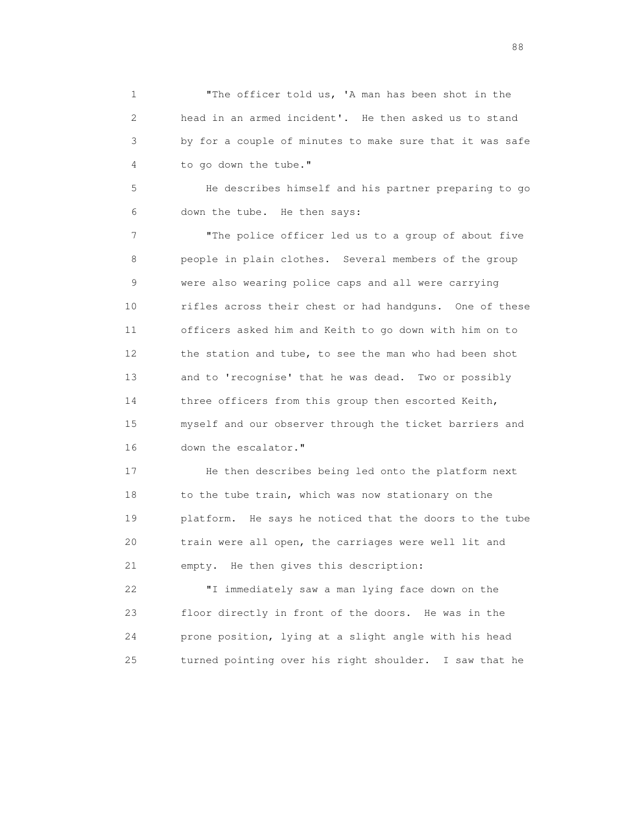1 The officer told us, 'A man has been shot in the 2 head in an armed incident'. He then asked us to stand 3 by for a couple of minutes to make sure that it was safe 4 to go down the tube."

 5 He describes himself and his partner preparing to go 6 down the tube. He then says:

 7 "The police officer led us to a group of about five 8 people in plain clothes. Several members of the group 9 were also wearing police caps and all were carrying 10 rifles across their chest or had handguns. One of these 11 officers asked him and Keith to go down with him on to 12 the station and tube, to see the man who had been shot 13 and to 'recognise' that he was dead. Two or possibly 14 three officers from this group then escorted Keith, 15 myself and our observer through the ticket barriers and 16 down the escalator."

 17 He then describes being led onto the platform next 18 to the tube train, which was now stationary on the 19 platform. He says he noticed that the doors to the tube 20 train were all open, the carriages were well lit and 21 empty. He then gives this description:

 22 "I immediately saw a man lying face down on the 23 floor directly in front of the doors. He was in the 24 prone position, lying at a slight angle with his head 25 turned pointing over his right shoulder. I saw that he

en de la construction de la construction de la construction de la construction de la construction de la constr<br>1880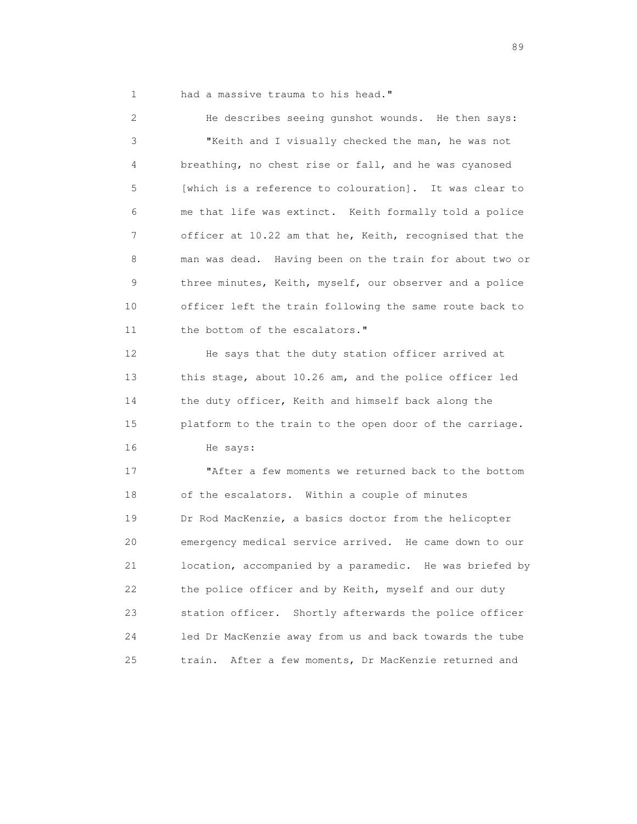1 had a massive trauma to his head."

 2 He describes seeing gunshot wounds. He then says: 3 "Keith and I visually checked the man, he was not 4 breathing, no chest rise or fall, and he was cyanosed 5 [which is a reference to colouration]. It was clear to 6 me that life was extinct. Keith formally told a police 7 officer at 10.22 am that he, Keith, recognised that the 8 man was dead. Having been on the train for about two or 9 three minutes, Keith, myself, our observer and a police 10 officer left the train following the same route back to 11 the bottom of the escalators." 12 He says that the duty station officer arrived at 13 this stage, about 10.26 am, and the police officer led 14 the duty officer, Keith and himself back along the 15 platform to the train to the open door of the carriage.

16 He says:

 17 "After a few moments we returned back to the bottom 18 of the escalators. Within a couple of minutes 19 Dr Rod MacKenzie, a basics doctor from the helicopter 20 emergency medical service arrived. He came down to our 21 location, accompanied by a paramedic. He was briefed by 22 the police officer and by Keith, myself and our duty 23 station officer. Shortly afterwards the police officer 24 led Dr MacKenzie away from us and back towards the tube 25 train. After a few moments, Dr MacKenzie returned and

en de la construction de la construction de la construction de la construction de la construction de la constr<br>1890 : le construction de la construction de la construction de la construction de la construction de la const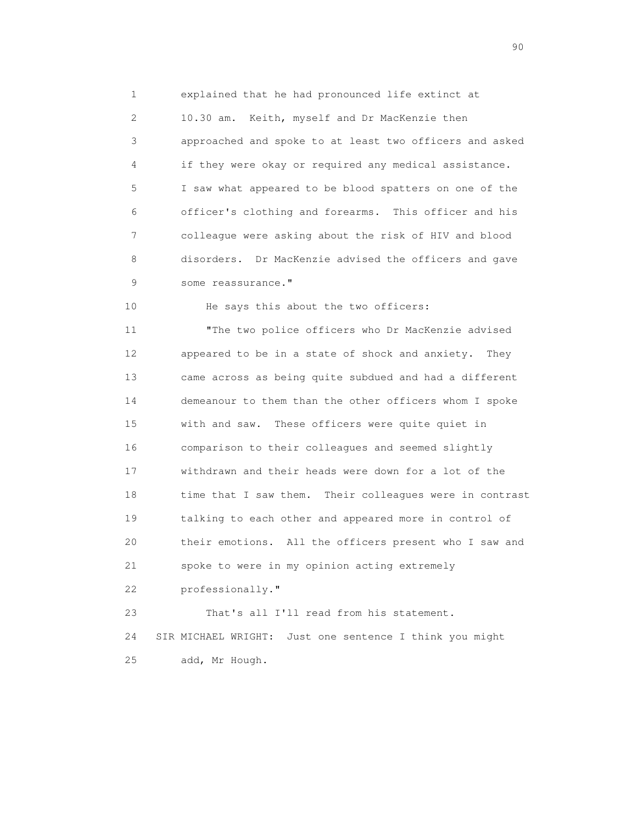1 explained that he had pronounced life extinct at 2 10.30 am. Keith, myself and Dr MacKenzie then 3 approached and spoke to at least two officers and asked 4 if they were okay or required any medical assistance. 5 I saw what appeared to be blood spatters on one of the 6 officer's clothing and forearms. This officer and his 7 colleague were asking about the risk of HIV and blood 8 disorders. Dr MacKenzie advised the officers and gave 9 some reassurance."

10 He says this about the two officers:

 11 "The two police officers who Dr MacKenzie advised 12 appeared to be in a state of shock and anxiety. They 13 came across as being quite subdued and had a different 14 demeanour to them than the other officers whom I spoke 15 with and saw. These officers were quite quiet in 16 comparison to their colleagues and seemed slightly 17 withdrawn and their heads were down for a lot of the 18 time that I saw them. Their colleagues were in contrast 19 talking to each other and appeared more in control of 20 their emotions. All the officers present who I saw and 21 spoke to were in my opinion acting extremely 22 professionally." 23 That's all I'll read from his statement.

 24 SIR MICHAEL WRIGHT: Just one sentence I think you might 25 add, Mr Hough.

entration of the contract of the contract of the contract of the contract of the contract of the contract of the contract of the contract of the contract of the contract of the contract of the contract of the contract of t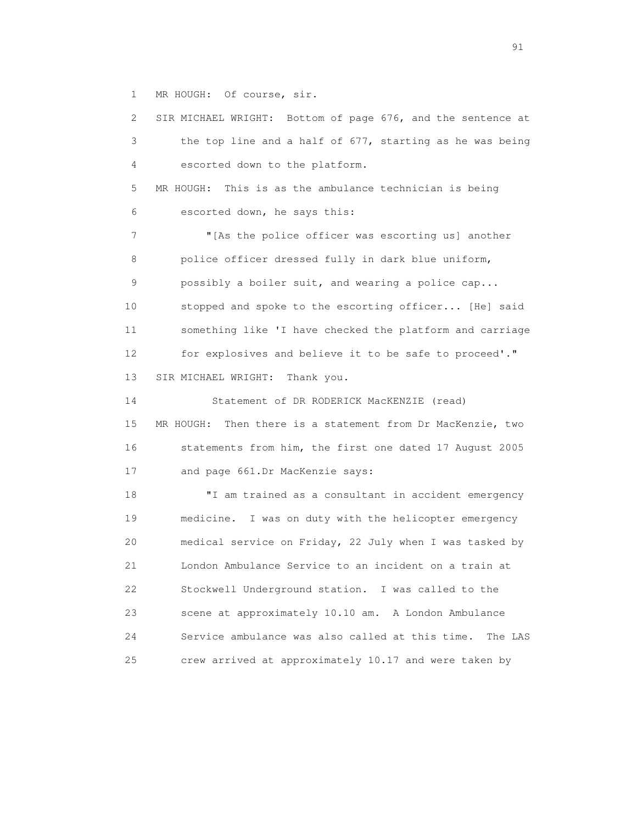1 MR HOUGH: Of course, sir.

 2 SIR MICHAEL WRIGHT: Bottom of page 676, and the sentence at 3 the top line and a half of 677, starting as he was being 4 escorted down to the platform. 5 MR HOUGH: This is as the ambulance technician is being 6 escorted down, he says this: 7 "[As the police officer was escorting us] another 8 police officer dressed fully in dark blue uniform, 9 possibly a boiler suit, and wearing a police cap... 10 stopped and spoke to the escorting officer... [He] said 11 something like 'I have checked the platform and carriage 12 for explosives and believe it to be safe to proceed'." 13 SIR MICHAEL WRIGHT: Thank you. 14 Statement of DR RODERICK MacKENZIE (read) 15 MR HOUGH: Then there is a statement from Dr MacKenzie, two 16 statements from him, the first one dated 17 August 2005 17 and page 661.Dr MacKenzie says: 18 "I am trained as a consultant in accident emergency 19 medicine. I was on duty with the helicopter emergency 20 medical service on Friday, 22 July when I was tasked by 21 London Ambulance Service to an incident on a train at 22 Stockwell Underground station. I was called to the 23 scene at approximately 10.10 am. A London Ambulance 24 Service ambulance was also called at this time. The LAS 25 crew arrived at approximately 10.17 and were taken by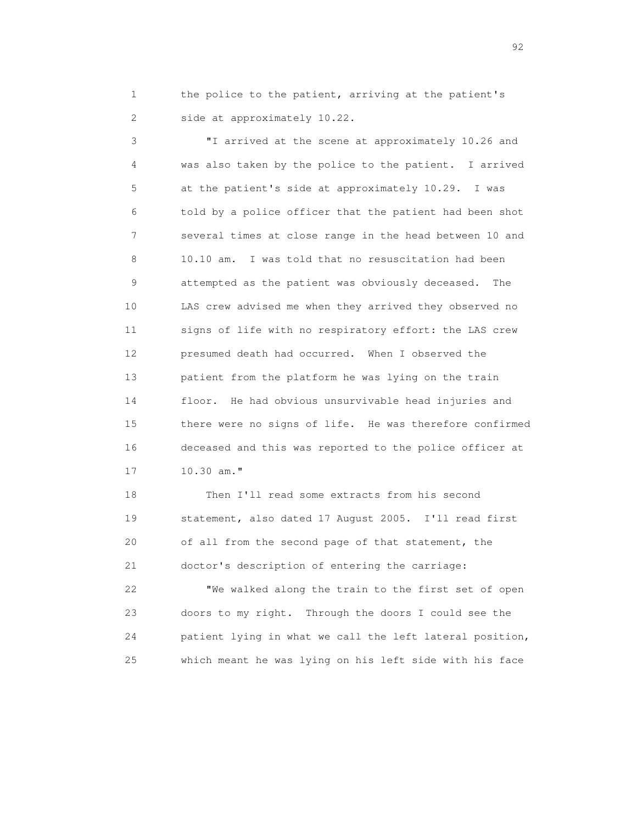1 the police to the patient, arriving at the patient's 2 side at approximately 10.22.

 3 "I arrived at the scene at approximately 10.26 and 4 was also taken by the police to the patient. I arrived 5 at the patient's side at approximately 10.29. I was 6 told by a police officer that the patient had been shot 7 several times at close range in the head between 10 and 8 10.10 am. I was told that no resuscitation had been 9 attempted as the patient was obviously deceased. The 10 LAS crew advised me when they arrived they observed no 11 signs of life with no respiratory effort: the LAS crew 12 presumed death had occurred. When I observed the 13 patient from the platform he was lying on the train 14 floor. He had obvious unsurvivable head injuries and 15 there were no signs of life. He was therefore confirmed 16 deceased and this was reported to the police officer at 17 10.30 am."

 18 Then I'll read some extracts from his second 19 statement, also dated 17 August 2005. I'll read first 20 of all from the second page of that statement, the 21 doctor's description of entering the carriage:

 22 "We walked along the train to the first set of open 23 doors to my right. Through the doors I could see the 24 patient lying in what we call the left lateral position, 25 which meant he was lying on his left side with his face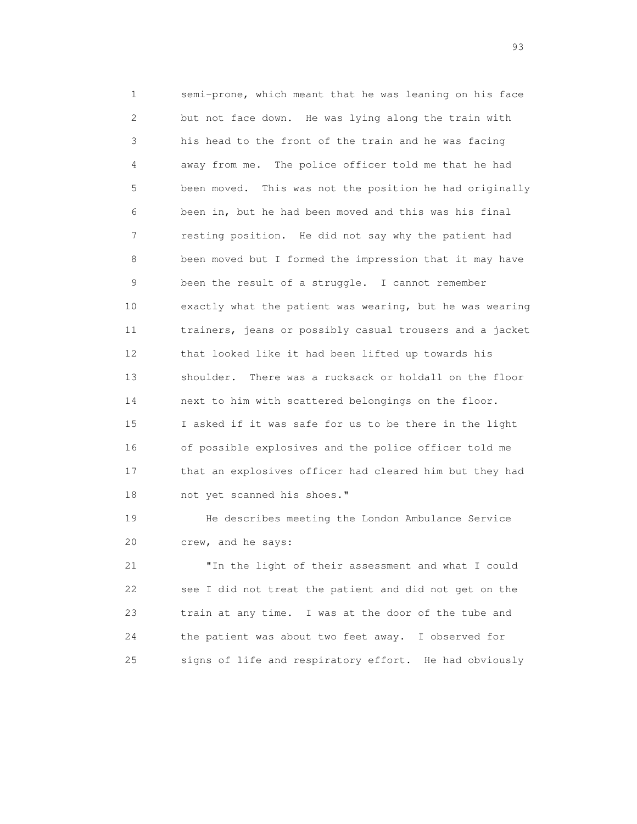1 semi-prone, which meant that he was leaning on his face 2 but not face down. He was lying along the train with 3 his head to the front of the train and he was facing 4 away from me. The police officer told me that he had 5 been moved. This was not the position he had originally 6 been in, but he had been moved and this was his final 7 resting position. He did not say why the patient had 8 been moved but I formed the impression that it may have 9 been the result of a struggle. I cannot remember 10 exactly what the patient was wearing, but he was wearing 11 trainers, jeans or possibly casual trousers and a jacket 12 that looked like it had been lifted up towards his 13 shoulder. There was a rucksack or holdall on the floor 14 next to him with scattered belongings on the floor. 15 I asked if it was safe for us to be there in the light 16 of possible explosives and the police officer told me 17 that an explosives officer had cleared him but they had 18 not yet scanned his shoes."

 19 He describes meeting the London Ambulance Service 20 crew, and he says:

 21 "In the light of their assessment and what I could 22 see I did not treat the patient and did not get on the 23 train at any time. I was at the door of the tube and 24 the patient was about two feet away. I observed for 25 signs of life and respiratory effort. He had obviously

experience of the contract of the contract of the contract of the contract of the contract of the contract of the contract of the contract of the contract of the contract of the contract of the contract of the contract of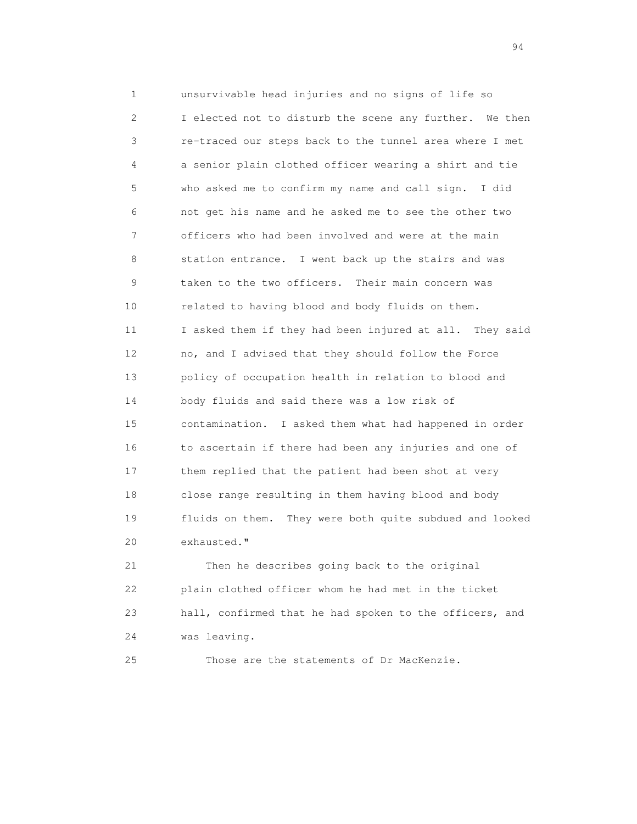1 unsurvivable head injuries and no signs of life so 2 I elected not to disturb the scene any further. We then 3 re-traced our steps back to the tunnel area where I met 4 a senior plain clothed officer wearing a shirt and tie 5 who asked me to confirm my name and call sign. I did 6 not get his name and he asked me to see the other two 7 officers who had been involved and were at the main 8 station entrance. I went back up the stairs and was 9 taken to the two officers. Their main concern was 10 related to having blood and body fluids on them. 11 I asked them if they had been injured at all. They said 12 no, and I advised that they should follow the Force 13 policy of occupation health in relation to blood and 14 body fluids and said there was a low risk of 15 contamination. I asked them what had happened in order 16 to ascertain if there had been any injuries and one of 17 them replied that the patient had been shot at very 18 close range resulting in them having blood and body 19 fluids on them. They were both quite subdued and looked 20 exhausted." 21 Then he describes going back to the original

 22 plain clothed officer whom he had met in the ticket 23 hall, confirmed that he had spoken to the officers, and 24 was leaving.

25 Those are the statements of Dr MacKenzie.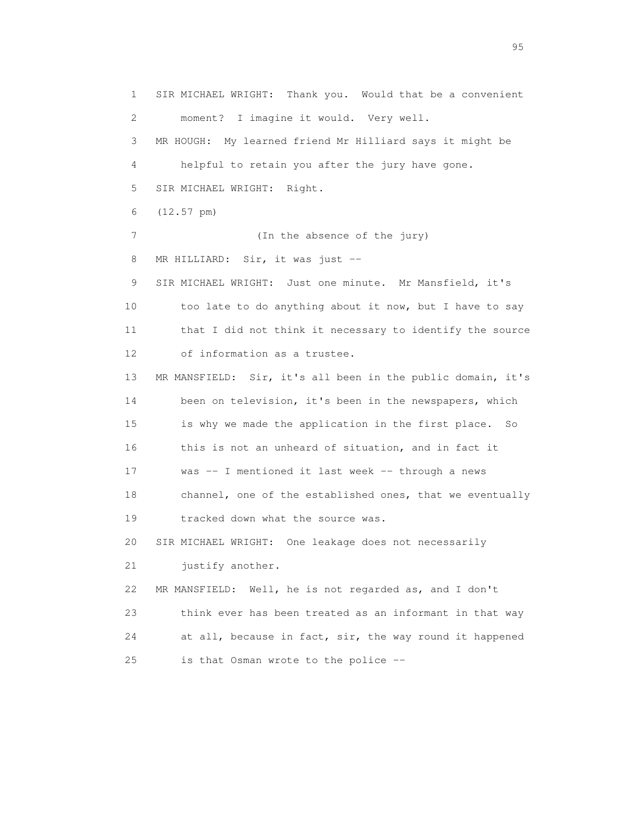1 SIR MICHAEL WRIGHT: Thank you. Would that be a convenient 2 moment? I imagine it would. Very well. 3 MR HOUGH: My learned friend Mr Hilliard says it might be 4 helpful to retain you after the jury have gone. 5 SIR MICHAEL WRIGHT: Right. 6 (12.57 pm) 7 (In the absence of the jury) 8 MR HILLIARD: Sir, it was just -- 9 SIR MICHAEL WRIGHT: Just one minute. Mr Mansfield, it's 10 too late to do anything about it now, but I have to say 11 that I did not think it necessary to identify the source 12 of information as a trustee. 13 MR MANSFIELD: Sir, it's all been in the public domain, it's 14 been on television, it's been in the newspapers, which 15 is why we made the application in the first place. So 16 this is not an unheard of situation, and in fact it 17 was -- I mentioned it last week -- through a news 18 channel, one of the established ones, that we eventually 19 tracked down what the source was. 20 SIR MICHAEL WRIGHT: One leakage does not necessarily 21 justify another. 22 MR MANSFIELD: Well, he is not regarded as, and I don't 23 think ever has been treated as an informant in that way 24 at all, because in fact, sir, the way round it happened 25 is that Osman wrote to the police --

experience of the contract of the contract of the contract of the contract of the contract of the contract of the contract of the contract of the contract of the contract of the contract of the contract of the contract of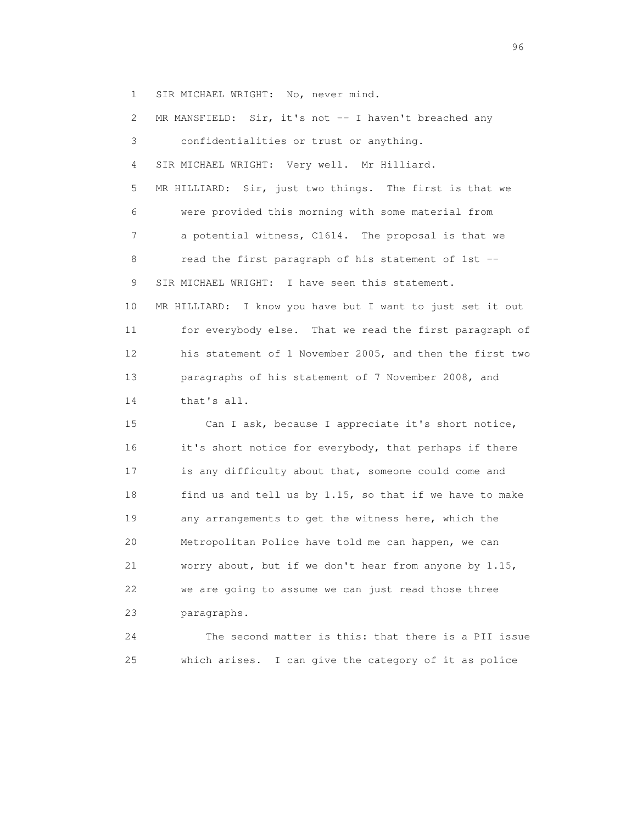1 SIR MICHAEL WRIGHT: No, never mind.

2 MR MANSFIELD: Sir, it's not -- I haven't breached any 3 confidentialities or trust or anything. 4 SIR MICHAEL WRIGHT: Very well. Mr Hilliard. 5 MR HILLIARD: Sir, just two things. The first is that we 6 were provided this morning with some material from 7 a potential witness, C1614. The proposal is that we 8 read the first paragraph of his statement of 1st -- 9 SIR MICHAEL WRIGHT: I have seen this statement. 10 MR HILLIARD: I know you have but I want to just set it out 11 for everybody else. That we read the first paragraph of 12 his statement of 1 November 2005, and then the first two 13 paragraphs of his statement of 7 November 2008, and 14 that's all. 15 Can I ask, because I appreciate it's short notice, 16 it's short notice for everybody, that perhaps if there 17 is any difficulty about that, someone could come and 18 find us and tell us by 1.15, so that if we have to make 19 any arrangements to get the witness here, which the 20 Metropolitan Police have told me can happen, we can 21 worry about, but if we don't hear from anyone by 1.15, 22 we are going to assume we can just read those three 23 paragraphs. 24 The second matter is this: that there is a PII issue

25 which arises. I can give the category of it as police

<u>96 and the state of the state of the state of the state of the state of the state of the state of the state of the state of the state of the state of the state of the state of the state of the state of the state of the st</u>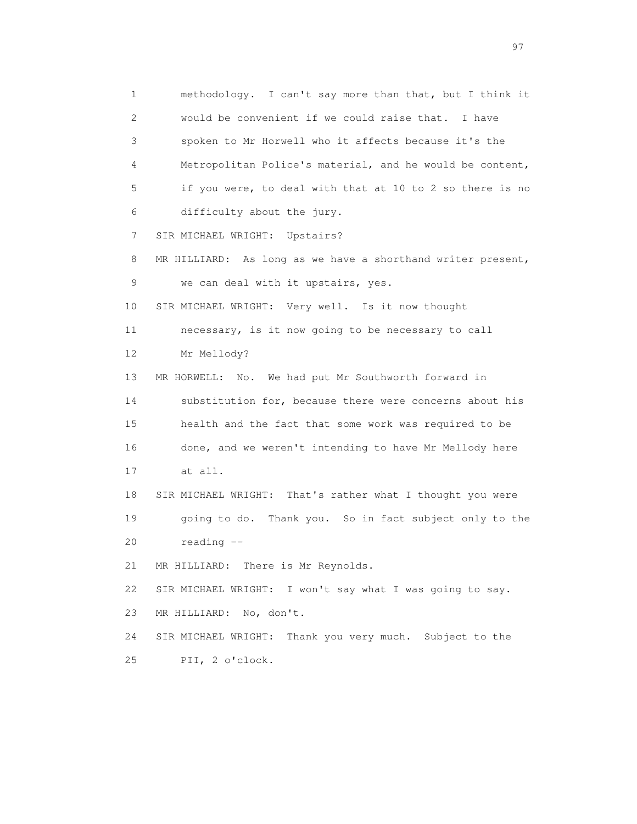1 methodology. I can't say more than that, but I think it 2 would be convenient if we could raise that. I have 3 spoken to Mr Horwell who it affects because it's the 4 Metropolitan Police's material, and he would be content, 5 if you were, to deal with that at 10 to 2 so there is no 6 difficulty about the jury. 7 SIR MICHAEL WRIGHT: Upstairs? 8 MR HILLIARD: As long as we have a shorthand writer present, 9 we can deal with it upstairs, yes. 10 SIR MICHAEL WRIGHT: Very well. Is it now thought 11 necessary, is it now going to be necessary to call 12 Mr Mellody? 13 MR HORWELL: No. We had put Mr Southworth forward in 14 substitution for, because there were concerns about his 15 health and the fact that some work was required to be 16 done, and we weren't intending to have Mr Mellody here 17 at all. 18 SIR MICHAEL WRIGHT: That's rather what I thought you were 19 going to do. Thank you. So in fact subject only to the 20 reading -- 21 MR HILLIARD: There is Mr Reynolds. 22 SIR MICHAEL WRIGHT: I won't say what I was going to say. 23 MR HILLIARD: No, don't. 24 SIR MICHAEL WRIGHT: Thank you very much. Subject to the 25 PII, 2 o'clock.

experience of the contract of the contract of the contract of the contract of the contract of the contract of the contract of the contract of the contract of the contract of the contract of the contract of the contract of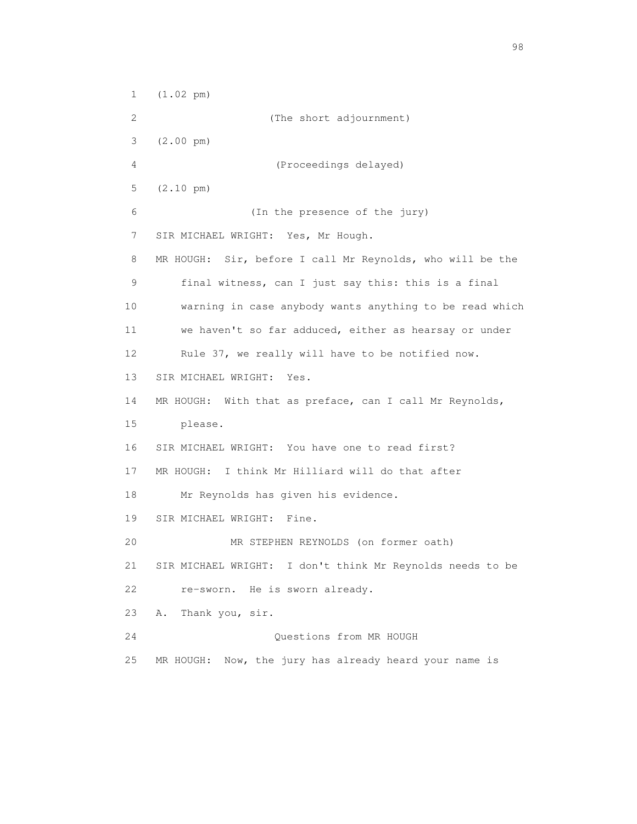1 (1.02 pm) 2 (The short adjournment) 3 (2.00 pm) 4 (Proceedings delayed) 5 (2.10 pm) 6 (In the presence of the jury) 7 SIR MICHAEL WRIGHT: Yes, Mr Hough. 8 MR HOUGH: Sir, before I call Mr Reynolds, who will be the 9 final witness, can I just say this: this is a final 10 warning in case anybody wants anything to be read which 11 we haven't so far adduced, either as hearsay or under 12 Rule 37, we really will have to be notified now. 13 SIR MICHAEL WRIGHT: Yes. 14 MR HOUGH: With that as preface, can I call Mr Reynolds, 15 please. 16 SIR MICHAEL WRIGHT: You have one to read first? 17 MR HOUGH: I think Mr Hilliard will do that after 18 Mr Reynolds has given his evidence. 19 SIR MICHAEL WRIGHT: Fine. 20 MR STEPHEN REYNOLDS (on former oath) 21 SIR MICHAEL WRIGHT: I don't think Mr Reynolds needs to be 22 re-sworn. He is sworn already. 23 A. Thank you, sir. 24 Questions from MR HOUGH 25 MR HOUGH: Now, the jury has already heard your name is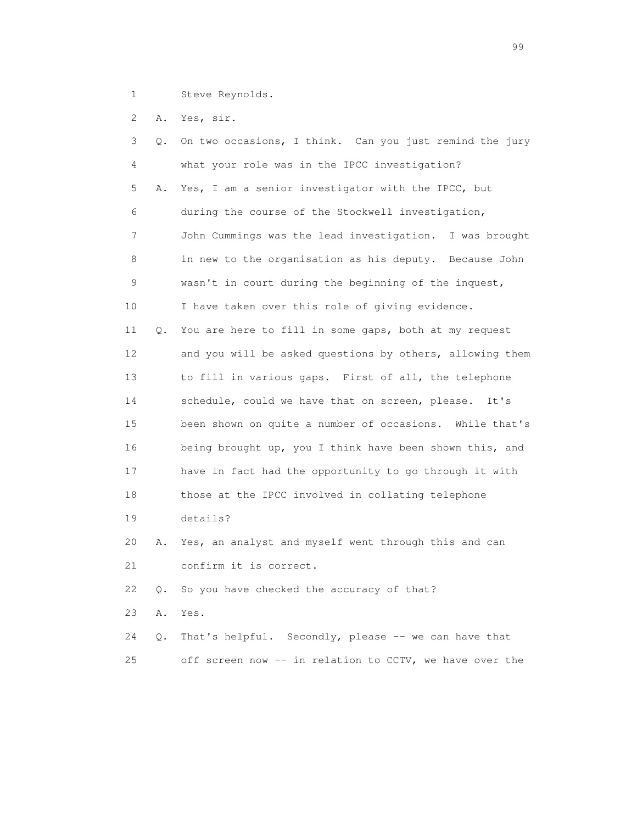1 Steve Reynolds.

2 A. Yes, sir.

 3 Q. On two occasions, I think. Can you just remind the jury 4 what your role was in the IPCC investigation? 5 A. Yes, I am a senior investigator with the IPCC, but 6 during the course of the Stockwell investigation, 7 John Cummings was the lead investigation. I was brought 8 in new to the organisation as his deputy. Because John 9 wasn't in court during the beginning of the inquest, 10 I have taken over this role of giving evidence. 11 Q. You are here to fill in some gaps, both at my request 12 and you will be asked questions by others, allowing them 13 to fill in various gaps. First of all, the telephone 14 schedule, could we have that on screen, please. It's 15 been shown on quite a number of occasions. While that's 16 being brought up, you I think have been shown this, and 17 have in fact had the opportunity to go through it with 18 those at the IPCC involved in collating telephone 19 details? 20 A. Yes, an analyst and myself went through this and can 21 confirm it is correct. 22 Q. So you have checked the accuracy of that? 23 A. Yes. 24 Q. That's helpful. Secondly, please -- we can have that 25 off screen now -- in relation to CCTV, we have over the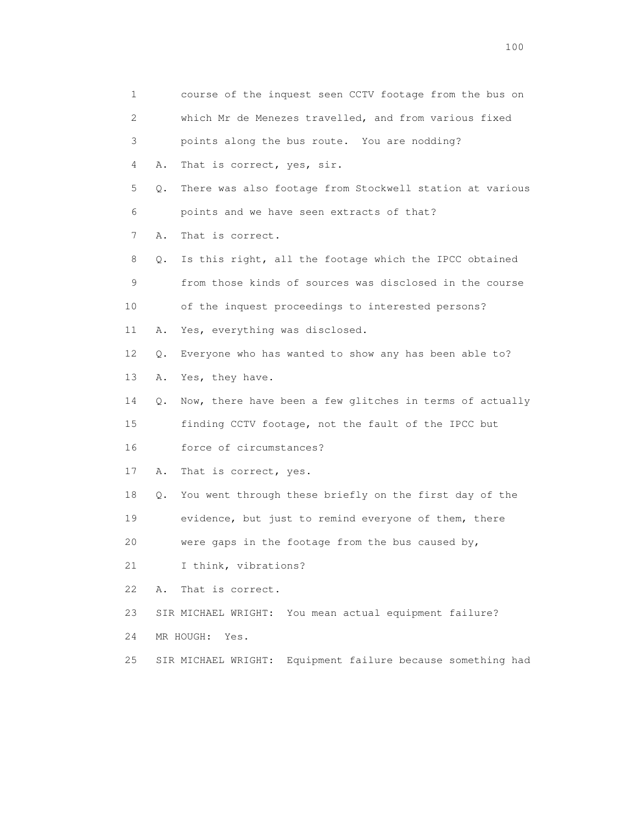1 course of the inquest seen CCTV footage from the bus on 2 which Mr de Menezes travelled, and from various fixed 3 points along the bus route. You are nodding? 4 A. That is correct, yes, sir. 5 Q. There was also footage from Stockwell station at various 6 points and we have seen extracts of that? 7 A. That is correct. 8 Q. Is this right, all the footage which the IPCC obtained 9 from those kinds of sources was disclosed in the course 10 of the inquest proceedings to interested persons? 11 A. Yes, everything was disclosed. 12 Q. Everyone who has wanted to show any has been able to? 13 A. Yes, they have. 14 Q. Now, there have been a few glitches in terms of actually 15 finding CCTV footage, not the fault of the IPCC but 16 force of circumstances? 17 A. That is correct, yes. 18 Q. You went through these briefly on the first day of the 19 evidence, but just to remind everyone of them, there 20 were gaps in the footage from the bus caused by, 21 I think, vibrations? 22 A. That is correct. 23 SIR MICHAEL WRIGHT: You mean actual equipment failure? 24 MR HOUGH: Yes. 25 SIR MICHAEL WRIGHT: Equipment failure because something had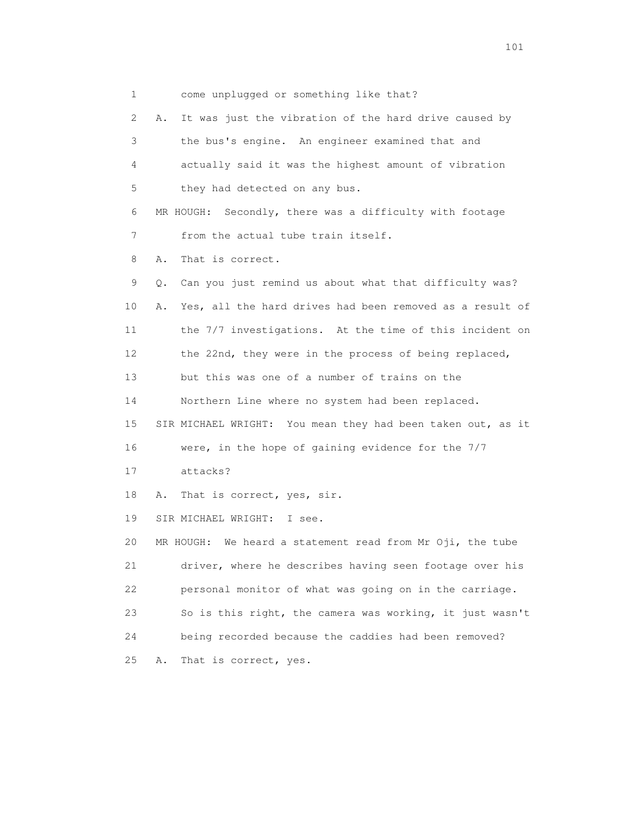1 come unplugged or something like that?

 2 A. It was just the vibration of the hard drive caused by 3 the bus's engine. An engineer examined that and 4 actually said it was the highest amount of vibration 5 they had detected on any bus. 6 MR HOUGH: Secondly, there was a difficulty with footage 7 from the actual tube train itself. 8 A. That is correct. 9 Q. Can you just remind us about what that difficulty was? 10 A. Yes, all the hard drives had been removed as a result of 11 the 7/7 investigations. At the time of this incident on 12 the 22nd, they were in the process of being replaced, 13 but this was one of a number of trains on the 14 Northern Line where no system had been replaced. 15 SIR MICHAEL WRIGHT: You mean they had been taken out, as it 16 were, in the hope of gaining evidence for the 7/7 17 attacks? 18 A. That is correct, yes, sir. 19 SIR MICHAEL WRIGHT: I see. 20 MR HOUGH: We heard a statement read from Mr Oji, the tube 21 driver, where he describes having seen footage over his 22 personal monitor of what was going on in the carriage. 23 So is this right, the camera was working, it just wasn't 24 being recorded because the caddies had been removed? 25 A. That is correct, yes.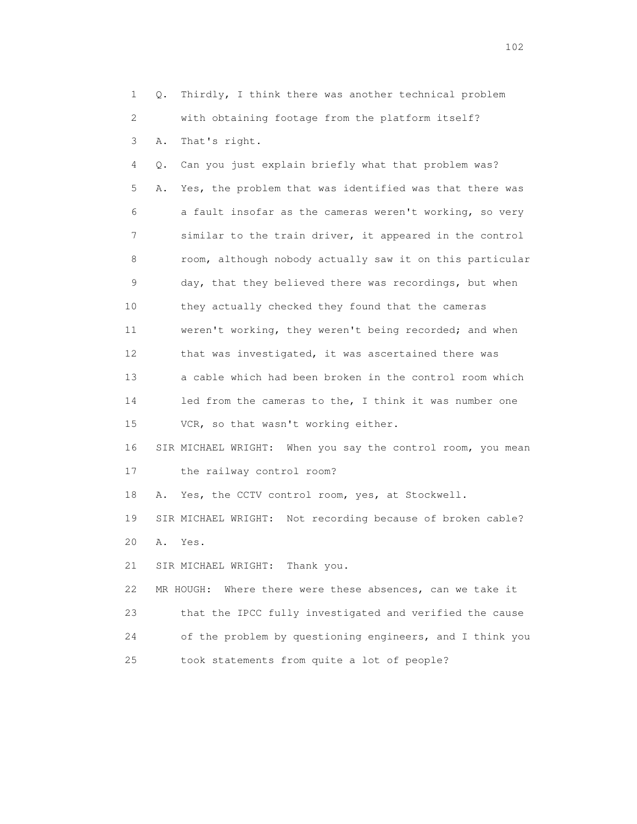1 Q. Thirdly, I think there was another technical problem 2 with obtaining footage from the platform itself? 3 A. That's right. 4 Q. Can you just explain briefly what that problem was? 5 A. Yes, the problem that was identified was that there was 6 a fault insofar as the cameras weren't working, so very 7 similar to the train driver, it appeared in the control 8 room, although nobody actually saw it on this particular 9 day, that they believed there was recordings, but when 10 they actually checked they found that the cameras 11 weren't working, they weren't being recorded; and when 12 that was investigated, it was ascertained there was 13 a cable which had been broken in the control room which 14 led from the cameras to the, I think it was number one 15 VCR, so that wasn't working either. 16 SIR MICHAEL WRIGHT: When you say the control room, you mean 17 the railway control room? 18 A. Yes, the CCTV control room, yes, at Stockwell. 19 SIR MICHAEL WRIGHT: Not recording because of broken cable? 20 A. Yes. 21 SIR MICHAEL WRIGHT: Thank you. 22 MR HOUGH: Where there were these absences, can we take it 23 that the IPCC fully investigated and verified the cause 24 of the problem by questioning engineers, and I think you 25 took statements from quite a lot of people?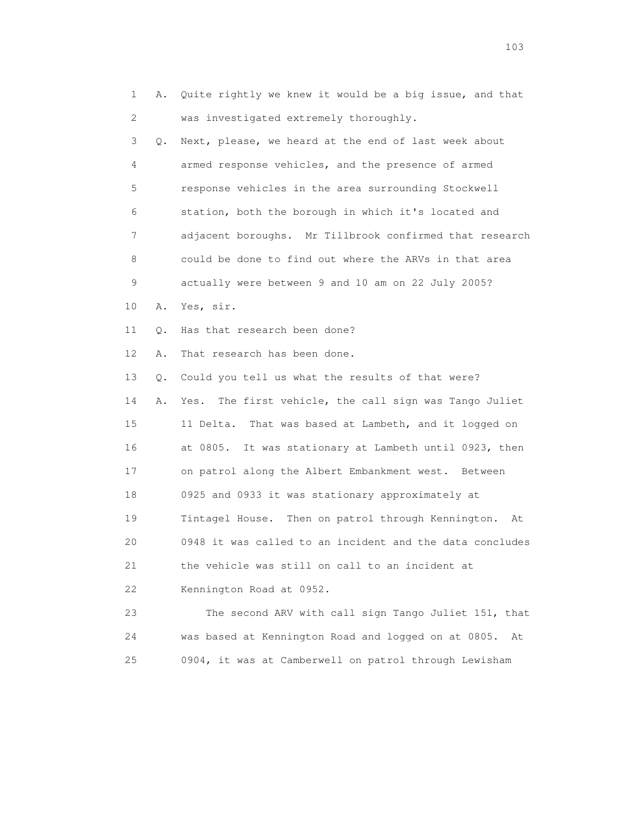1 A. Quite rightly we knew it would be a big issue, and that 2 was investigated extremely thoroughly.

 3 Q. Next, please, we heard at the end of last week about 4 armed response vehicles, and the presence of armed 5 response vehicles in the area surrounding Stockwell 6 station, both the borough in which it's located and 7 adjacent boroughs. Mr Tillbrook confirmed that research 8 could be done to find out where the ARVs in that area 9 actually were between 9 and 10 am on 22 July 2005?

10 A. Yes, sir.

11 Q. Has that research been done?

12 A. That research has been done.

13 Q. Could you tell us what the results of that were?

 14 A. Yes. The first vehicle, the call sign was Tango Juliet 15 11 Delta. That was based at Lambeth, and it logged on 16 at 0805. It was stationary at Lambeth until 0923, then 17 on patrol along the Albert Embankment west. Between 18 0925 and 0933 it was stationary approximately at 19 Tintagel House. Then on patrol through Kennington. At 20 0948 it was called to an incident and the data concludes 21 the vehicle was still on call to an incident at 22 Kennington Road at 0952.

 23 The second ARV with call sign Tango Juliet 151, that 24 was based at Kennington Road and logged on at 0805. At 25 0904, it was at Camberwell on patrol through Lewisham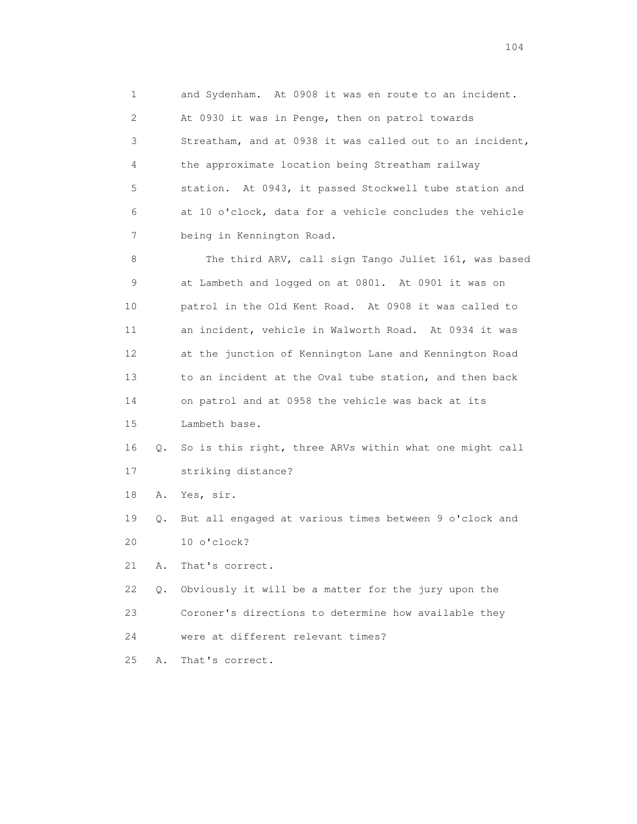1 and Sydenham. At 0908 it was en route to an incident. 2 At 0930 it was in Penge, then on patrol towards 3 Streatham, and at 0938 it was called out to an incident, 4 the approximate location being Streatham railway 5 station. At 0943, it passed Stockwell tube station and 6 at 10 o'clock, data for a vehicle concludes the vehicle 7 being in Kennington Road.

 8 The third ARV, call sign Tango Juliet 161, was based 9 at Lambeth and logged on at 0801. At 0901 it was on 10 patrol in the Old Kent Road. At 0908 it was called to 11 an incident, vehicle in Walworth Road. At 0934 it was 12 at the junction of Kennington Lane and Kennington Road 13 to an incident at the Oval tube station, and then back 14 on patrol and at 0958 the vehicle was back at its

15 Lambeth base.

 16 Q. So is this right, three ARVs within what one might call 17 striking distance?

18 A. Yes, sir.

 19 Q. But all engaged at various times between 9 o'clock and 20 10 o'clock?

21 A. That's correct.

 22 Q. Obviously it will be a matter for the jury upon the 23 Coroner's directions to determine how available they 24 were at different relevant times?

25 A. That's correct.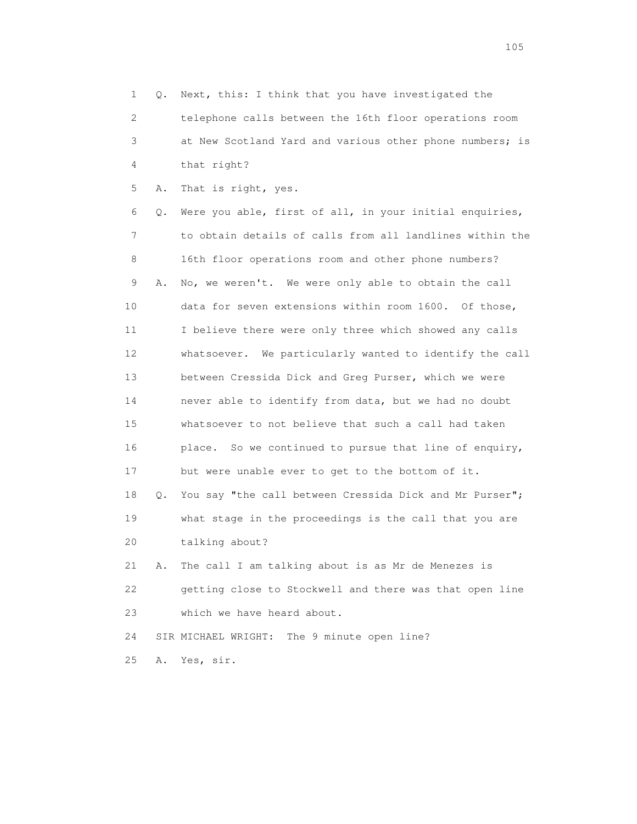1 Q. Next, this: I think that you have investigated the 2 telephone calls between the 16th floor operations room 3 at New Scotland Yard and various other phone numbers; is 4 that right? 5 A. That is right, yes. 6 Q. Were you able, first of all, in your initial enquiries, 7 to obtain details of calls from all landlines within the 8 16th floor operations room and other phone numbers? 9 A. No, we weren't. We were only able to obtain the call 10 data for seven extensions within room 1600. Of those, 11 I believe there were only three which showed any calls 12 whatsoever. We particularly wanted to identify the call 13 between Cressida Dick and Greg Purser, which we were 14 never able to identify from data, but we had no doubt 15 whatsoever to not believe that such a call had taken 16 place. So we continued to pursue that line of enquiry, 17 but were unable ever to get to the bottom of it. 18 Q. You say "the call between Cressida Dick and Mr Purser"; 19 what stage in the proceedings is the call that you are 20 talking about? 21 A. The call I am talking about is as Mr de Menezes is 22 getting close to Stockwell and there was that open line 23 which we have heard about. 24 SIR MICHAEL WRIGHT: The 9 minute open line? 25 A. Yes, sir.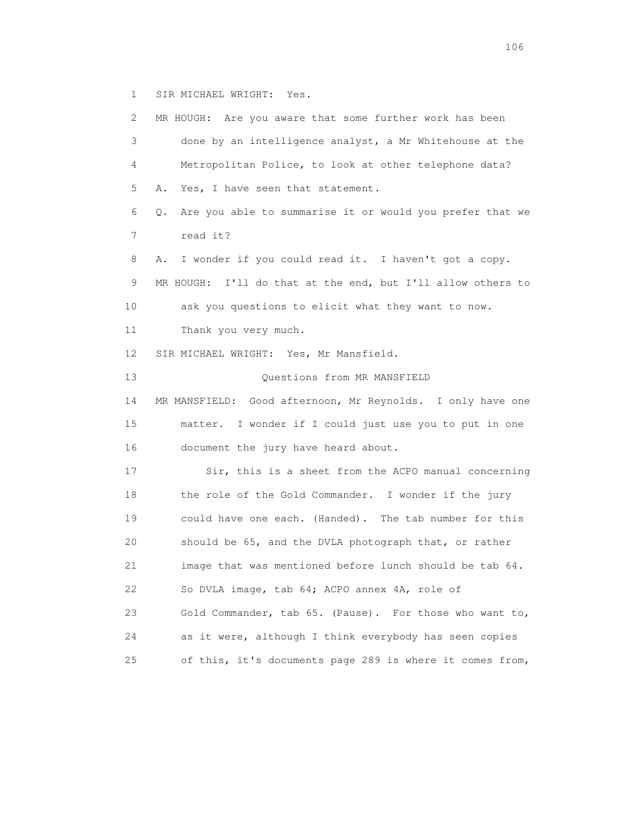1 SIR MICHAEL WRIGHT: Yes.

 2 MR HOUGH: Are you aware that some further work has been 3 done by an intelligence analyst, a Mr Whitehouse at the 4 Metropolitan Police, to look at other telephone data? 5 A. Yes, I have seen that statement. 6 Q. Are you able to summarise it or would you prefer that we 7 read it? 8 A. I wonder if you could read it. I haven't got a copy. 9 MR HOUGH: I'll do that at the end, but I'll allow others to 10 ask you questions to elicit what they want to now. 11 Thank you very much. 12 SIR MICHAEL WRIGHT: Yes, Mr Mansfield. 13 Questions from MR MANSFIELD 14 MR MANSFIELD: Good afternoon, Mr Reynolds. I only have one 15 matter. I wonder if I could just use you to put in one 16 document the jury have heard about. 17 Sir, this is a sheet from the ACPO manual concerning 18 the role of the Gold Commander. I wonder if the jury 19 could have one each. (Handed). The tab number for this 20 should be 65, and the DVLA photograph that, or rather 21 image that was mentioned before lunch should be tab 64. 22 So DVLA image, tab 64; ACPO annex 4A, role of 23 Gold Commander, tab 65. (Pause). For those who want to, 24 as it were, although I think everybody has seen copies 25 of this, it's documents page 289 is where it comes from,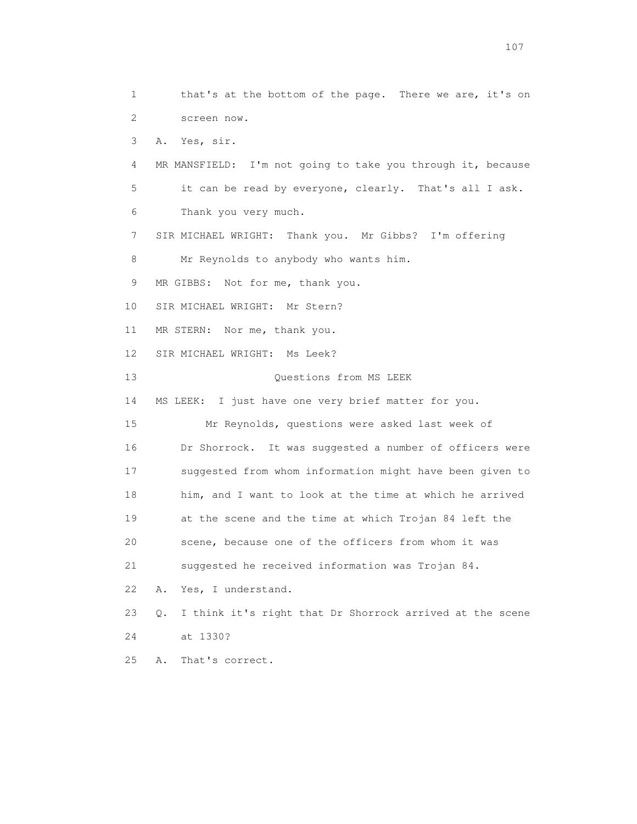1 that's at the bottom of the page. There we are, it's on 2 screen now. 3 A. Yes, sir. 4 MR MANSFIELD: I'm not going to take you through it, because 5 it can be read by everyone, clearly. That's all I ask. 6 Thank you very much. 7 SIR MICHAEL WRIGHT: Thank you. Mr Gibbs? I'm offering 8 Mr Reynolds to anybody who wants him. 9 MR GIBBS: Not for me, thank you. 10 SIR MICHAEL WRIGHT: Mr Stern? 11 MR STERN: Nor me, thank you. 12 SIR MICHAEL WRIGHT: Ms Leek? 13 Questions from MS LEEK 14 MS LEEK: I just have one very brief matter for you. 15 Mr Reynolds, questions were asked last week of 16 Dr Shorrock. It was suggested a number of officers were 17 suggested from whom information might have been given to 18 him, and I want to look at the time at which he arrived 19 at the scene and the time at which Trojan 84 left the 20 scene, because one of the officers from whom it was 21 suggested he received information was Trojan 84. 22 A. Yes, I understand. 23 Q. I think it's right that Dr Shorrock arrived at the scene 24 at 1330? 25 A. That's correct.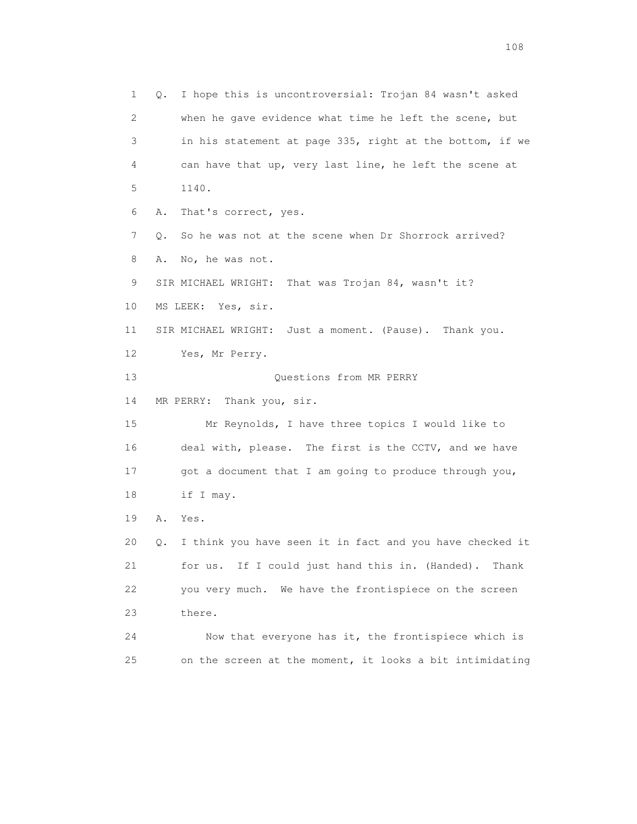1 Q. I hope this is uncontroversial: Trojan 84 wasn't asked 2 when he gave evidence what time he left the scene, but 3 in his statement at page 335, right at the bottom, if we 4 can have that up, very last line, he left the scene at 5 1140. 6 A. That's correct, yes. 7 Q. So he was not at the scene when Dr Shorrock arrived? 8 A. No, he was not. 9 SIR MICHAEL WRIGHT: That was Trojan 84, wasn't it? 10 MS LEEK: Yes, sir. 11 SIR MICHAEL WRIGHT: Just a moment. (Pause). Thank you. 12 Yes, Mr Perry. 13 Questions from MR PERRY 14 MR PERRY: Thank you, sir. 15 Mr Reynolds, I have three topics I would like to 16 deal with, please. The first is the CCTV, and we have 17 got a document that I am going to produce through you, 18 if I may. 19 A. Yes. 20 Q. I think you have seen it in fact and you have checked it 21 for us. If I could just hand this in. (Handed). Thank 22 you very much. We have the frontispiece on the screen 23 there. 24 Now that everyone has it, the frontispiece which is 25 on the screen at the moment, it looks a bit intimidating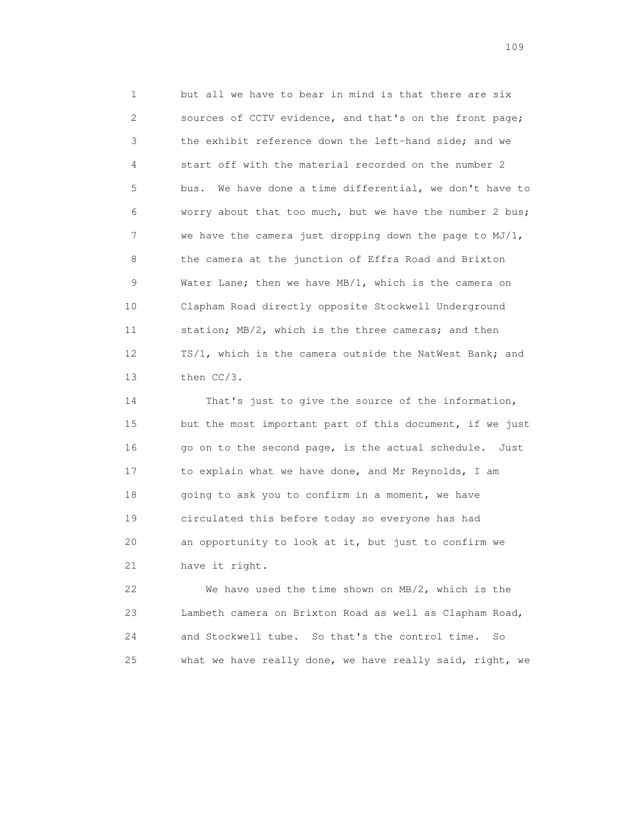1 but all we have to bear in mind is that there are six 2 sources of CCTV evidence, and that's on the front page; 3 the exhibit reference down the left-hand side; and we 4 start off with the material recorded on the number 2 5 bus. We have done a time differential, we don't have to 6 worry about that too much, but we have the number 2 bus; 7 we have the camera just dropping down the page to MJ/1, 8 the camera at the junction of Effra Road and Brixton 9 Water Lane; then we have MB/1, which is the camera on 10 Clapham Road directly opposite Stockwell Underground 11 station; MB/2, which is the three cameras; and then 12 TS/1, which is the camera outside the NatWest Bank; and 13 then CC/3.

 14 That's just to give the source of the information, 15 but the most important part of this document, if we just 16 go on to the second page, is the actual schedule. Just 17 to explain what we have done, and Mr Reynolds, I am 18 going to ask you to confirm in a moment, we have 19 circulated this before today so everyone has had 20 an opportunity to look at it, but just to confirm we 21 have it right.

 22 We have used the time shown on MB/2, which is the 23 Lambeth camera on Brixton Road as well as Clapham Road, 24 and Stockwell tube. So that's the control time. So 25 what we have really done, we have really said, right, we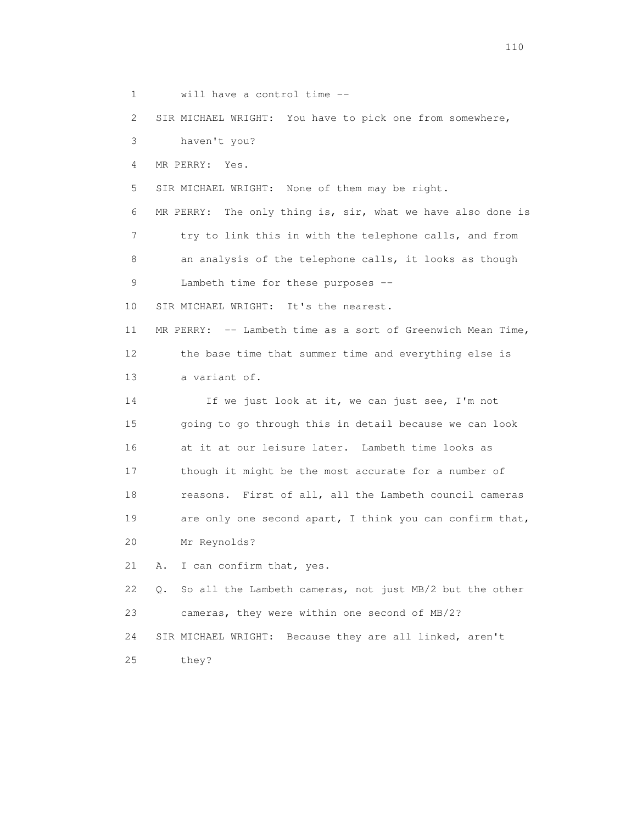1 will have a control time --

2 SIR MICHAEL WRIGHT: You have to pick one from somewhere,

3 haven't you?

4 MR PERRY: Yes.

5 SIR MICHAEL WRIGHT: None of them may be right.

 6 MR PERRY: The only thing is, sir, what we have also done is 7 try to link this in with the telephone calls, and from 8 an analysis of the telephone calls, it looks as though 9 Lambeth time for these purposes --

10 SIR MICHAEL WRIGHT: It's the nearest.

 11 MR PERRY: -- Lambeth time as a sort of Greenwich Mean Time, 12 the base time that summer time and everything else is 13 a variant of.

 14 If we just look at it, we can just see, I'm not 15 going to go through this in detail because we can look 16 at it at our leisure later. Lambeth time looks as 17 though it might be the most accurate for a number of 18 reasons. First of all, all the Lambeth council cameras 19 are only one second apart, I think you can confirm that, 20 Mr Reynolds?

21 A. I can confirm that, yes.

 22 Q. So all the Lambeth cameras, not just MB/2 but the other 23 cameras, they were within one second of MB/2? 24 SIR MICHAEL WRIGHT: Because they are all linked, aren't

25 they?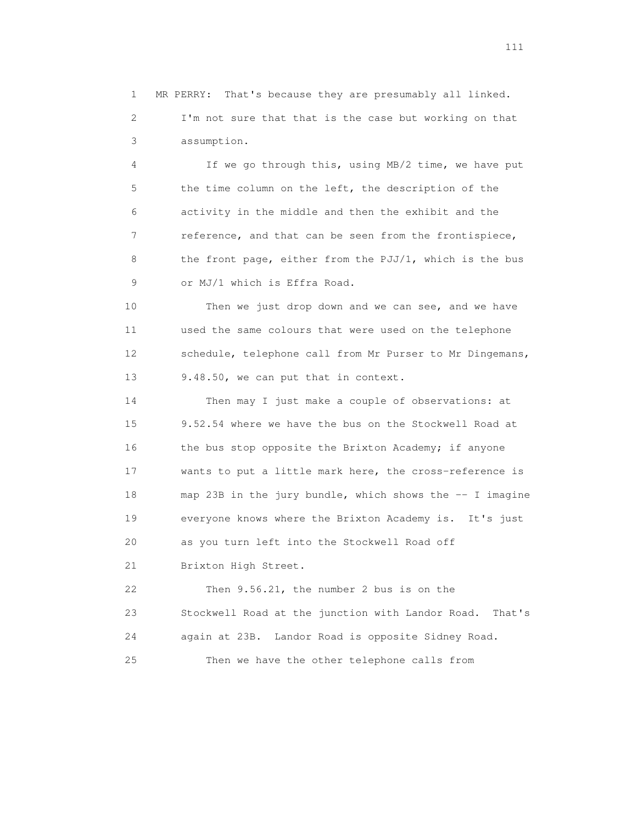1 MR PERRY: That's because they are presumably all linked. 2 I'm not sure that that is the case but working on that 3 assumption.

 4 If we go through this, using MB/2 time, we have put 5 the time column on the left, the description of the 6 activity in the middle and then the exhibit and the 7 reference, and that can be seen from the frontispiece, 8 the front page, either from the PJJ/1, which is the bus 9 or MJ/1 which is Effra Road.

 10 Then we just drop down and we can see, and we have 11 used the same colours that were used on the telephone 12 schedule, telephone call from Mr Purser to Mr Dingemans, 13 9.48.50, we can put that in context.

 14 Then may I just make a couple of observations: at 15 9.52.54 where we have the bus on the Stockwell Road at 16 the bus stop opposite the Brixton Academy; if anyone 17 wants to put a little mark here, the cross-reference is 18 map 23B in the jury bundle, which shows the -- I imagine 19 everyone knows where the Brixton Academy is. It's just 20 as you turn left into the Stockwell Road off 21 Brixton High Street.

 22 Then 9.56.21, the number 2 bus is on the 23 Stockwell Road at the junction with Landor Road. That's 24 again at 23B. Landor Road is opposite Sidney Road. 25 Then we have the other telephone calls from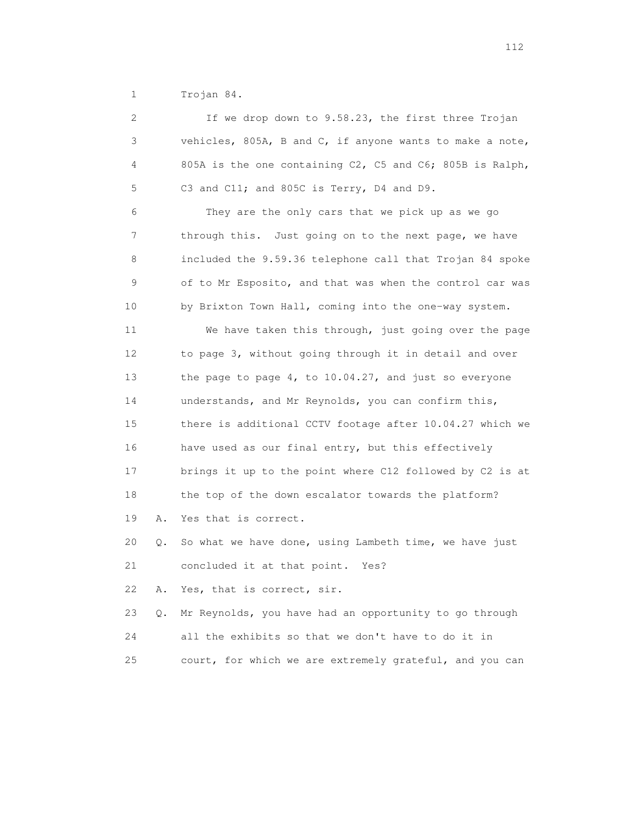1 Trojan 84.

| 2           |    | If we drop down to 9.58.23, the first three Trojan       |
|-------------|----|----------------------------------------------------------|
| 3           |    | vehicles, 805A, B and C, if anyone wants to make a note, |
| 4           |    | 805A is the one containing C2, C5 and C6; 805B is Ralph, |
| 5           |    | C3 and C11; and 805C is Terry, D4 and D9.                |
| 6           |    | They are the only cars that we pick up as we go          |
| 7           |    | through this. Just going on to the next page, we have    |
| 8           |    | included the 9.59.36 telephone call that Trojan 84 spoke |
| $\mathsf 9$ |    | of to Mr Esposito, and that was when the control car was |
| 10          |    | by Brixton Town Hall, coming into the one-way system.    |
| 11          |    | We have taken this through, just going over the page     |
| 12          |    | to page 3, without going through it in detail and over   |
| 13          |    | the page to page 4, to 10.04.27, and just so everyone    |
| 14          |    | understands, and Mr Reynolds, you can confirm this,      |
| 15          |    | there is additional CCTV footage after 10.04.27 which we |
| 16          |    | have used as our final entry, but this effectively       |
| 17          |    | brings it up to the point where C12 followed by C2 is at |
| 18          |    | the top of the down escalator towards the platform?      |
| 19          | Α. | Yes that is correct.                                     |
| 20          | Q. | So what we have done, using Lambeth time, we have just   |
| 21          |    | concluded it at that point.<br>Yes?                      |
| 22          | Α. | Yes, that is correct, sir.                               |
| 23          | О. | Mr Reynolds, you have had an opportunity to go through   |
| 24          |    | all the exhibits so that we don't have to do it in       |
| 25          |    | court, for which we are extremely grateful, and you can  |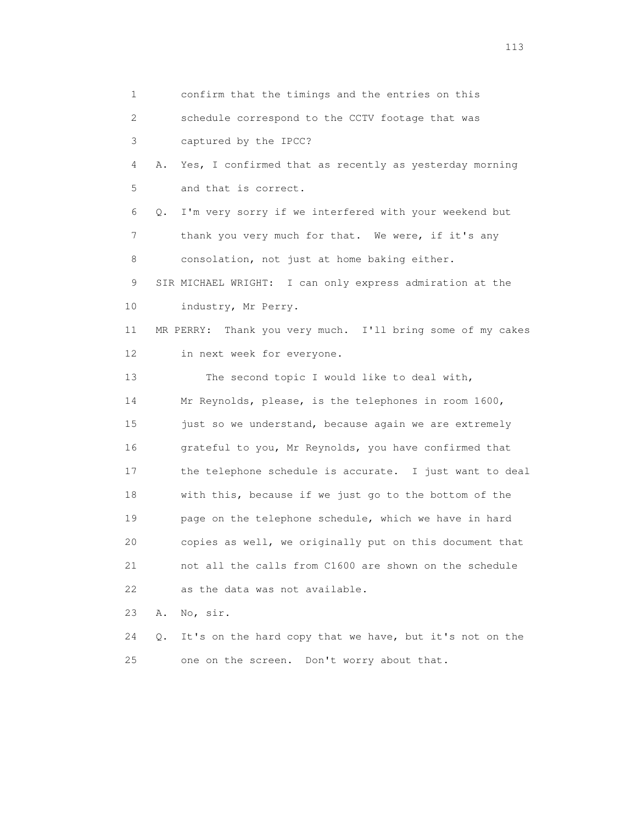1 confirm that the timings and the entries on this 2 schedule correspond to the CCTV footage that was 3 captured by the IPCC? 4 A. Yes, I confirmed that as recently as yesterday morning 5 and that is correct. 6 Q. I'm very sorry if we interfered with your weekend but 7 thank you very much for that. We were, if it's any 8 consolation, not just at home baking either. 9 SIR MICHAEL WRIGHT: I can only express admiration at the 10 industry, Mr Perry. 11 MR PERRY: Thank you very much. I'll bring some of my cakes 12 in next week for everyone. 13 The second topic I would like to deal with, 14 Mr Reynolds, please, is the telephones in room 1600, 15 just so we understand, because again we are extremely 16 grateful to you, Mr Reynolds, you have confirmed that 17 the telephone schedule is accurate. I just want to deal 18 with this, because if we just go to the bottom of the 19 page on the telephone schedule, which we have in hard 20 copies as well, we originally put on this document that 21 not all the calls from C1600 are shown on the schedule 22 as the data was not available. 23 A. No, sir. 24 Q. It's on the hard copy that we have, but it's not on the 25 one on the screen. Don't worry about that.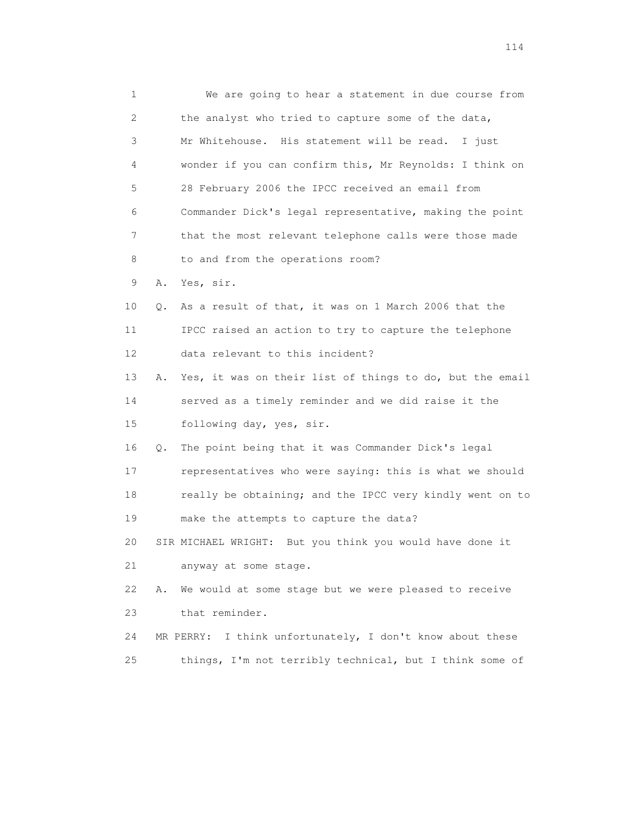1 We are going to hear a statement in due course from 2 the analyst who tried to capture some of the data, 3 Mr Whitehouse. His statement will be read. I just 4 wonder if you can confirm this, Mr Reynolds: I think on 5 28 February 2006 the IPCC received an email from 6 Commander Dick's legal representative, making the point 7 that the most relevant telephone calls were those made 8 to and from the operations room? 9 A. Yes, sir. 10 Q. As a result of that, it was on 1 March 2006 that the 11 IPCC raised an action to try to capture the telephone 12 data relevant to this incident? 13 A. Yes, it was on their list of things to do, but the email 14 served as a timely reminder and we did raise it the 15 following day, yes, sir. 16 Q. The point being that it was Commander Dick's legal 17 representatives who were saying: this is what we should 18 really be obtaining; and the IPCC very kindly went on to 19 make the attempts to capture the data? 20 SIR MICHAEL WRIGHT: But you think you would have done it 21 anyway at some stage. 22 A. We would at some stage but we were pleased to receive 23 that reminder. 24 MR PERRY: I think unfortunately, I don't know about these 25 things, I'm not terribly technical, but I think some of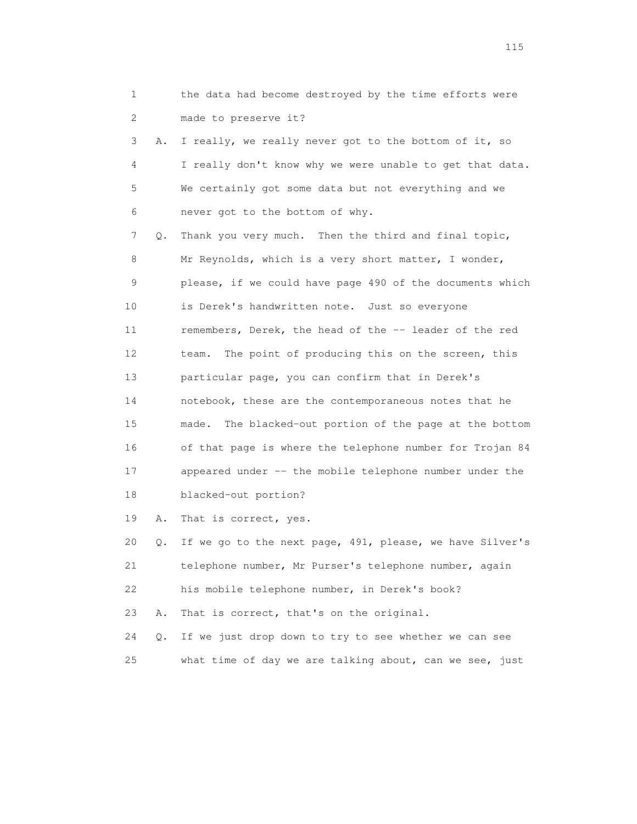| 1               |    | the data had become destroyed by the time efforts were     |
|-----------------|----|------------------------------------------------------------|
| 2               |    | made to preserve it?                                       |
| 3               | Α. | I really, we really never got to the bottom of it, so      |
| $\overline{4}$  |    | I really don't know why we were unable to get that data.   |
| 5               |    | We certainly got some data but not everything and we       |
| 6               |    | never got to the bottom of why.                            |
| 7               | Q. | Thank you very much. Then the third and final topic,       |
| 8               |    | Mr Reynolds, which is a very short matter, I wonder,       |
| 9               |    | please, if we could have page 490 of the documents which   |
| 10              |    | is Derek's handwritten note. Just so everyone              |
| 11              |    | remembers, Derek, the head of the -- leader of the red     |
| 12 <sup>°</sup> |    | The point of producing this on the screen, this<br>team.   |
| 13              |    | particular page, you can confirm that in Derek's           |
| 14              |    | notebook, these are the contemporaneous notes that he      |
| 15              |    | The blacked-out portion of the page at the bottom<br>made. |
| 16              |    | of that page is where the telephone number for Trojan 84   |
| 17              |    | appeared under -- the mobile telephone number under the    |
| 18              |    | blacked-out portion?                                       |
| 19              | Α. | That is correct, yes.                                      |
| 20              | О. | If we go to the next page, 491, please, we have Silver's   |

115

 21 telephone number, Mr Purser's telephone number, again 22 his mobile telephone number, in Derek's book?

23 A. That is correct, that's on the original.

 24 Q. If we just drop down to try to see whether we can see 25 what time of day we are talking about, can we see, just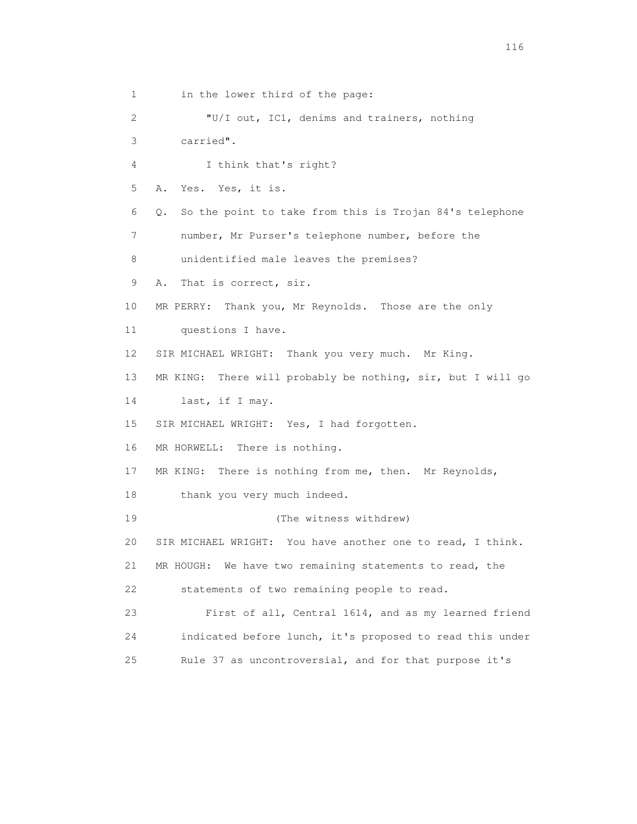1 in the lower third of the page: 2 "U/I out, IC1, denims and trainers, nothing 3 carried". 4 I think that's right? 5 A. Yes. Yes, it is. 6 Q. So the point to take from this is Trojan 84's telephone 7 number, Mr Purser's telephone number, before the 8 unidentified male leaves the premises? 9 A. That is correct, sir. 10 MR PERRY: Thank you, Mr Reynolds. Those are the only 11 questions I have. 12 SIR MICHAEL WRIGHT: Thank you very much. Mr King. 13 MR KING: There will probably be nothing, sir, but I will go 14 last, if I may. 15 SIR MICHAEL WRIGHT: Yes, I had forgotten. 16 MR HORWELL: There is nothing. 17 MR KING: There is nothing from me, then. Mr Reynolds, 18 thank you very much indeed. 19 (The witness withdrew) 20 SIR MICHAEL WRIGHT: You have another one to read, I think. 21 MR HOUGH: We have two remaining statements to read, the 22 statements of two remaining people to read. 23 First of all, Central 1614, and as my learned friend 24 indicated before lunch, it's proposed to read this under 25 Rule 37 as uncontroversial, and for that purpose it's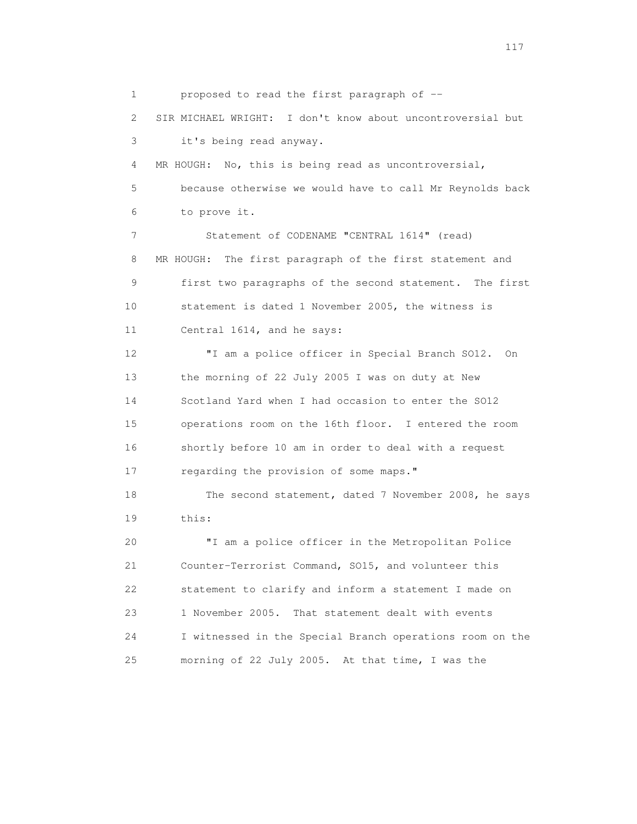1 proposed to read the first paragraph of -- 2 SIR MICHAEL WRIGHT: I don't know about uncontroversial but 3 it's being read anyway. 4 MR HOUGH: No, this is being read as uncontroversial, 5 because otherwise we would have to call Mr Reynolds back 6 to prove it. 7 Statement of CODENAME "CENTRAL 1614" (read) 8 MR HOUGH: The first paragraph of the first statement and 9 first two paragraphs of the second statement. The first 10 statement is dated 1 November 2005, the witness is 11 Central 1614, and he says: 12 "I am a police officer in Special Branch SO12. On 13 the morning of 22 July 2005 I was on duty at New 14 Scotland Yard when I had occasion to enter the SO12 15 operations room on the 16th floor. I entered the room 16 shortly before 10 am in order to deal with a request 17 regarding the provision of some maps." 18 The second statement, dated 7 November 2008, he says 19 this: 20 "I am a police officer in the Metropolitan Police 21 Counter-Terrorist Command, SO15, and volunteer this 22 statement to clarify and inform a statement I made on 23 1 November 2005. That statement dealt with events 24 I witnessed in the Special Branch operations room on the 25 morning of 22 July 2005. At that time, I was the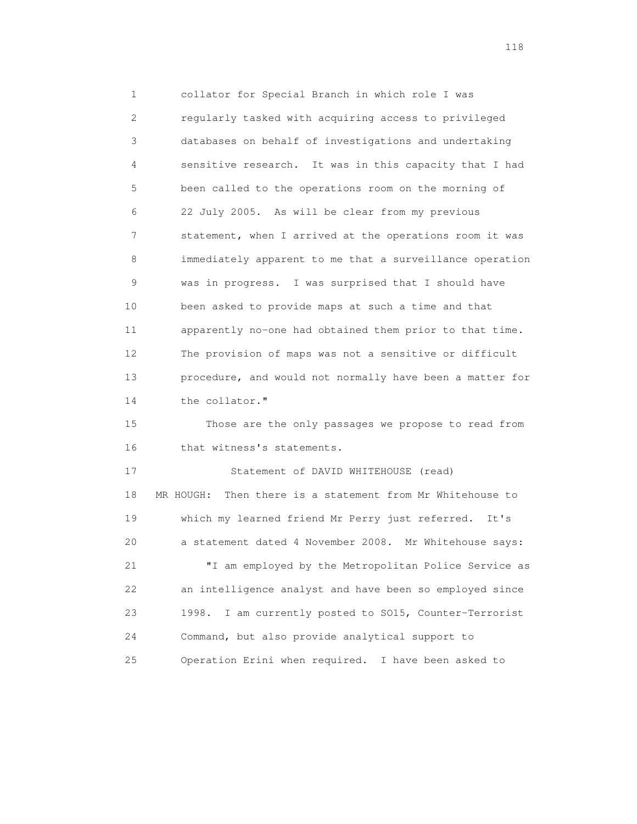1 collator for Special Branch in which role I was 2 regularly tasked with acquiring access to privileged 3 databases on behalf of investigations and undertaking 4 sensitive research. It was in this capacity that I had 5 been called to the operations room on the morning of 6 22 July 2005. As will be clear from my previous 7 statement, when I arrived at the operations room it was 8 immediately apparent to me that a surveillance operation 9 was in progress. I was surprised that I should have 10 been asked to provide maps at such a time and that 11 apparently no-one had obtained them prior to that time. 12 The provision of maps was not a sensitive or difficult 13 procedure, and would not normally have been a matter for 14 the collator." 15 Those are the only passages we propose to read from 16 that witness's statements. 17 Statement of DAVID WHITEHOUSE (read) 18 MR HOUGH: Then there is a statement from Mr Whitehouse to 19 which my learned friend Mr Perry just referred. It's 20 a statement dated 4 November 2008. Mr Whitehouse says: 21 "I am employed by the Metropolitan Police Service as 22 an intelligence analyst and have been so employed since 23 1998. I am currently posted to SO15, Counter-Terrorist 24 Command, but also provide analytical support to

25 Operation Erini when required. I have been asked to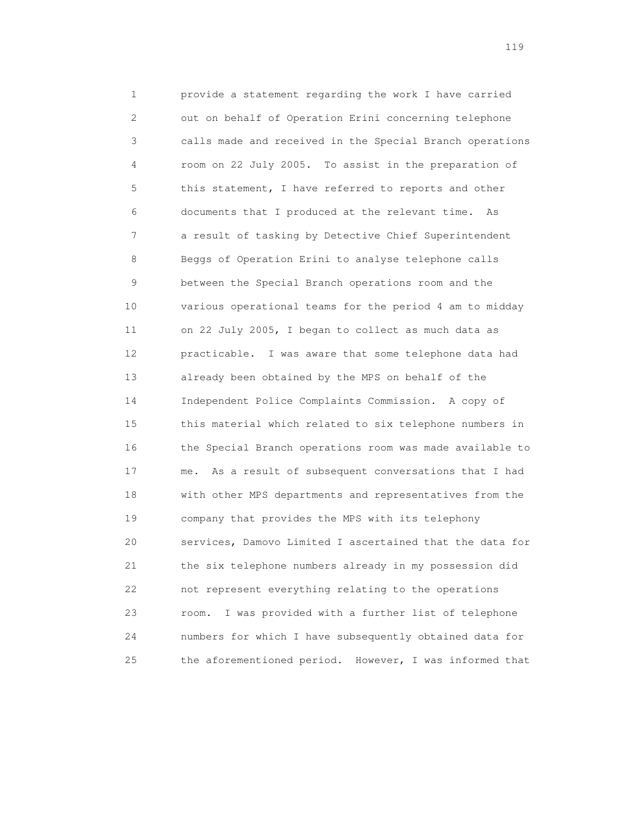1 provide a statement regarding the work I have carried 2 out on behalf of Operation Erini concerning telephone 3 calls made and received in the Special Branch operations 4 room on 22 July 2005. To assist in the preparation of 5 this statement, I have referred to reports and other 6 documents that I produced at the relevant time. As 7 a result of tasking by Detective Chief Superintendent 8 Beggs of Operation Erini to analyse telephone calls 9 between the Special Branch operations room and the 10 various operational teams for the period 4 am to midday 11 on 22 July 2005, I began to collect as much data as 12 practicable. I was aware that some telephone data had 13 already been obtained by the MPS on behalf of the 14 Independent Police Complaints Commission. A copy of 15 this material which related to six telephone numbers in 16 the Special Branch operations room was made available to 17 me. As a result of subsequent conversations that I had 18 with other MPS departments and representatives from the 19 company that provides the MPS with its telephony 20 services, Damovo Limited I ascertained that the data for 21 the six telephone numbers already in my possession did 22 not represent everything relating to the operations 23 room. I was provided with a further list of telephone 24 numbers for which I have subsequently obtained data for 25 the aforementioned period. However, I was informed that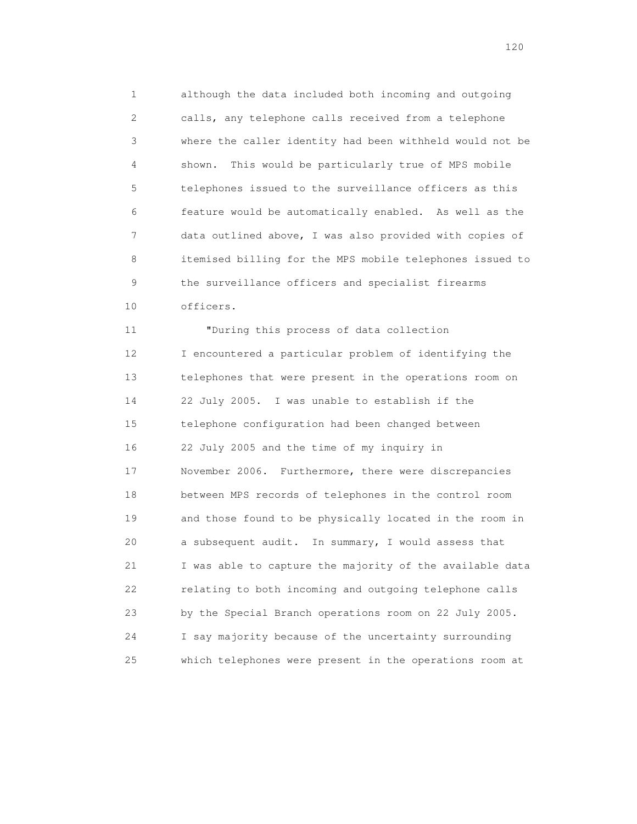1 although the data included both incoming and outgoing 2 calls, any telephone calls received from a telephone 3 where the caller identity had been withheld would not be 4 shown. This would be particularly true of MPS mobile 5 telephones issued to the surveillance officers as this 6 feature would be automatically enabled. As well as the 7 data outlined above, I was also provided with copies of 8 itemised billing for the MPS mobile telephones issued to 9 the surveillance officers and specialist firearms 10 officers.

 11 "During this process of data collection 12 I encountered a particular problem of identifying the 13 telephones that were present in the operations room on 14 22 July 2005. I was unable to establish if the 15 telephone configuration had been changed between 16 22 July 2005 and the time of my inquiry in 17 November 2006. Furthermore, there were discrepancies 18 between MPS records of telephones in the control room 19 and those found to be physically located in the room in 20 a subsequent audit. In summary, I would assess that 21 I was able to capture the majority of the available data 22 relating to both incoming and outgoing telephone calls 23 by the Special Branch operations room on 22 July 2005. 24 I say majority because of the uncertainty surrounding 25 which telephones were present in the operations room at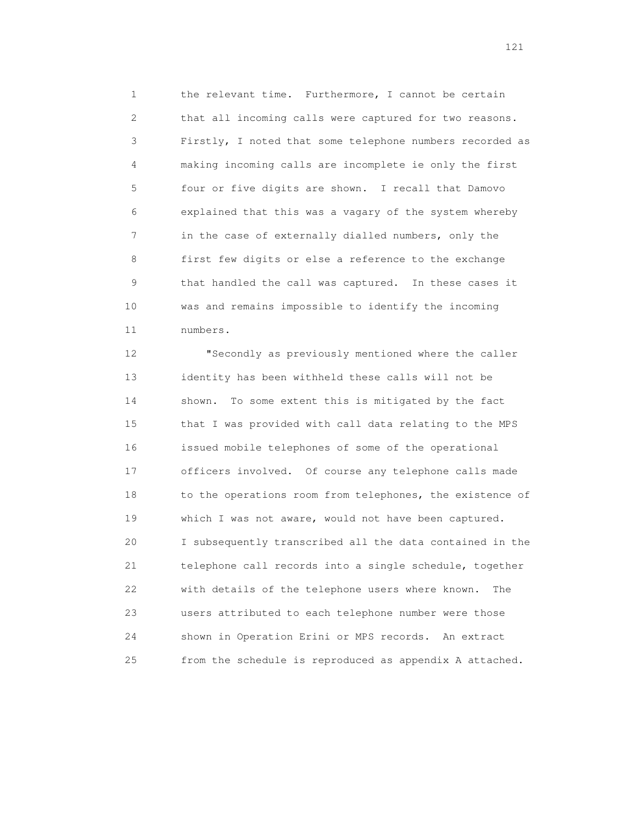1 the relevant time. Furthermore, I cannot be certain 2 that all incoming calls were captured for two reasons. 3 Firstly, I noted that some telephone numbers recorded as 4 making incoming calls are incomplete ie only the first 5 four or five digits are shown. I recall that Damovo 6 explained that this was a vagary of the system whereby 7 in the case of externally dialled numbers, only the 8 first few digits or else a reference to the exchange 9 that handled the call was captured. In these cases it 10 was and remains impossible to identify the incoming 11 numbers.

 12 "Secondly as previously mentioned where the caller 13 identity has been withheld these calls will not be 14 shown. To some extent this is mitigated by the fact 15 that I was provided with call data relating to the MPS 16 issued mobile telephones of some of the operational 17 officers involved. Of course any telephone calls made 18 to the operations room from telephones, the existence of 19 which I was not aware, would not have been captured. 20 I subsequently transcribed all the data contained in the 21 telephone call records into a single schedule, together 22 with details of the telephone users where known. The 23 users attributed to each telephone number were those 24 shown in Operation Erini or MPS records. An extract 25 from the schedule is reproduced as appendix A attached.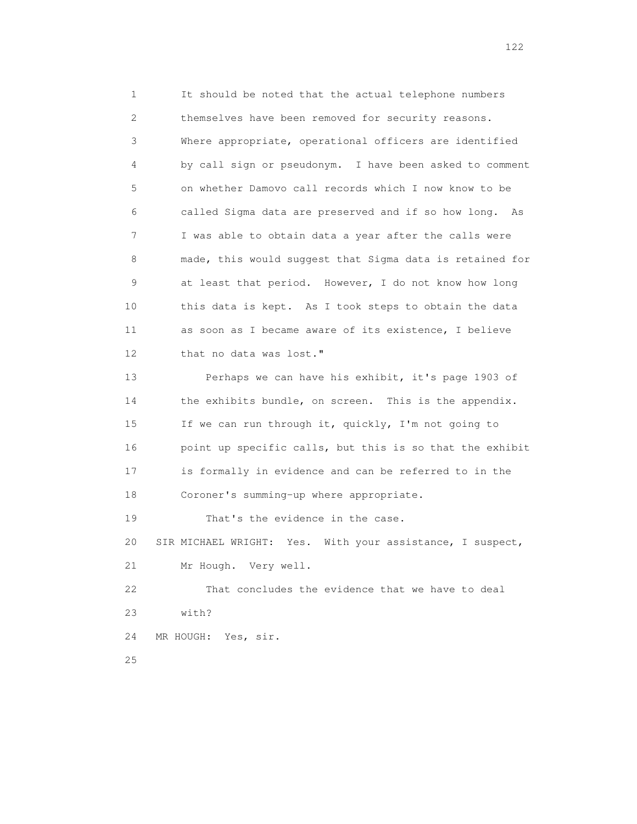1 It should be noted that the actual telephone numbers 2 themselves have been removed for security reasons. 3 Where appropriate, operational officers are identified 4 by call sign or pseudonym. I have been asked to comment 5 on whether Damovo call records which I now know to be 6 called Sigma data are preserved and if so how long. As 7 I was able to obtain data a year after the calls were 8 made, this would suggest that Sigma data is retained for 9 at least that period. However, I do not know how long 10 this data is kept. As I took steps to obtain the data 11 as soon as I became aware of its existence, I believe 12 that no data was lost." 13 Perhaps we can have his exhibit, it's page 1903 of 14 the exhibits bundle, on screen. This is the appendix. 15 If we can run through it, quickly, I'm not going to 16 point up specific calls, but this is so that the exhibit 17 is formally in evidence and can be referred to in the 18 Coroner's summing-up where appropriate. 19 That's the evidence in the case. 20 SIR MICHAEL WRIGHT: Yes. With your assistance, I suspect, 21 Mr Hough. Very well. 22 That concludes the evidence that we have to deal 23 with? 24 MR HOUGH: Yes, sir. 25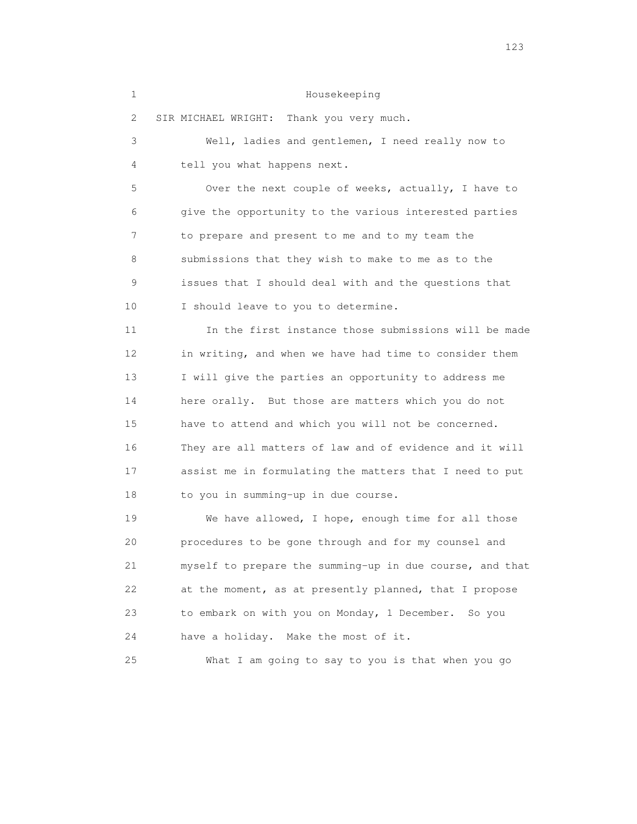## 1 Housekeeping

2 SIR MICHAEL WRIGHT: Thank you very much.

 3 Well, ladies and gentlemen, I need really now to 4 tell you what happens next. 5 Over the next couple of weeks, actually, I have to 6 give the opportunity to the various interested parties 7 to prepare and present to me and to my team the 8 submissions that they wish to make to me as to the 9 issues that I should deal with and the questions that 10 I should leave to you to determine. 11 In the first instance those submissions will be made 12 in writing, and when we have had time to consider them 13 I will give the parties an opportunity to address me 14 here orally. But those are matters which you do not 15 have to attend and which you will not be concerned. 16 They are all matters of law and of evidence and it will 17 assist me in formulating the matters that I need to put

18 to you in summing-up in due course.

 19 We have allowed, I hope, enough time for all those 20 procedures to be gone through and for my counsel and 21 myself to prepare the summing-up in due course, and that 22 at the moment, as at presently planned, that I propose 23 to embark on with you on Monday, 1 December. So you 24 have a holiday. Make the most of it.

25 What I am going to say to you is that when you go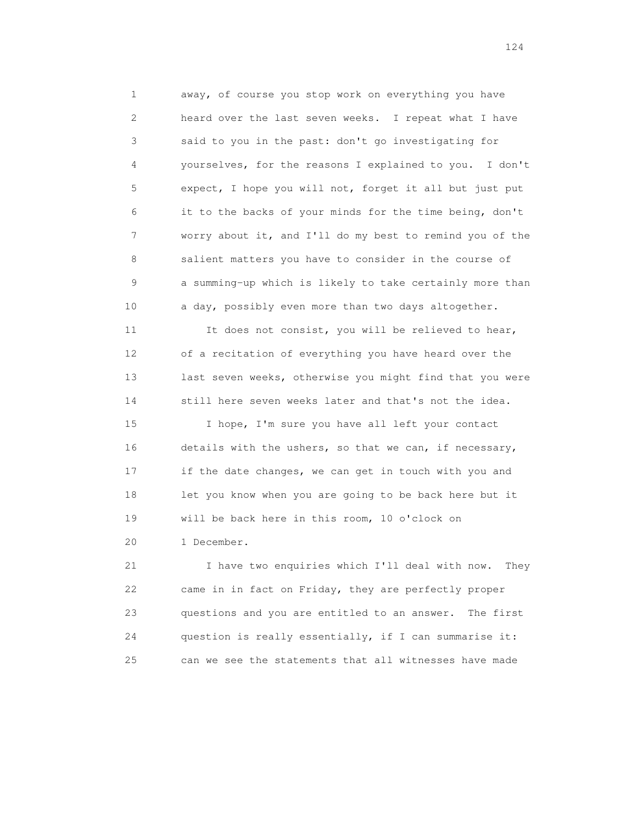1 away, of course you stop work on everything you have 2 heard over the last seven weeks. I repeat what I have 3 said to you in the past: don't go investigating for 4 yourselves, for the reasons I explained to you. I don't 5 expect, I hope you will not, forget it all but just put 6 it to the backs of your minds for the time being, don't 7 worry about it, and I'll do my best to remind you of the 8 salient matters you have to consider in the course of 9 a summing-up which is likely to take certainly more than 10 a day, possibly even more than two days altogether.

11 It does not consist, you will be relieved to hear, 12 of a recitation of everything you have heard over the 13 last seven weeks, otherwise you might find that you were 14 still here seven weeks later and that's not the idea.

 15 I hope, I'm sure you have all left your contact 16 details with the ushers, so that we can, if necessary, 17 if the date changes, we can get in touch with you and 18 let you know when you are going to be back here but it 19 will be back here in this room, 10 o'clock on 20 1 December.

 21 I have two enquiries which I'll deal with now. They 22 came in in fact on Friday, they are perfectly proper 23 questions and you are entitled to an answer. The first 24 question is really essentially, if I can summarise it: 25 can we see the statements that all witnesses have made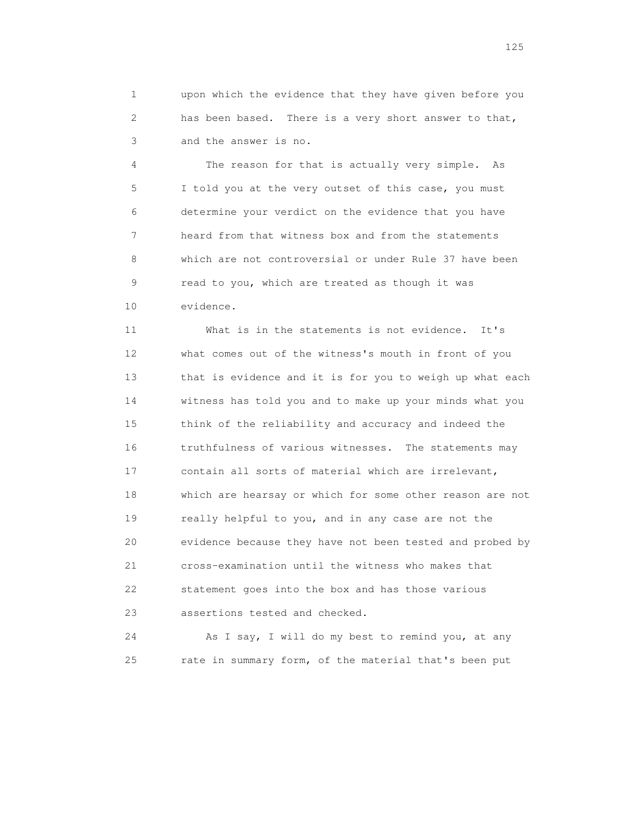1 upon which the evidence that they have given before you 2 has been based. There is a very short answer to that, 3 and the answer is no.

 4 The reason for that is actually very simple. As 5 I told you at the very outset of this case, you must 6 determine your verdict on the evidence that you have 7 heard from that witness box and from the statements 8 which are not controversial or under Rule 37 have been 9 read to you, which are treated as though it was 10 evidence.

 11 What is in the statements is not evidence. It's 12 what comes out of the witness's mouth in front of you 13 that is evidence and it is for you to weigh up what each 14 witness has told you and to make up your minds what you 15 think of the reliability and accuracy and indeed the 16 truthfulness of various witnesses. The statements may 17 contain all sorts of material which are irrelevant, 18 which are hearsay or which for some other reason are not 19 really helpful to you, and in any case are not the 20 evidence because they have not been tested and probed by 21 cross-examination until the witness who makes that 22 statement goes into the box and has those various 23 assertions tested and checked.

 24 As I say, I will do my best to remind you, at any 25 rate in summary form, of the material that's been put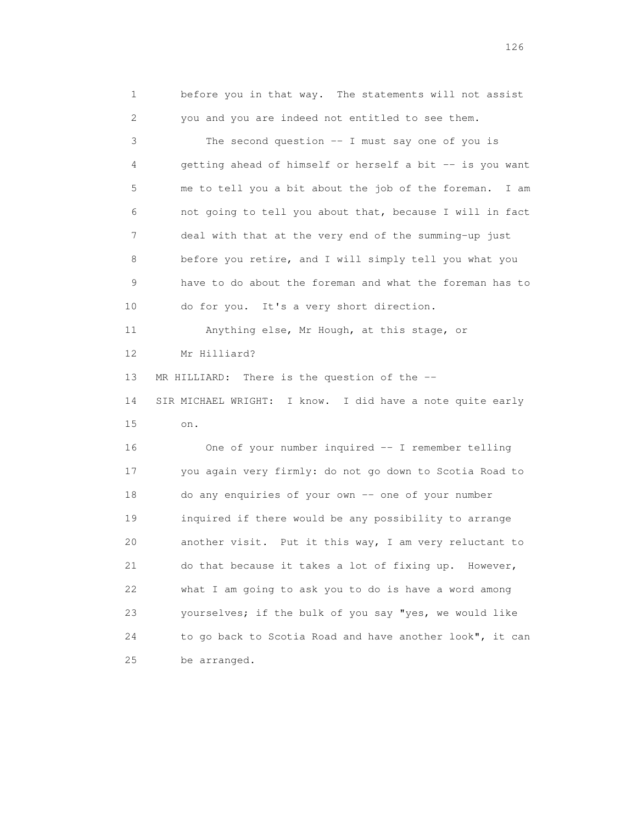1 before you in that way. The statements will not assist 2 you and you are indeed not entitled to see them. 3 The second question -- I must say one of you is 4 getting ahead of himself or herself a bit -- is you want 5 me to tell you a bit about the job of the foreman. I am 6 not going to tell you about that, because I will in fact 7 deal with that at the very end of the summing-up just 8 before you retire, and I will simply tell you what you 9 have to do about the foreman and what the foreman has to 10 do for you. It's a very short direction. 11 Anything else, Mr Hough, at this stage, or 12 Mr Hilliard? 13 MR HILLIARD: There is the question of the -- 14 SIR MICHAEL WRIGHT: I know. I did have a note quite early 15 on. 16 One of your number inquired -- I remember telling 17 you again very firmly: do not go down to Scotia Road to 18 do any enquiries of your own -- one of your number 19 inquired if there would be any possibility to arrange 20 another visit. Put it this way, I am very reluctant to 21 do that because it takes a lot of fixing up. However, 22 what I am going to ask you to do is have a word among 23 yourselves; if the bulk of you say "yes, we would like 24 to go back to Scotia Road and have another look", it can 25 be arranged.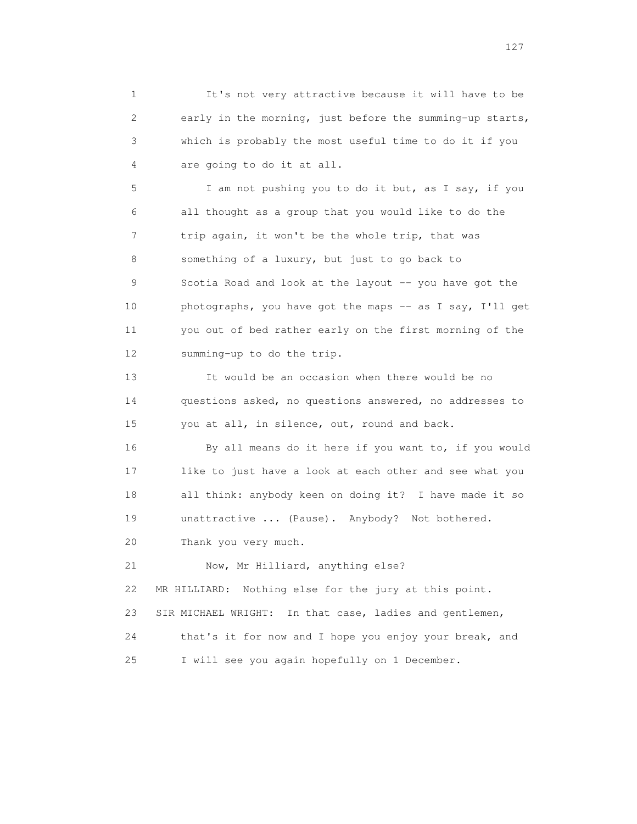1 It's not very attractive because it will have to be 2 early in the morning, just before the summing-up starts, 3 which is probably the most useful time to do it if you 4 are going to do it at all.

 5 I am not pushing you to do it but, as I say, if you 6 all thought as a group that you would like to do the 7 trip again, it won't be the whole trip, that was 8 something of a luxury, but just to go back to 9 Scotia Road and look at the layout -- you have got the 10 photographs, you have got the maps -- as I say, I'll get 11 you out of bed rather early on the first morning of the 12 summing-up to do the trip.

 13 It would be an occasion when there would be no 14 questions asked, no questions answered, no addresses to 15 you at all, in silence, out, round and back.

 16 By all means do it here if you want to, if you would 17 like to just have a look at each other and see what you 18 all think: anybody keen on doing it? I have made it so 19 unattractive ... (Pause). Anybody? Not bothered.

20 Thank you very much.

 21 Now, Mr Hilliard, anything else? 22 MR HILLIARD: Nothing else for the jury at this point. 23 SIR MICHAEL WRIGHT: In that case, ladies and gentlemen, 24 that's it for now and I hope you enjoy your break, and 25 I will see you again hopefully on 1 December.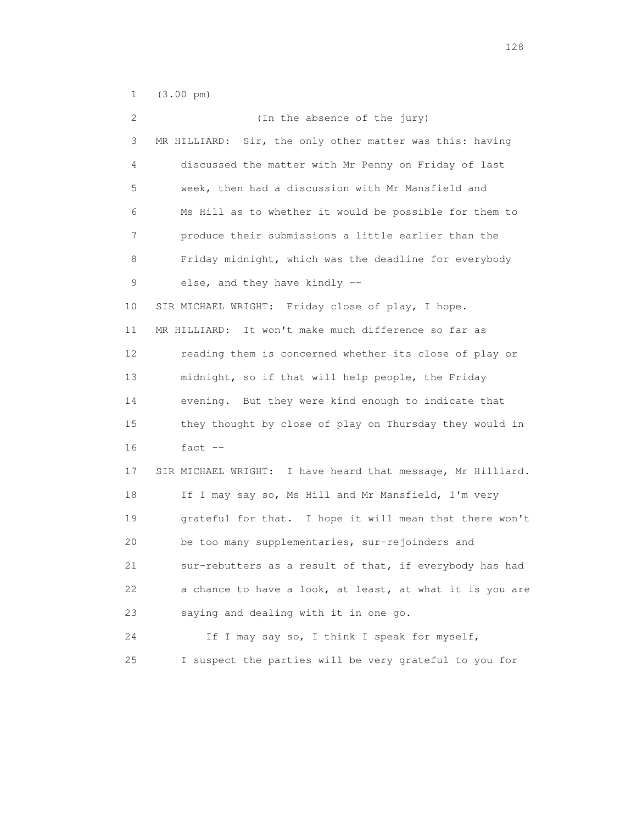1 (3.00 pm)

| 2  | (In the absence of the jury)                                |
|----|-------------------------------------------------------------|
| 3  | Sir, the only other matter was this: having<br>MR HILLIARD: |
| 4  | discussed the matter with Mr Penny on Friday of last        |
| 5  | week, then had a discussion with Mr Mansfield and           |
| 6  | Ms Hill as to whether it would be possible for them to      |
| 7  | produce their submissions a little earlier than the         |
| 8  | Friday midnight, which was the deadline for everybody       |
| 9  | else, and they have kindly --                               |
| 10 | SIR MICHAEL WRIGHT: Friday close of play, I hope.           |
| 11 | MR HILLIARD: It won't make much difference so far as        |
| 12 | reading them is concerned whether its close of play or      |
| 13 | midnight, so if that will help people, the Friday           |
| 14 | evening. But they were kind enough to indicate that         |
| 15 | they thought by close of play on Thursday they would in     |
| 16 | fact $--$                                                   |
| 17 | SIR MICHAEL WRIGHT: I have heard that message, Mr Hilliard. |
| 18 | If I may say so, Ms Hill and Mr Mansfield, I'm very         |
| 19 | grateful for that. I hope it will mean that there won't     |
| 20 | be too many supplementaries, sur-rejoinders and             |
| 21 | sur-rebutters as a result of that, if everybody has had     |
| 22 | a chance to have a look, at least, at what it is you are    |
| 23 | saying and dealing with it in one go.                       |
| 24 | If I may say so, I think I speak for myself,                |
| 25 | I suspect the parties will be very grateful to you for      |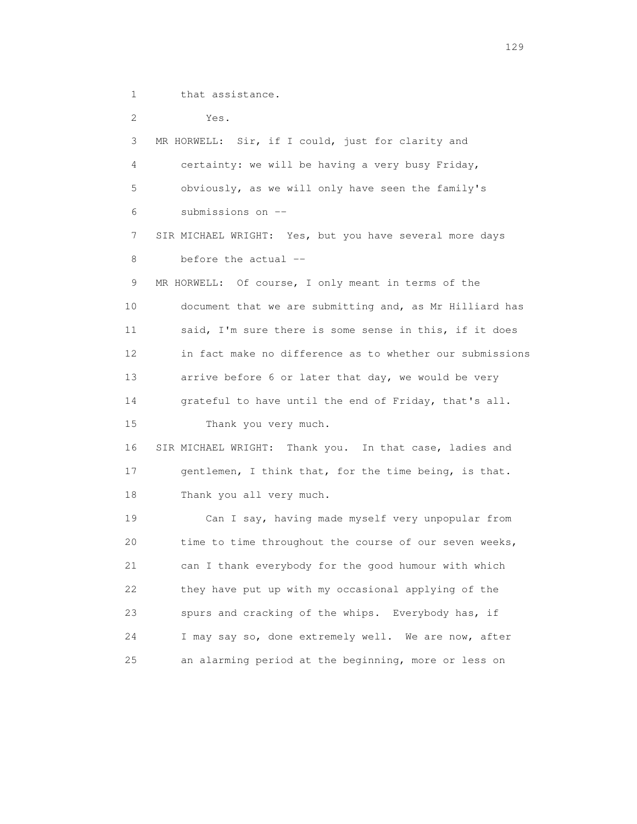1 that assistance.

 2 Yes. 3 MR HORWELL: Sir, if I could, just for clarity and 4 certainty: we will be having a very busy Friday, 5 obviously, as we will only have seen the family's 6 submissions on -- 7 SIR MICHAEL WRIGHT: Yes, but you have several more days 8 before the actual -- 9 MR HORWELL: Of course, I only meant in terms of the 10 document that we are submitting and, as Mr Hilliard has 11 said, I'm sure there is some sense in this, if it does 12 in fact make no difference as to whether our submissions 13 arrive before 6 or later that day, we would be very 14 grateful to have until the end of Friday, that's all. 15 Thank you very much. 16 SIR MICHAEL WRIGHT: Thank you. In that case, ladies and 17 gentlemen, I think that, for the time being, is that. 18 Thank you all very much. 19 Can I say, having made myself very unpopular from 20 time to time throughout the course of our seven weeks, 21 can I thank everybody for the good humour with which 22 they have put up with my occasional applying of the 23 spurs and cracking of the whips. Everybody has, if 24 I may say so, done extremely well. We are now, after 25 an alarming period at the beginning, more or less on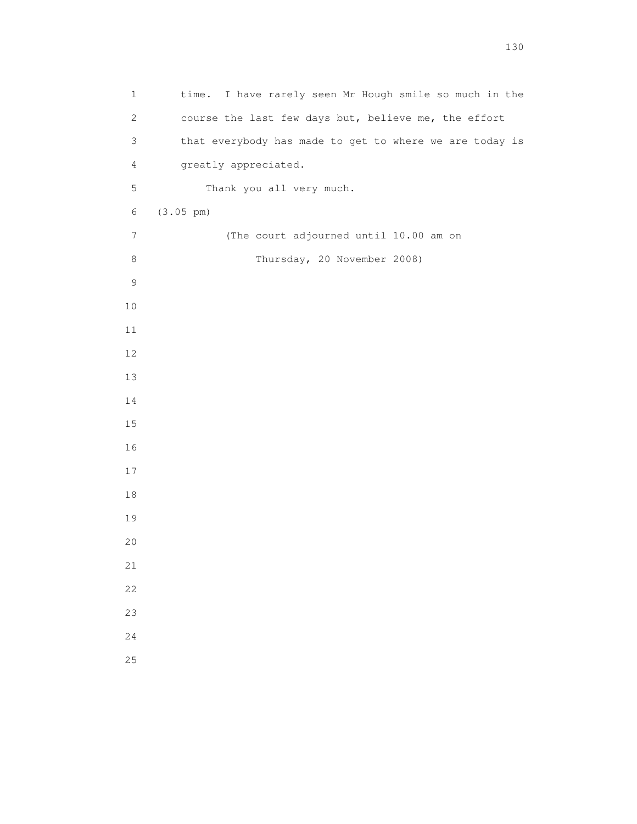| $\mathbf 1$    | time. I have rarely seen Mr Hough smile so much in the  |
|----------------|---------------------------------------------------------|
| $\mathbf{2}$   | course the last few days but, believe me, the effort    |
| $\mathsf 3$    | that everybody has made to get to where we are today is |
| $\overline{4}$ | greatly appreciated.                                    |
| 5              | Thank you all very much.                                |
| $6\,$          | $(3.05 \text{ pm})$                                     |
| 7              | (The court adjourned until 10.00 am on                  |
| $\,8\,$        | Thursday, 20 November 2008)                             |
| $\mathsf 9$    |                                                         |
| $10$           |                                                         |
| $11$           |                                                         |
| 12             |                                                         |
| 13             |                                                         |
| 14             |                                                         |
| $15\,$         |                                                         |
| 16             |                                                         |
| 17             |                                                         |
| $18\,$         |                                                         |
| 19             |                                                         |
| 20             |                                                         |
| 21             |                                                         |
| 22             |                                                         |
| 23             |                                                         |
| 24             |                                                         |
| 25             |                                                         |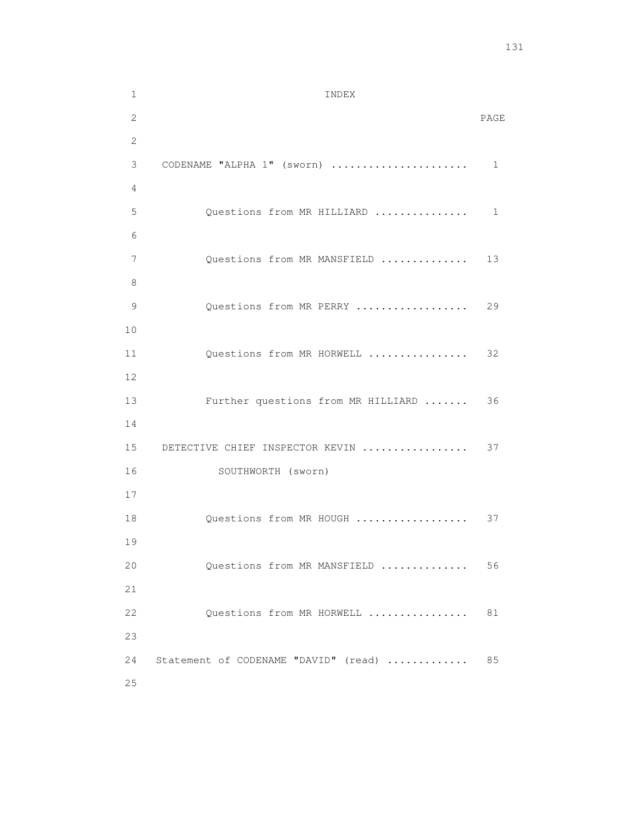| $\mathbf{1}$ | INDEX                                |      |
|--------------|--------------------------------------|------|
| 2            |                                      | PAGE |
| 2            |                                      |      |
| 3            | CODENAME "ALPHA 1" (sworn)           | 1    |
| 4            |                                      |      |
| 5            | Questions from MR HILLIARD           | 1    |
| 6            |                                      |      |
| 7            | Questions from MR MANSFIELD          | 13   |
| 8            |                                      |      |
| 9            | Questions from MR PERRY              | 29   |
| 10           |                                      |      |
| 11           | Questions from MR HORWELL            | 32   |
| 12           |                                      |      |
| 13           | Further questions from MR HILLIARD   | 36   |
| 14           |                                      |      |
| 15           | DETECTIVE CHIEF INSPECTOR KEVIN      | 37   |
| 16           | SOUTHWORTH (sworn)                   |      |
| 17           |                                      |      |
| 18           | Questions from MR HOUGH              | 37   |
| 19           |                                      |      |
| 20           | Questions from MR MANSFIELD          | 56   |
| 21           |                                      |      |
| 22           | Questions from MR HORWELL            | 81   |
| 23           |                                      |      |
| 24           | Statement of CODENAME "DAVID" (read) | 85   |
| 25           |                                      |      |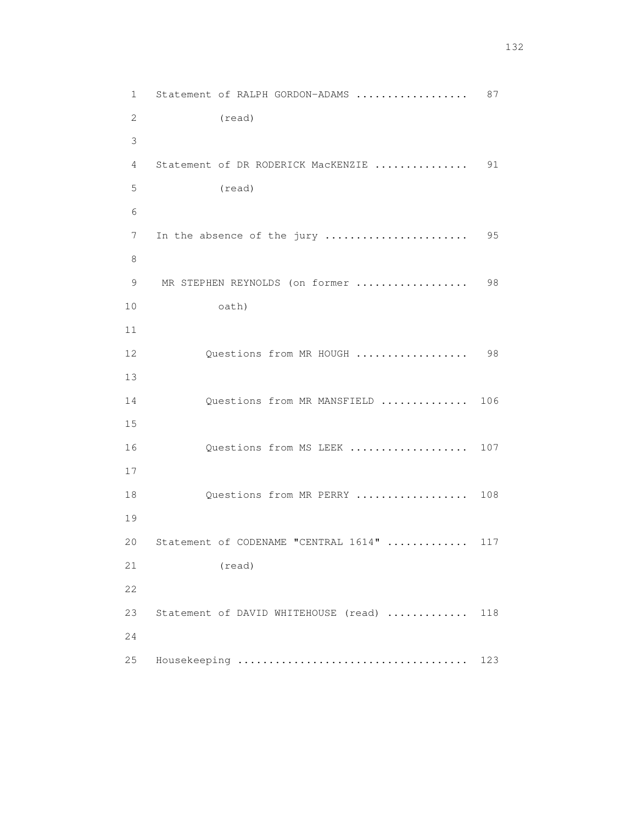1 Statement of RALPH GORDON-ADAMS .................... 87 2 (read) 3 4 Statement of DR RODERICK MacKENZIE ............... 91 5 (read) 6 7 In the absence of the jury ....................... 95 8 9 MR STEPHEN REYNOLDS (on former .................. 98 10 oath) 11 12 Questions from MR HOUGH .................. 98 13 14 Questions from MR MANSFIELD .............. 106 15 16 Questions from MS LEEK ................... 107 17 18 Questions from MR PERRY ................... 108 19 20 Statement of CODENAME "CENTRAL 1614" ............. 117 21 (read) 22 23 Statement of DAVID WHITEHOUSE (read) .............. 118 24 25 Housekeeping ..................................... 123